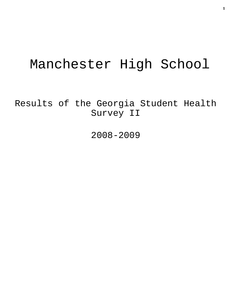# Manchester High School

Results of the Georgia Student Health Survey II

2008-2009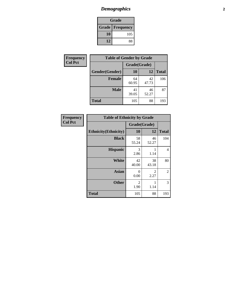# *Demographics* **2**

| Grade                    |     |  |  |
|--------------------------|-----|--|--|
| <b>Grade   Frequency</b> |     |  |  |
| 10                       | 105 |  |  |
| 12                       | 88  |  |  |

| Frequency      | <b>Table of Gender by Grade</b> |              |             |              |  |
|----------------|---------------------------------|--------------|-------------|--------------|--|
| <b>Col Pct</b> |                                 | Grade(Grade) |             |              |  |
|                | Gender(Gender)                  | 10           | 12          | <b>Total</b> |  |
|                | <b>Female</b>                   | 64<br>60.95  | 42<br>47.73 | 106          |  |
|                | <b>Male</b>                     | 41<br>39.05  | 46<br>52.27 | 87           |  |
|                | <b>Total</b>                    | 105          | 88          | 193          |  |

| <b>Frequency</b> |  |
|------------------|--|
| <b>Col Pct</b>   |  |

| <b>Table of Ethnicity by Grade</b> |                        |             |              |  |  |  |
|------------------------------------|------------------------|-------------|--------------|--|--|--|
|                                    | Grade(Grade)           |             |              |  |  |  |
| <b>Ethnicity</b> (Ethnicity)       | 10                     | 12          | <b>Total</b> |  |  |  |
| <b>Black</b>                       | 58<br>55.24            | 46<br>52.27 | 104          |  |  |  |
| <b>Hispanic</b>                    | 3<br>2.86              | 1.14        | 4            |  |  |  |
| White                              | 42<br>40.00            | 38<br>43.18 | 80           |  |  |  |
| <b>Asian</b>                       | 0<br>0.00              | 2<br>2.27   | 2            |  |  |  |
| <b>Other</b>                       | $\overline{2}$<br>1.90 | 1<br>1.14   | 3            |  |  |  |
| <b>Total</b>                       | 105                    | 88          | 193          |  |  |  |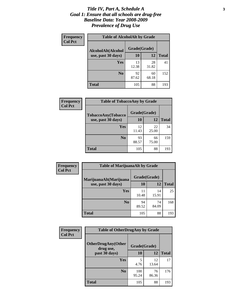#### *Title IV, Part A, Schedule A* **3** *Goal 1: Ensure that all schools are drug-free Baseline Data: Year 2008-2009 Prevalence of Drug Use*

| Frequency<br><b>Col Pct</b> | <b>Table of AlcoholAlt by Grade</b> |              |             |              |  |
|-----------------------------|-------------------------------------|--------------|-------------|--------------|--|
|                             | AlcoholAlt(Alcohol                  | Grade(Grade) |             |              |  |
|                             | use, past 30 days)                  | <b>10</b>    | 12          | <b>Total</b> |  |
|                             | Yes                                 | 13<br>12.38  | 28<br>31.82 | 41           |  |
|                             | N <sub>0</sub>                      | 92<br>87.62  | 60<br>68.18 | 152          |  |
|                             | <b>Total</b>                        | 105          | 88          | 193          |  |

| Frequency<br><b>Col Pct</b> | <b>Table of TobaccoAny by Grade</b> |              |             |              |  |
|-----------------------------|-------------------------------------|--------------|-------------|--------------|--|
|                             | <b>TobaccoAny(Tobacco</b>           | Grade(Grade) |             |              |  |
|                             | use, past 30 days)                  | <b>10</b>    | 12          | <b>Total</b> |  |
|                             | Yes                                 | 12<br>11.43  | 22<br>25.00 | 34           |  |
|                             | N <sub>0</sub>                      | 93<br>88.57  | 66<br>75.00 | 159          |  |
|                             | Total                               | 105          | 88          | 193          |  |

| Frequency<br><b>Col Pct</b> | <b>Table of MarijuanaAlt by Grade</b> |              |             |              |  |
|-----------------------------|---------------------------------------|--------------|-------------|--------------|--|
|                             | MarijuanaAlt(Marijuana                | Grade(Grade) |             |              |  |
|                             | use, past 30 days)                    | 10           | 12          | <b>Total</b> |  |
|                             | <b>Yes</b>                            | 11<br>10.48  | 14<br>15.91 | 25           |  |
|                             | N <sub>0</sub>                        | 94<br>89.52  | 74<br>84.09 | 168          |  |
|                             | <b>Total</b>                          | 105          | 88          | 193          |  |

| Frequency<br><b>Col Pct</b> | <b>Table of OtherDrugAny by Grade</b>                  |              |             |              |  |
|-----------------------------|--------------------------------------------------------|--------------|-------------|--------------|--|
|                             | <b>OtherDrugAny(Other</b><br>Grade(Grade)<br>drug use, |              |             |              |  |
|                             | past 30 days)                                          | 10           | 12          | <b>Total</b> |  |
|                             | Yes                                                    | 4.76         | 12<br>13.64 | 17           |  |
|                             | N <sub>0</sub>                                         | 100<br>95.24 | 76<br>86.36 | 176          |  |
|                             | <b>Total</b>                                           | 105          | 88          | 193          |  |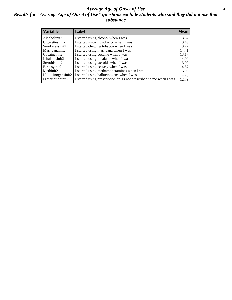### *Average Age of Onset of Use* **4** *Results for "Average Age of Onset of Use" questions exclude students who said they did not use that substance*

| <b>Variable</b>    | Label                                                              | <b>Mean</b> |
|--------------------|--------------------------------------------------------------------|-------------|
| Alcoholinit2       | I started using alcohol when I was                                 | 13.82       |
| Cigarettesinit2    | I started smoking tobacco when I was                               | 13.49       |
| Smokelessinit2     | I started chewing tobacco when I was                               | 13.27       |
| Marijuanainit2     | I started using marijuana when I was                               | 14.41       |
| Cocaineinit2       | I started using cocaine when I was                                 | 13.17       |
| Inhalantsinit2     | I started using inhalants when I was                               | 14.00       |
| Steroidsinit2      | I started using steroids when I was                                | 15.00       |
| Ecstasyinit2       | I started using ecstasy when I was                                 | 14.57       |
| Methinit2          | I started using methamphetamines when I was                        | 15.00       |
| Hallucinogensinit2 | I started using hallucinogens when I was                           | 14.25       |
| Prescriptioninit2  | I started using prescription drugs not prescribed to me when I was | 12.79       |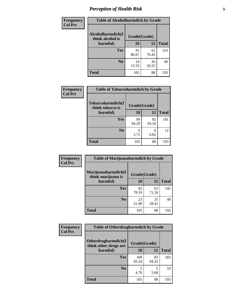# *Perception of Health Risk* **5**

| Frequency      | <b>Table of Alcoholharmdich by Grade</b> |              |             |              |  |
|----------------|------------------------------------------|--------------|-------------|--------------|--|
| <b>Col Pct</b> | Alcoholharmdich(I<br>think alcohol is    | Grade(Grade) |             |              |  |
|                | harmful)                                 | 10           | 12          | <b>Total</b> |  |
|                | <b>Yes</b>                               | 91<br>86.67  | 62<br>70.45 | 153          |  |
|                | N <sub>0</sub>                           | 14<br>13.33  | 26<br>29.55 | 40           |  |
|                | <b>Total</b>                             | 105          | 88          | 193          |  |

| Frequency<br><b>Col Pct</b> | <b>Table of Tobaccoharmdich by Grade</b> |              |             |              |  |
|-----------------------------|------------------------------------------|--------------|-------------|--------------|--|
|                             | Tobaccoharmdich(I<br>think tobacco is    | Grade(Grade) |             |              |  |
|                             | harmful)                                 | 10           | 12          | <b>Total</b> |  |
|                             | <b>Yes</b>                               | 99<br>94.29  | 82<br>93.18 | 181          |  |
|                             | N <sub>0</sub>                           | 6<br>5.71    | 6<br>6.82   | 12           |  |
|                             | <b>Total</b>                             | 105          | 88          | 193          |  |

| <b>Frequency</b> | <b>Table of Marijuanaharmdich by Grade</b>                |             |             |              |  |  |
|------------------|-----------------------------------------------------------|-------------|-------------|--------------|--|--|
| <b>Col Pct</b>   | Marijuanaharmdich(I<br>Grade(Grade)<br>think marijuana is |             |             |              |  |  |
|                  | harmful)                                                  | 10          | 12          | <b>Total</b> |  |  |
|                  | Yes                                                       | 82<br>78.10 | 63<br>71.59 | 145          |  |  |
|                  | N <sub>0</sub>                                            | 23<br>21.90 | 25<br>28.41 | 48           |  |  |
|                  | <b>Total</b>                                              | 105         | 88          | 193          |  |  |

| <b>Frequency</b> | <b>Table of Otherdrugharmdich by Grade</b>           |              |             |              |  |  |
|------------------|------------------------------------------------------|--------------|-------------|--------------|--|--|
| <b>Col Pct</b>   | <b>Otherdrugharmdich(I)</b><br>think other drugs are | Grade(Grade) |             |              |  |  |
|                  | harmful)                                             | 10           | 12          | <b>Total</b> |  |  |
|                  | <b>Yes</b>                                           | 100<br>95.24 | 83<br>94.32 | 183          |  |  |
|                  | N <sub>0</sub>                                       | 4.76         | 5<br>5.68   | 10           |  |  |
|                  | <b>Total</b>                                         | 105          | 88          | 193          |  |  |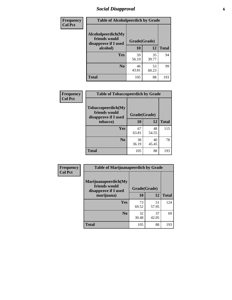# *Social Disapproval* **6**

| Frequency      | <b>Table of Alcoholpeerdich by Grade</b>                    |              |             |              |
|----------------|-------------------------------------------------------------|--------------|-------------|--------------|
| <b>Col Pct</b> | Alcoholpeerdich(My<br>friends would<br>disapprove if I used | Grade(Grade) |             |              |
|                | alcohol)                                                    | 10           | 12          | <b>Total</b> |
|                | <b>Yes</b>                                                  | 59<br>56.19  | 35<br>39.77 | 94           |
|                | N <sub>0</sub>                                              | 46<br>43.81  | 53<br>60.23 | 99           |
|                | <b>Total</b>                                                | 105          | 88          | 193          |

| <b>Frequency</b> |
|------------------|
| <b>Col Pct</b>   |

| <b>Table of Tobaccopeerdich by Grade</b>                    |              |             |              |  |  |
|-------------------------------------------------------------|--------------|-------------|--------------|--|--|
| Tobaccopeerdich(My<br>friends would<br>disapprove if I used | Grade(Grade) |             |              |  |  |
| tobacco)                                                    | 10           | 12          | <b>Total</b> |  |  |
| Yes                                                         | 67<br>63.81  | 48<br>54.55 | 115          |  |  |
| N <sub>0</sub>                                              | 38           | 40          | 78           |  |  |
|                                                             | 36.19        | 45.45       |              |  |  |
| <b>Total</b>                                                | 105          | 88          | 193          |  |  |

| Frequency      | <b>Table of Marijuanapeerdich by Grade</b>                    |              |             |              |  |  |
|----------------|---------------------------------------------------------------|--------------|-------------|--------------|--|--|
| <b>Col Pct</b> | Marijuanapeerdich(My<br>friends would<br>disapprove if I used | Grade(Grade) |             |              |  |  |
|                | marijuana)                                                    | 10           | 12          | <b>Total</b> |  |  |
|                | <b>Yes</b>                                                    | 73<br>69.52  | 51<br>57.95 | 124          |  |  |
|                | N <sub>0</sub>                                                | 32<br>30.48  | 37<br>42.05 | 69           |  |  |
|                | <b>Total</b>                                                  | 105          | 88          | 193          |  |  |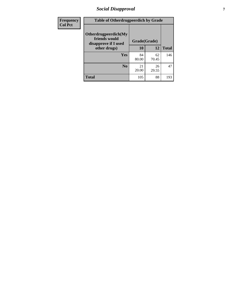# *Social Disapproval* **7**

| Frequency      | <b>Table of Otherdrugpeerdich by Grade</b>                    |              |             |              |  |
|----------------|---------------------------------------------------------------|--------------|-------------|--------------|--|
| <b>Col Pct</b> | Otherdrugpeerdich(My<br>friends would<br>disapprove if I used | Grade(Grade) |             |              |  |
|                | other drugs)                                                  | 10           | 12          | <b>Total</b> |  |
|                | Yes                                                           | 84<br>80.00  | 62<br>70.45 | 146          |  |
|                | N <sub>0</sub>                                                | 21<br>20.00  | 26<br>29.55 | 47           |  |
|                | <b>Total</b>                                                  | 105          | 88          | 193          |  |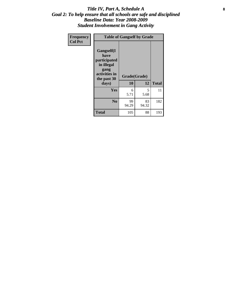### Title IV, Part A, Schedule A **8** *Goal 2: To help ensure that all schools are safe and disciplined Baseline Data: Year 2008-2009 Student Involvement in Gang Activity*

| Frequency      | <b>Table of Gangself by Grade</b>                                                                 |                    |             |              |
|----------------|---------------------------------------------------------------------------------------------------|--------------------|-------------|--------------|
| <b>Col Pct</b> | Gangself(I<br>have<br>participated<br>in illegal<br>gang<br>activities in<br>the past 30<br>days) | Grade(Grade)<br>10 | 12          | <b>Total</b> |
|                | Yes                                                                                               | 6<br>5.71          | 5<br>5.68   | 11           |
|                | N <sub>0</sub>                                                                                    | 99<br>94.29        | 83<br>94.32 | 182          |
|                | <b>Total</b>                                                                                      | 105                | 88          | 193          |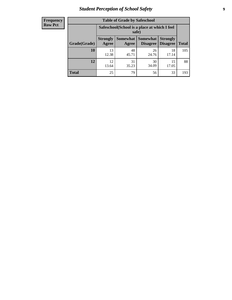# *Student Perception of School Safety* **9**

| <b>Frequency</b><br>Row Pct |
|-----------------------------|
|                             |

| <b>Table of Grade by Safeschool</b> |                                                                                                          |             |             |             |     |  |
|-------------------------------------|----------------------------------------------------------------------------------------------------------|-------------|-------------|-------------|-----|--|
|                                     | Safeschool (School is a place at which I feel<br>safe)                                                   |             |             |             |     |  |
| Grade(Grade)                        | Somewhat Somewhat<br><b>Strongly</b><br><b>Strongly</b><br><b>Disagree</b><br>Agree<br>Disagree<br>Agree |             |             |             |     |  |
| 10                                  | 13<br>12.38                                                                                              | 48<br>45.71 | 26<br>24.76 | 18<br>17.14 | 105 |  |
| 12                                  | 12.<br>13.64                                                                                             | 31<br>35.23 | 30<br>34.09 | 15<br>17.05 | 88  |  |
| <b>Total</b>                        | 25                                                                                                       | 79          | 56          | 33          | 193 |  |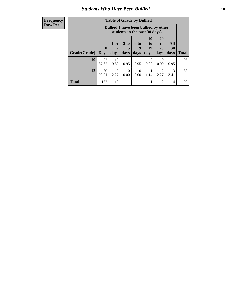### *Students Who Have Been Bullied* **10**

#### **Frequency Row Pct**

| <b>Table of Grade by Bullied</b>                                                                                                                                                          |             |                                                                               |                  |                  |                  |                        |           |     |
|-------------------------------------------------------------------------------------------------------------------------------------------------------------------------------------------|-------------|-------------------------------------------------------------------------------|------------------|------------------|------------------|------------------------|-----------|-----|
|                                                                                                                                                                                           |             | <b>Bullied</b> (I have been bullied by other<br>students in the past 30 days) |                  |                  |                  |                        |           |     |
| 10<br>20<br>All<br>3 <sub>to</sub><br>1 or<br>6 to<br>to<br>to<br>$\mathbf{0}$<br>19<br>29<br>30<br>9<br>5<br>Grade(Grade)<br>days<br>days<br>days<br>days<br>days<br><b>Days</b><br>days |             |                                                                               |                  |                  |                  | <b>Total</b>           |           |     |
| 10                                                                                                                                                                                        | 92<br>87.62 | 10<br>9.52                                                                    | 0.95             | 0.95             | $\Omega$<br>0.00 | $\theta$<br>0.00       | 0.95      | 105 |
| 12                                                                                                                                                                                        | 80<br>90.91 | $\overline{c}$<br>2.27                                                        | $\Omega$<br>0.00 | $\Omega$<br>0.00 | 1.14             | $\overline{2}$<br>2.27 | 3<br>3.41 | 88  |
| <b>Total</b>                                                                                                                                                                              | 172         | 12                                                                            | 1                |                  |                  | $\overline{2}$         | 4         | 193 |

 $\blacksquare$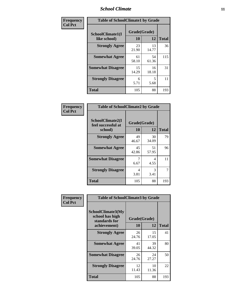### *School Climate* **11**

| <b>Frequency</b> | <b>Table of SchoolClimate1 by Grade</b> |                    |             |              |  |  |
|------------------|-----------------------------------------|--------------------|-------------|--------------|--|--|
| <b>Col Pct</b>   | SchoolClimate1(I<br>like school)        | Grade(Grade)<br>10 | 12          | <b>Total</b> |  |  |
|                  | <b>Strongly Agree</b>                   | 23<br>21.90        | 13<br>14.77 | 36           |  |  |
|                  | <b>Somewhat Agree</b>                   | 61<br>58.10        | 54<br>61.36 | 115          |  |  |
|                  | <b>Somewhat Disagree</b>                | 15<br>14.29        | 16<br>18.18 | 31           |  |  |
|                  | <b>Strongly Disagree</b>                | 6<br>5.71          | 5<br>5.68   | 11           |  |  |
|                  | <b>Total</b>                            | 105                | 88          | 193          |  |  |

| <b>Table of SchoolClimate2 by Grade</b>           |                    |             |              |  |  |
|---------------------------------------------------|--------------------|-------------|--------------|--|--|
| SchoolClimate2(I<br>feel successful at<br>school) | Grade(Grade)<br>10 | 12          | <b>Total</b> |  |  |
| <b>Strongly Agree</b>                             | 49<br>46.67        | 30<br>34.09 | 79           |  |  |
| <b>Somewhat Agree</b>                             | 45<br>42.86        | 51<br>57.95 | 96           |  |  |
| <b>Somewhat Disagree</b>                          | 7<br>6.67          | 4<br>4.55   | 11           |  |  |
| <b>Strongly Disagree</b>                          | 4<br>3.81          | 3<br>3.41   | 7            |  |  |
| <b>Total</b>                                      | 105                | 88          | 193          |  |  |

| Frequency      | <b>Table of SchoolClimate3 by Grade</b>                                      |                    |             |              |  |
|----------------|------------------------------------------------------------------------------|--------------------|-------------|--------------|--|
| <b>Col Pct</b> | <b>SchoolClimate3(My</b><br>school has high<br>standards for<br>achievement) | Grade(Grade)<br>10 | 12          | <b>Total</b> |  |
|                |                                                                              |                    |             |              |  |
|                | <b>Strongly Agree</b>                                                        | 26<br>24.76        | 15<br>17.05 | 41           |  |
|                | <b>Somewhat Agree</b>                                                        | 41<br>39.05        | 39<br>44.32 | 80           |  |
|                | <b>Somewhat Disagree</b>                                                     | 26<br>24.76        | 24<br>27.27 | 50           |  |
|                | <b>Strongly Disagree</b>                                                     | 12<br>11.43        | 10<br>11.36 | 22           |  |
|                | Total                                                                        | 105                | 88          | 193          |  |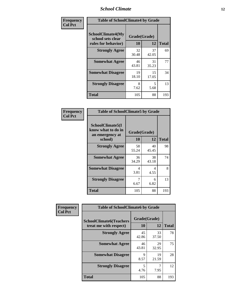### *School Climate* **12**

| Frequency      | <b>Table of SchoolClimate4 by Grade</b>                              |                    |             |              |
|----------------|----------------------------------------------------------------------|--------------------|-------------|--------------|
| <b>Col Pct</b> | <b>SchoolClimate4(My</b><br>school sets clear<br>rules for behavior) | Grade(Grade)<br>10 | 12          | <b>Total</b> |
|                | <b>Strongly Agree</b>                                                | 32<br>30.48        | 37<br>42.05 | 69           |
|                | <b>Somewhat Agree</b>                                                | 46<br>43.81        | 31<br>35.23 | 77           |
|                | <b>Somewhat Disagree</b>                                             | 19<br>18.10        | 15<br>17.05 | 34           |
|                | <b>Strongly Disagree</b>                                             | 8<br>7.62          | 5<br>5.68   | 13           |
|                | <b>Total</b>                                                         | 105                | 88          | 193          |

| <b>Table of SchoolClimate5 by Grade</b>                   |              |             |              |  |  |
|-----------------------------------------------------------|--------------|-------------|--------------|--|--|
| SchoolClimate5(I<br>know what to do in<br>an emergency at | Grade(Grade) |             |              |  |  |
| school)                                                   | 10           | 12          | <b>Total</b> |  |  |
| <b>Strongly Agree</b>                                     | 58<br>55.24  | 40<br>45.45 | 98           |  |  |
| <b>Somewhat Agree</b>                                     | 36<br>34.29  | 38<br>43.18 | 74           |  |  |
| <b>Somewhat Disagree</b>                                  | 4<br>3.81    | 4<br>4.55   | 8            |  |  |
| <b>Strongly Disagree</b>                                  | 7<br>6.67    | 6<br>6.82   | 13           |  |  |
| Total                                                     | 105          | 88          | 193          |  |  |

| <b>Frequency</b> | <b>Table of SchoolClimate6 by Grade</b>                  |                    |             |              |  |
|------------------|----------------------------------------------------------|--------------------|-------------|--------------|--|
| <b>Col Pct</b>   | <b>SchoolClimate6(Teachers</b><br>treat me with respect) | Grade(Grade)<br>10 | 12          | <b>Total</b> |  |
|                  | <b>Strongly Agree</b>                                    | 45<br>42.86        | 33<br>37.50 | 78           |  |
|                  | <b>Somewhat Agree</b>                                    | 46<br>43.81        | 29<br>32.95 | 75           |  |
|                  | <b>Somewhat Disagree</b>                                 | 9<br>8.57          | 19<br>21.59 | 28           |  |
|                  | <b>Strongly Disagree</b>                                 | 5<br>4.76          | 7.95        | 12           |  |
|                  | <b>Total</b>                                             | 105                | 88          | 193          |  |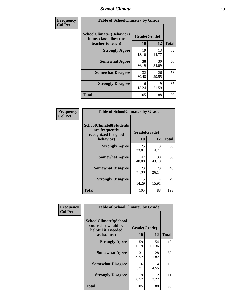### *School Climate* **13**

| Frequency      | <b>Table of SchoolClimate7 by Grade</b>                                       |                    |             |              |
|----------------|-------------------------------------------------------------------------------|--------------------|-------------|--------------|
| <b>Col Pct</b> | <b>SchoolClimate7(Behaviors</b><br>in my class allow the<br>teacher to teach) | Grade(Grade)<br>10 | 12          | <b>Total</b> |
|                | <b>Strongly Agree</b>                                                         | 19<br>18.10        | 13<br>14.77 | 32           |
|                | <b>Somewhat Agree</b>                                                         | 38<br>36.19        | 30<br>34.09 | 68           |
|                | <b>Somewhat Disagree</b>                                                      | 32<br>30.48        | 26<br>29.55 | 58           |
|                | <b>Strongly Disagree</b>                                                      | 16<br>15.24        | 19<br>21.59 | 35           |
|                | <b>Total</b>                                                                  | 105                | 88          | 193          |

| Frequency      | <b>Table of SchoolClimate8 by Grade</b>                                              |                    |             |              |
|----------------|--------------------------------------------------------------------------------------|--------------------|-------------|--------------|
| <b>Col Pct</b> | <b>SchoolClimate8(Students</b><br>are frequently<br>recognized for good<br>behavior) | Grade(Grade)<br>10 | 12          | <b>Total</b> |
|                | <b>Strongly Agree</b>                                                                | 25<br>23.81        | 13<br>14.77 | 38           |
|                | <b>Somewhat Agree</b>                                                                | 42<br>40.00        | 38<br>43.18 | 80           |
|                | <b>Somewhat Disagree</b>                                                             | 23<br>21.90        | 23<br>26.14 | 46           |
|                | <b>Strongly Disagree</b>                                                             | 15<br>14.29        | 14<br>15.91 | 29           |
|                | <b>Total</b>                                                                         | 105                | 88          | 193          |

| Frequency      | <b>Table of SchoolClimate9 by Grade</b>                                           |                    |             |              |
|----------------|-----------------------------------------------------------------------------------|--------------------|-------------|--------------|
| <b>Col Pct</b> | SchoolClimate9(School<br>counselor would be<br>helpful if I needed<br>assistance) | Grade(Grade)<br>10 | 12          | <b>Total</b> |
|                | <b>Strongly Agree</b>                                                             | 59<br>56.19        | 54<br>61.36 | 113          |
|                | <b>Somewhat Agree</b>                                                             | 31<br>29.52        | 28<br>31.82 | 59           |
|                | <b>Somewhat Disagree</b>                                                          | 6<br>5.71          | 4<br>4.55   | 10           |
|                | <b>Strongly Disagree</b>                                                          | 9<br>8.57          | 2<br>2.27   | 11           |
|                | <b>Total</b>                                                                      | 105                | 88          | 193          |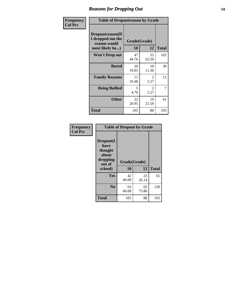### *Reasons for Dropping Out* **14**

| Frequency      | <b>Table of Dropoutreason by Grade</b>                                   |                           |                        |              |
|----------------|--------------------------------------------------------------------------|---------------------------|------------------------|--------------|
| <b>Col Pct</b> | Dropoutreason(If<br>I dropped out the<br>reason would<br>most likely be) | Grade(Grade)<br><b>10</b> | 12                     | <b>Total</b> |
|                | Won't Drop out                                                           | 47<br>44.76               | 55<br>62.50            | 102          |
|                | <b>Bored</b>                                                             | 20<br>19.05               | 10<br>11.36            | 30           |
|                | <b>Family Reasons</b>                                                    | 11<br>10.48               | $\mathfrak{D}$<br>2.27 | 13           |
|                | <b>Being Bullied</b>                                                     | 5<br>4.76                 | 2<br>2.27              | 7            |
|                | <b>Other</b>                                                             | 22<br>20.95               | 19<br>21.59            | 41           |
|                | <b>Total</b>                                                             | 105                       | 88                     | 193          |

| Frequency      |                                                                        |                    | <b>Table of Dropout by Grade</b> |              |  |  |
|----------------|------------------------------------------------------------------------|--------------------|----------------------------------|--------------|--|--|
| <b>Col Pct</b> | Dropout(I<br>have<br>thought<br>about<br>dropping<br>out of<br>school) | Grade(Grade)<br>10 | 12                               | <b>Total</b> |  |  |
|                | Yes                                                                    | 42<br>40.00        | 23<br>26.14                      | 65           |  |  |
|                | N <sub>0</sub>                                                         | 63<br>60.00        | 65<br>73.86                      | 128          |  |  |
|                | <b>Total</b>                                                           | 105                | 88                               | 193          |  |  |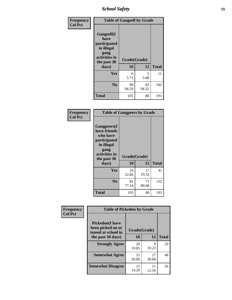*School Safety* **15**

| Frequency      | <b>Table of Gangself by Grade</b>                                                                 |                    |             |              |
|----------------|---------------------------------------------------------------------------------------------------|--------------------|-------------|--------------|
| <b>Col Pct</b> | Gangself(I<br>have<br>participated<br>in illegal<br>gang<br>activities in<br>the past 30<br>days) | Grade(Grade)<br>10 | 12          | <b>Total</b> |
|                | Yes                                                                                               | 6                  | 5           | 11           |
|                |                                                                                                   | 5.71               | 5.68        |              |
|                | N <sub>o</sub>                                                                                    | 99<br>94.29        | 83<br>94.32 | 182          |
|                | <b>Total</b>                                                                                      | 105                | 88          | 193          |

| Frequency<br><b>Col Pct</b> | <b>Table of Gangpeers by Grade</b>                                                                                             |                    |             |              |
|-----------------------------|--------------------------------------------------------------------------------------------------------------------------------|--------------------|-------------|--------------|
|                             | <b>Gangpeers</b> (I<br>have friends<br>who have<br>participated<br>in illegal<br>gang<br>activities in<br>the past 30<br>days) | Grade(Grade)<br>10 | 12          | <b>Total</b> |
|                             | <b>Yes</b>                                                                                                                     | 24<br>22.86        | 17<br>19.32 | 41           |
|                             | N <sub>0</sub>                                                                                                                 | 81<br>77.14        | 71<br>80.68 | 152          |
|                             | <b>Total</b>                                                                                                                   | 105                | 88          | 193          |

| Frequency      | <b>Table of Pickedon by Grade</b>                                  |              |             |              |
|----------------|--------------------------------------------------------------------|--------------|-------------|--------------|
| <b>Col Pct</b> | <b>Pickedon(I have</b><br>been picked on or<br>teased at school in | Grade(Grade) |             |              |
|                | the past 30 days)                                                  | 10           | 12          | <b>Total</b> |
|                | <b>Strongly Agree</b>                                              | 20<br>19.05  | Q<br>10.23  | 29           |
|                | <b>Somewhat Agree</b>                                              | 21<br>20.00  | 27<br>30.68 | 48           |
|                | <b>Somewhat Disagree</b>                                           | 15<br>14.29  | 11<br>12.50 | 26           |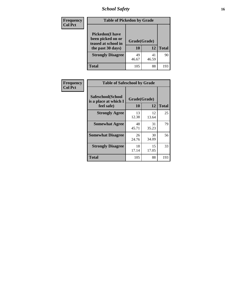# *School Safety* **16**

| <b>Frequency</b> | <b>Table of Pickedon by Grade</b>                                                       |                    |              |     |
|------------------|-----------------------------------------------------------------------------------------|--------------------|--------------|-----|
| <b>Col Pct</b>   | <b>Pickedon(I have</b><br>been picked on or<br>teased at school in<br>the past 30 days) | Grade(Grade)<br>10 | <b>Total</b> |     |
|                  | <b>Strongly Disagree</b>                                                                | 49<br>46.67        | 41<br>46.59  | 90  |
|                  | Total                                                                                   | 105                | 88           | 193 |

| Frequency      |                                                          | <b>Table of Safeschool by Grade</b> |             |              |  |  |  |  |  |  |  |
|----------------|----------------------------------------------------------|-------------------------------------|-------------|--------------|--|--|--|--|--|--|--|
| <b>Col Pct</b> | Safeschool(School<br>is a place at which I<br>feel safe) | Grade(Grade)<br>10                  | 12          | <b>Total</b> |  |  |  |  |  |  |  |
|                | <b>Strongly Agree</b>                                    | 13<br>12.38                         | 12<br>13.64 | 25           |  |  |  |  |  |  |  |
|                | <b>Somewhat Agree</b>                                    | 48<br>45.71                         | 31<br>35.23 | 79           |  |  |  |  |  |  |  |
|                | <b>Somewhat Disagree</b>                                 | 26<br>24.76                         | 30<br>34.09 | 56           |  |  |  |  |  |  |  |
|                | <b>Strongly Disagree</b>                                 | 18<br>17.14                         | 15<br>17.05 | 33           |  |  |  |  |  |  |  |
|                | <b>Total</b>                                             | 105                                 | 88          | 193          |  |  |  |  |  |  |  |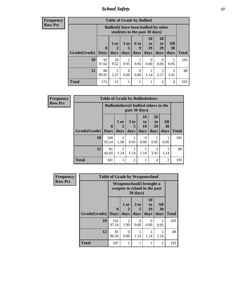*School Safety* **17**

| <b>Frequend</b><br>Row Pct |
|----------------------------|

| $\mathbf{c}\mathbf{v}$ |                     | <b>Table of Grade by Bullied</b> |                                                                               |                 |                      |                  |                       |           |              |  |
|------------------------|---------------------|----------------------------------|-------------------------------------------------------------------------------|-----------------|----------------------|------------------|-----------------------|-----------|--------------|--|
|                        |                     |                                  | <b>Bullied</b> (I have been bullied by other<br>students in the past 30 days) |                 |                      |                  |                       |           |              |  |
|                        |                     | $\bf{0}$                         | $1$ or                                                                        | 3 <sub>to</sub> | 6 <sup>to</sup><br>9 | 10<br>to<br>19   | <b>20</b><br>to<br>29 | All<br>30 |              |  |
|                        | Grade(Grade)   Days |                                  | days                                                                          | days            | days                 | days             | days                  | days      | <b>Total</b> |  |
|                        | <b>10</b>           | 92<br>87.62                      | 10<br>9.52                                                                    | 0.95            | 0.95                 | $\Omega$<br>0.00 | 0<br>0.00             | 0.95      | 105          |  |
|                        | 12                  | 80<br>90.91                      | $\mathfrak{D}$<br>2.27                                                        | 0<br>0.00       | $\Omega$<br>0.00     | 1.14             | 2.27                  | 3<br>3.41 | 88           |  |
|                        | <b>Total</b>        | 172                              | 12                                                                            | 1               | 1                    |                  | $\mathfrak{D}$        | 4         | 193          |  |

| <b>Frequency</b> |                           | <b>Table of Grade by Bulliedothers</b> |                                               |                         |                        |                                           |                   |              |  |  |  |  |
|------------------|---------------------------|----------------------------------------|-----------------------------------------------|-------------------------|------------------------|-------------------------------------------|-------------------|--------------|--|--|--|--|
| <b>Row Pct</b>   |                           |                                        | <b>Bulliedothers</b> (I bullied others in the |                         | past 30 days)          |                                           |                   |              |  |  |  |  |
|                  | <b>Grade</b> (Grade) Days | $\mathbf{0}$                           | 1 or<br>days                                  | 3 <sub>to</sub><br>days | 10<br>to<br>19<br>days | <b>20</b><br>t <sub>o</sub><br>29<br>days | All<br>30<br>days | <b>Total</b> |  |  |  |  |
|                  | 10                        | 100<br>95.24                           | $\overline{2}$<br>1.90                        | 0.95                    | $\Omega$<br>0.00       | 0.95                                      | 0.95              | 105          |  |  |  |  |
|                  | 12                        | 81<br>92.05                            | 1.14                                          | 1.14                    | 1.14                   | 3<br>3.41                                 | 1.14              | 88           |  |  |  |  |
|                  | <b>Total</b>              | 181                                    | 3                                             | $\overline{2}$          |                        | 4                                         | $\overline{2}$    | 193          |  |  |  |  |

| <b>Frequency</b> | <b>Table of Grade by Weaponschool</b> |                                                           |                   |                              |                               |                          |              |  |  |  |
|------------------|---------------------------------------|-----------------------------------------------------------|-------------------|------------------------------|-------------------------------|--------------------------|--------------|--|--|--|
| <b>Row Pct</b>   |                                       | Weaponschool (I brought a<br>weapon to school in the past |                   |                              |                               |                          |              |  |  |  |
|                  | <b>Grade</b> (Grade) Days             | $\bf{0}$                                                  | 1 or<br>2<br>days | 3 <sub>to</sub><br>5<br>days | <b>10</b><br>to<br>19<br>days | All<br><b>30</b><br>days | <b>Total</b> |  |  |  |
|                  | 10                                    | 102<br>97.14                                              | 2<br>1.90         | 0<br>0.00                    | 0<br>0.00                     | 0.95                     | 105          |  |  |  |
|                  | 12                                    | 85<br>96.59                                               | $\Omega$<br>0.00  | 1.14                         | 1.14                          | 1.14                     | 88           |  |  |  |
|                  | <b>Total</b>                          | 187                                                       | $\overline{2}$    |                              |                               | 2                        | 193          |  |  |  |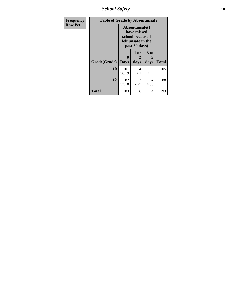*School Safety* **18**

| <b>Frequency</b> | <b>Table of Grade by Absentunsafe</b> |                                                                                           |                   |                   |              |  |  |  |  |
|------------------|---------------------------------------|-------------------------------------------------------------------------------------------|-------------------|-------------------|--------------|--|--|--|--|
| <b>Row Pct</b>   |                                       | Absentunsafe(I)<br>have missed<br>school because I<br>felt unsafe in the<br>past 30 days) |                   |                   |              |  |  |  |  |
|                  | Grade(Grade)                          | $\mathbf{0}$<br><b>Days</b>                                                               | 1 or<br>2<br>days | 3 to<br>5<br>days | <b>Total</b> |  |  |  |  |
|                  | 10                                    | 101<br>96.19                                                                              | 4<br>3.81         | 0<br>0.00         | 105          |  |  |  |  |
|                  | 12                                    | 82<br>93.18                                                                               | 2<br>2.27         | 4<br>4.55         | 88           |  |  |  |  |
|                  | <b>Total</b>                          | 183                                                                                       | 6                 | 4                 | 193          |  |  |  |  |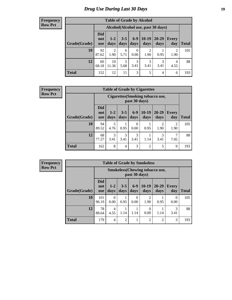# *Drug Use During Last 30 Days* **19**

#### **Frequency Row Pct**

| <b>Table of Grade by Alcohol</b> |                                 |                                    |                 |               |                 |                   |              |       |  |  |
|----------------------------------|---------------------------------|------------------------------------|-----------------|---------------|-----------------|-------------------|--------------|-------|--|--|
|                                  |                                 | Alcohol(Alcohol use, past 30 days) |                 |               |                 |                   |              |       |  |  |
| Grade(Grade)                     | <b>Did</b><br>not<br><b>use</b> | $1 - 2$<br>days                    | $3 - 5$<br>days | $6-9$<br>days | $10-19$<br>days | $20 - 29$<br>days | Every<br>day | Total |  |  |
| 10                               | 92<br>87.62                     | 2<br>1.90                          | 6<br>5.71       | 0<br>0.00     | 2<br>1.90       | 0.95              | 2<br>1.90    | 105   |  |  |
| 12                               | 60<br>68.18                     | 10<br>11.36                        | 5<br>5.68       | 3<br>3.41     | 3<br>3.41       | 3<br>3.41         | 4<br>4.55    | 88    |  |  |
| <b>Total</b>                     | 152                             | 12                                 | 11              | 3             | 5               | 4                 | 6            | 193   |  |  |

#### **Frequency Row Pct**

| <b>Table of Grade by Cigarettes</b> |                                 |                                                   |                 |                 |                 |                        |                        |              |  |  |
|-------------------------------------|---------------------------------|---------------------------------------------------|-----------------|-----------------|-----------------|------------------------|------------------------|--------------|--|--|
|                                     |                                 | Cigarettes (Smoking tobacco use,<br>past 30 days) |                 |                 |                 |                        |                        |              |  |  |
| Grade(Grade)                        | <b>Did</b><br>not<br><b>use</b> | $1 - 2$<br>days                                   | $3 - 5$<br>days | $6 - 9$<br>days | $10-19$<br>days | $20 - 29$<br>days      | Every<br>day           | <b>Total</b> |  |  |
| 10                                  | 94<br>89.52                     | 5<br>4.76                                         | 0.95            | 0<br>0.00       | 0.95            | $\mathfrak{D}$<br>1.90 | $\overline{2}$<br>1.90 | 105          |  |  |
| 12                                  | 68<br>77.27                     | $\mathcal{R}$<br>3.41                             | 3<br>3.41       | 3<br>3.41       | 1.14            | 3<br>3.41              | 7<br>7.95              | 88           |  |  |
| <b>Total</b>                        | 162                             | 8                                                 | 4               | 3               | $\overline{c}$  | 5                      | 9                      | 193          |  |  |

**Frequency Row Pct**

| <b>Table of Grade by Smokeless</b> |                                 |                                                         |                 |                  |                 |                   |                  |              |  |  |
|------------------------------------|---------------------------------|---------------------------------------------------------|-----------------|------------------|-----------------|-------------------|------------------|--------------|--|--|
|                                    |                                 | <b>Smokeless</b> (Chewing tobacco use,<br>past 30 days) |                 |                  |                 |                   |                  |              |  |  |
| Grade(Grade)                       | <b>Did</b><br>not<br><b>use</b> | $1 - 2$<br>days                                         | $3 - 5$<br>days | $6-9$<br>days    | $10-19$<br>days | $20 - 29$<br>days | Every<br>day     | <b>Total</b> |  |  |
| 10                                 | 101<br>96.19                    | 0<br>0.00                                               | 0.95            | $\Omega$<br>0.00 | 2<br>1.90       | 0.95              | $\theta$<br>0.00 | 105          |  |  |
| 12                                 | 78<br>88.64                     | 4<br>4.55                                               | 1.14            | 1.14             | 0<br>0.00       | 1.14              | 3<br>3.41        | 88           |  |  |
| <b>Total</b>                       | 179                             | 4                                                       | $\overline{2}$  |                  | $\overline{2}$  | $\overline{2}$    | 3                | 193          |  |  |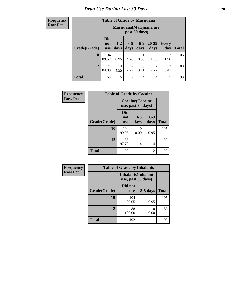**Frequency Row Pct**

| <b>Table of Grade by Marijuana</b> |                                 |                 |                 |                 |                           |                        |              |  |  |
|------------------------------------|---------------------------------|-----------------|-----------------|-----------------|---------------------------|------------------------|--------------|--|--|
|                                    |                                 |                 |                 | past 30 days)   | Marijuana (Marijuana use, |                        |              |  |  |
| Grade(Grade)                       | <b>Did</b><br>not<br><b>use</b> | $1 - 2$<br>days | $3 - 5$<br>days | $6 - 9$<br>days | 20-29<br>days             | Every<br>day           | <b>Total</b> |  |  |
| 10                                 | 94<br>89.52                     | 0.95            | 5<br>4.76       | 0.95            | 2<br>1.90                 | $\overline{c}$<br>1.90 | 105          |  |  |
| 12                                 | 74<br>84.09                     | 4<br>4.55       | 2<br>2.27       | 3<br>3.41       | $\mathfrak{D}$<br>2.27    | 3<br>3.41              | 88           |  |  |
| <b>Total</b>                       | 168                             | 5               | 7               | 4               | 4                         | 5                      | 193          |  |  |

| Frequency      | <b>Table of Grade by Cocaine</b> |                                               |                 |               |              |
|----------------|----------------------------------|-----------------------------------------------|-----------------|---------------|--------------|
| <b>Row Pct</b> |                                  | <b>Cocaine</b> (Cocaine<br>use, past 30 days) |                 |               |              |
|                | Grade(Grade)                     | <b>Did</b><br>not<br><b>use</b>               | $3 - 5$<br>days | $6-9$<br>days | <b>Total</b> |
|                | 10                               | 104<br>99.05                                  | 0<br>0.00       | 0.95          | 105          |
|                | 12                               | 86<br>97.73                                   | 1.14            | 1.14          | 88           |
|                | <b>Total</b>                     | 190                                           |                 | 2             | 193          |

| <b>Frequency</b> | <b>Table of Grade by Inhalants</b> |                       |                                                  |              |  |
|------------------|------------------------------------|-----------------------|--------------------------------------------------|--------------|--|
| <b>Row Pct</b>   |                                    |                       | <b>Inhalants</b> (Inhalant<br>use, past 30 days) |              |  |
|                  | Grade(Grade)                       | Did not<br><b>use</b> | $3-5$ days                                       | <b>Total</b> |  |
|                  | 10                                 | 104<br>99.05          | 0.95                                             | 105          |  |
|                  | 12                                 | 88<br>100.00          | 0<br>0.00                                        | 88           |  |
|                  | <b>Total</b>                       | 192                   |                                                  | 193          |  |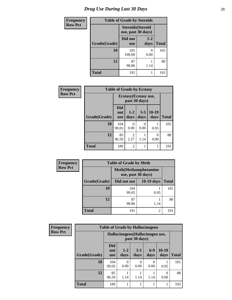| <b>Frequency</b> | <b>Table of Grade by Steroids</b> |                                                |                           |              |  |
|------------------|-----------------------------------|------------------------------------------------|---------------------------|--------------|--|
| <b>Row Pct</b>   |                                   | <b>Steroids</b> (Steroid<br>use, past 30 days) |                           |              |  |
|                  | Grade(Grade)                      | Did not<br><b>use</b>                          | $1 - 2$<br>days           | <b>Total</b> |  |
|                  | 10                                | 105<br>100.00                                  | $\mathbf{\Omega}$<br>0.00 | 105          |  |
|                  | 12                                | 87<br>98.86                                    | 1.14                      | 88           |  |
|                  | <b>Total</b>                      | 192                                            |                           | 193          |  |

| <b>Frequency</b> | <b>Table of Grade by Ecstasy</b> |                                 |                                        |                  |                 |              |
|------------------|----------------------------------|---------------------------------|----------------------------------------|------------------|-----------------|--------------|
| <b>Row Pct</b>   |                                  |                                 | Ecstasy (Ecstasy use,<br>past 30 days) |                  |                 |              |
|                  | Grade(Grade)                     | <b>Did</b><br>not<br><b>use</b> | $1 - 2$<br>days                        | $3 - 5$<br>days  | $10-19$<br>days | <b>Total</b> |
|                  | 10                               | 104<br>99.05                    | 0<br>0.00                              | $\theta$<br>0.00 | 0.95            | 105          |
|                  | 12                               | 85<br>96.59                     | $\overline{2}$<br>2.27                 | 1.14             | 0<br>0.00       | 88           |
|                  | <b>Total</b>                     | 189                             | $\overline{2}$                         |                  |                 | 193          |

| Frequency      | <b>Table of Grade by Meth</b> |                                                    |                |              |  |  |
|----------------|-------------------------------|----------------------------------------------------|----------------|--------------|--|--|
| <b>Row Pct</b> |                               | <b>Meth</b> (Methamphetamine<br>use, past 30 days) |                |              |  |  |
|                | Grade(Grade)                  | Did not use                                        | $10-19$ days   | <b>Total</b> |  |  |
|                | <b>10</b>                     | 104<br>99.05                                       | 0.95           | 105          |  |  |
|                | 12                            | 87<br>98.86                                        | 1.14           | 88           |  |  |
|                | <b>Total</b>                  | 191                                                | $\overline{c}$ | 193          |  |  |

| Frequency      | <b>Table of Grade by Hallucinogens</b> |                                                   |                 |                  |               |                 |              |
|----------------|----------------------------------------|---------------------------------------------------|-----------------|------------------|---------------|-----------------|--------------|
| <b>Row Pct</b> |                                        | Hallucinogens (Hallucinogen use,<br>past 30 days) |                 |                  |               |                 |              |
|                | Grade(Grade)                           | <b>Did</b><br>not<br><b>use</b>                   | $1 - 2$<br>days | $3 - 5$<br>days  | $6-9$<br>days | $10-19$<br>days | <b>Total</b> |
|                | <b>10</b>                              | 104<br>99.05                                      | 0.00            | $\Omega$<br>0.00 | 0<br>0.00     | 0.95            | 105          |
|                | 12                                     | 85<br>96.59                                       | 1.14            | 1.14             | 1.14          | 0<br>0.00       | 88           |
|                | <b>Total</b>                           | 189                                               |                 |                  | 1             |                 | 193          |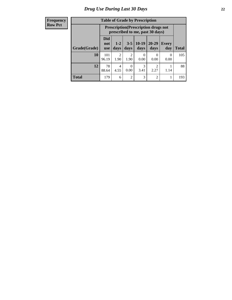#### **Frequency Row Pct**

| <b>Table of Grade by Prescription</b> |                          |                                                                                |                                     |                  |                |                     |              |
|---------------------------------------|--------------------------|--------------------------------------------------------------------------------|-------------------------------------|------------------|----------------|---------------------|--------------|
|                                       |                          | <b>Prescription</b> (Prescription drugs not<br>prescribed to me, past 30 days) |                                     |                  |                |                     |              |
| Grade(Grade)                          | Did<br>not<br><b>use</b> | $1 - 2$<br>days                                                                | $3 - 5$<br>days                     | $10-19$<br>days  | 20-29<br>days  | <b>Every</b><br>day | <b>Total</b> |
| 10                                    | 101<br>96.19             | 2<br>1.90                                                                      | $\mathcal{D}_{\mathcal{A}}$<br>1.90 | $\Omega$<br>0.00 | 0<br>0.00      | $\Omega$<br>0.00    | 105          |
| 12                                    | 78<br>88.64              | 4<br>4.55                                                                      | 0.00                                | 3<br>3.41        | 2<br>2.27      | 1.14                | 88           |
| <b>Total</b>                          | 179                      | 6                                                                              | $\mathfrak{D}$                      | 3                | $\overline{2}$ |                     | 193          |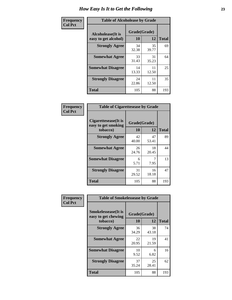| Frequency      | <b>Table of Alcoholease by Grade</b>              |                    |             |              |  |
|----------------|---------------------------------------------------|--------------------|-------------|--------------|--|
| <b>Col Pct</b> | <b>Alcoholease</b> (It is<br>easy to get alcohol) | Grade(Grade)<br>10 | 12          | <b>Total</b> |  |
|                | <b>Strongly Agree</b>                             | 34<br>32.38        | 35<br>39.77 | 69           |  |
|                | <b>Somewhat Agree</b>                             | 33<br>31.43        | 31<br>35.23 | 64           |  |
|                | <b>Somewhat Disagree</b>                          | 14<br>13.33        | 11<br>12.50 | 25           |  |
|                | <b>Strongly Disagree</b>                          | 24<br>22.86        | 11<br>12.50 | 35           |  |
|                | <b>Total</b>                                      | 105                | 88          | 193          |  |

| Frequency      | <b>Table of Cigarettesease by Grade</b>                  |                    |             |              |  |
|----------------|----------------------------------------------------------|--------------------|-------------|--------------|--|
| <b>Col Pct</b> | Cigarettesease (It is<br>easy to get smoking<br>tobacco) | Grade(Grade)<br>10 | 12          | <b>Total</b> |  |
|                | <b>Strongly Agree</b>                                    | 42<br>40.00        | 47<br>53.41 | 89           |  |
|                | <b>Somewhat Agree</b>                                    | 26<br>24.76        | 18<br>20.45 | 44           |  |
|                | <b>Somewhat Disagree</b>                                 | 6<br>5.71          | 7.95        | 13           |  |
|                | <b>Strongly Disagree</b>                                 | 31<br>29.52        | 16<br>18.18 | 47           |  |
|                | <b>Total</b>                                             | 105                | 88          | 193          |  |

| Frequency      | <b>Table of Smokelessease by Grade</b>             |              |             |              |  |  |
|----------------|----------------------------------------------------|--------------|-------------|--------------|--|--|
| <b>Col Pct</b> | <b>Smokelessease</b> (It is<br>easy to get chewing | Grade(Grade) |             |              |  |  |
|                | tobacco)                                           | <b>10</b>    | 12          | <b>Total</b> |  |  |
|                | <b>Strongly Agree</b>                              | 36<br>34.29  | 38<br>43.18 | 74           |  |  |
|                | <b>Somewhat Agree</b>                              | 22<br>20.95  | 19<br>21.59 | 41           |  |  |
|                | <b>Somewhat Disagree</b>                           | 10<br>9.52   | 6<br>6.82   | 16           |  |  |
|                | <b>Strongly Disagree</b>                           | 37<br>35.24  | 25<br>28.41 | 62           |  |  |
|                | Total                                              | 105          | 88          | 193          |  |  |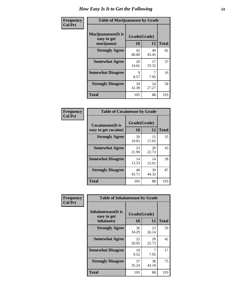| Frequency      | <b>Table of Marijuanaease by Grade</b>            |                           |             |              |
|----------------|---------------------------------------------------|---------------------------|-------------|--------------|
| <b>Col Pct</b> | Marijuanaease (It is<br>easy to get<br>marijuana) | Grade(Grade)<br><b>10</b> | 12          | <b>Total</b> |
|                | <b>Strongly Agree</b>                             | 42<br>40.00               | 40<br>45.45 | 82           |
|                | <b>Somewhat Agree</b>                             | 20<br>19.05               | 17<br>19.32 | 37           |
|                | <b>Somewhat Disagree</b>                          | 9<br>8.57                 | 7.95        | 16           |
|                | <b>Strongly Disagree</b>                          | 34<br>32.38               | 24<br>27.27 | 58           |
|                | <b>Total</b>                                      | 105                       | 88          | 193          |

| <b>Table of Cocaineease by Grade</b>              |                    |              |     |  |  |  |
|---------------------------------------------------|--------------------|--------------|-----|--|--|--|
| <b>Cocaineease</b> (It is<br>easy to get cocaine) | Grade(Grade)<br>10 | <b>Total</b> |     |  |  |  |
| <b>Strongly Agree</b>                             | 20<br>19.05        | 15<br>17.05  | 35  |  |  |  |
| <b>Somewhat Agree</b>                             | 23<br>21.90        | 20<br>22.73  | 43  |  |  |  |
| <b>Somewhat Disagree</b>                          | 14<br>13.33        | 14<br>15.91  | 28  |  |  |  |
| <b>Strongly Disagree</b>                          | 48<br>45.71        | 39<br>44.32  | 87  |  |  |  |
| <b>Total</b>                                      | 105                | 88           | 193 |  |  |  |

| Frequency      | <b>Table of Inhalantsease by Grade</b>                   |                           |             |              |  |
|----------------|----------------------------------------------------------|---------------------------|-------------|--------------|--|
| <b>Col Pct</b> | <b>Inhalantsease</b> (It is<br>easy to get<br>inhalants) | Grade(Grade)<br><b>10</b> | 12          | <b>Total</b> |  |
|                | <b>Strongly Agree</b>                                    | 36<br>34.29               | 23<br>26.14 | 59           |  |
|                | <b>Somewhat Agree</b>                                    | 22<br>20.95               | 20<br>22.73 | 42           |  |
|                | <b>Somewhat Disagree</b>                                 | 10<br>9.52                | 7.95        | 17           |  |
|                | <b>Strongly Disagree</b>                                 | 37<br>35.24               | 38<br>43.18 | 75           |  |
|                | <b>Total</b>                                             | 105                       | 88          | 193          |  |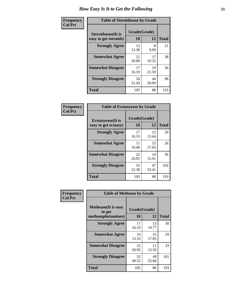| Frequency      | <b>Table of Steroidsease by Grade</b>               |                    |              |     |  |  |  |  |  |  |
|----------------|-----------------------------------------------------|--------------------|--------------|-----|--|--|--|--|--|--|
| <b>Col Pct</b> | <b>Steroidsease</b> (It is<br>easy to get steroids) | Grade(Grade)<br>10 | <b>Total</b> |     |  |  |  |  |  |  |
|                | <b>Strongly Agree</b>                               | 13<br>12.38        | 8<br>9.09    | 21  |  |  |  |  |  |  |
|                | <b>Somewhat Agree</b>                               | 21<br>20.00        | 17<br>19.32  | 38  |  |  |  |  |  |  |
|                | <b>Somewhat Disagree</b>                            | 17<br>16.19        | 19<br>21.59  | 36  |  |  |  |  |  |  |
|                | <b>Strongly Disagree</b>                            | 54<br>51.43        | 44<br>50.00  | 98  |  |  |  |  |  |  |
|                | <b>Total</b>                                        | 105                | 88           | 193 |  |  |  |  |  |  |

| Frequency      | <b>Table of Ecstasyease by Grade</b>              |                    |              |     |  |  |  |  |  |  |  |
|----------------|---------------------------------------------------|--------------------|--------------|-----|--|--|--|--|--|--|--|
| <b>Col Pct</b> | <b>Ecstasyease</b> (It is<br>easy to get ecstasy) | Grade(Grade)<br>10 | <b>Total</b> |     |  |  |  |  |  |  |  |
|                | <b>Strongly Agree</b>                             | 17<br>16.19        | 12<br>13.64  | 29  |  |  |  |  |  |  |  |
|                | <b>Somewhat Agree</b>                             | 11<br>10.48        | 15<br>17.05  | 26  |  |  |  |  |  |  |  |
|                | <b>Somewhat Disagree</b>                          | 22<br>20.95        | 14<br>15.91  | 36  |  |  |  |  |  |  |  |
|                | <b>Strongly Disagree</b>                          | 55<br>52.38        | 47<br>53.41  | 102 |  |  |  |  |  |  |  |
|                | Total                                             | 105                | 88           | 193 |  |  |  |  |  |  |  |

| Frequency      |                                                            | <b>Table of Methease by Grade</b> |              |     |  |  |  |  |  |  |  |
|----------------|------------------------------------------------------------|-----------------------------------|--------------|-----|--|--|--|--|--|--|--|
| <b>Col Pct</b> | <b>Methease</b> (It is easy<br>to get<br>methamphetamines) | Grade(Grade)<br>10                | <b>Total</b> |     |  |  |  |  |  |  |  |
|                | <b>Strongly Agree</b>                                      | 17<br>16.19                       | 13<br>14.77  | 30  |  |  |  |  |  |  |  |
|                | <b>Somewhat Agree</b>                                      | 14<br>13.33                       | 15<br>17.05  | 29  |  |  |  |  |  |  |  |
|                | <b>Somewhat Disagree</b>                                   | 22<br>20.95                       | 11<br>12.50  | 33  |  |  |  |  |  |  |  |
|                | <b>Strongly Disagree</b>                                   | 52<br>49.52                       | 49<br>55.68  | 101 |  |  |  |  |  |  |  |
|                | Total                                                      | 105                               | 88           | 193 |  |  |  |  |  |  |  |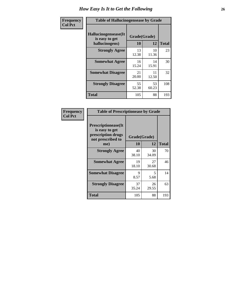| <b>Frequency</b> | <b>Table of Hallucinogensease by Grade</b>               |                    |              |     |  |  |  |  |  |  |  |
|------------------|----------------------------------------------------------|--------------------|--------------|-----|--|--|--|--|--|--|--|
| <b>Col Pct</b>   | Hallucinogensease(It<br>is easy to get<br>hallucinogens) | Grade(Grade)<br>10 | <b>Total</b> |     |  |  |  |  |  |  |  |
|                  | <b>Strongly Agree</b>                                    | 13<br>12.38        | 10<br>11.36  | 23  |  |  |  |  |  |  |  |
|                  | <b>Somewhat Agree</b>                                    | 16<br>15.24        | 14<br>15.91  | 30  |  |  |  |  |  |  |  |
|                  | <b>Somewhat Disagree</b>                                 | 21<br>20.00        | 11<br>12.50  | 32  |  |  |  |  |  |  |  |
|                  | <b>Strongly Disagree</b>                                 | 55<br>52.38        | 53<br>60.23  | 108 |  |  |  |  |  |  |  |
|                  | <b>Total</b>                                             | 105                | 88           | 193 |  |  |  |  |  |  |  |

| <b>Frequency</b><br>Col Pct |
|-----------------------------|
|                             |

| <b>Table of Prescriptionease by Grade</b>                                                |             |              |              |  |  |  |  |  |  |
|------------------------------------------------------------------------------------------|-------------|--------------|--------------|--|--|--|--|--|--|
| <b>Prescriptionease</b> (It<br>is easy to get<br>prescription drugs<br>not prescribed to |             | Grade(Grade) |              |  |  |  |  |  |  |
| me)                                                                                      | 10          | 12           | <b>Total</b> |  |  |  |  |  |  |
| <b>Strongly Agree</b>                                                                    | 40<br>38.10 | 30<br>34.09  | 70           |  |  |  |  |  |  |
| <b>Somewhat Agree</b>                                                                    | 19<br>18.10 | 27<br>30.68  | 46           |  |  |  |  |  |  |
| <b>Somewhat Disagree</b>                                                                 | Q<br>8.57   | 5<br>5.68    | 14           |  |  |  |  |  |  |
| <b>Strongly Disagree</b>                                                                 | 37<br>35.24 | 26<br>29.55  | 63           |  |  |  |  |  |  |
| Total                                                                                    | 105         | 88           | 193          |  |  |  |  |  |  |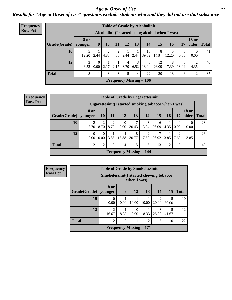### *Age at Onset of Use* **27** *Results for "Age at Onset of Use" questions exclude students who said they did not use that substance*

| Frequency      | <b>Table of Grade by Alcoholinit</b> |                        |                                                  |           |      |           |           |                                    |             |            |                      |                       |              |
|----------------|--------------------------------------|------------------------|--------------------------------------------------|-----------|------|-----------|-----------|------------------------------------|-------------|------------|----------------------|-----------------------|--------------|
| <b>Row Pct</b> |                                      |                        | Alcoholinit (I started using alcohol when I was) |           |      |           |           |                                    |             |            |                      |                       |              |
|                | Grade(Grade)                         | <b>8 or</b><br>younger | 9                                                | 10        | 11   | 12        | 13        | 14                                 | 15          | 16         | 17                   | <b>18 or</b><br>older | <b>Total</b> |
|                | 10                                   | 12.20                  | 2.44                                             | 2<br>4.88 | 2    |           |           | 16<br>$4.88$   2.44   2.44   39.02 | 8<br>19.51  | 12.20      | $\mathbf{0}$<br>0.00 | $\theta$<br>0.00      | 41           |
|                | 12                                   | 3<br>6.52              | $\theta$<br>0.00                                 | 2.17      | 2.17 | 4<br>8.70 | 3<br>6.52 | 6<br>13.04                         | 12<br>26.09 | 8<br>17.39 | 6<br>13.04           | 2<br>4.35             | 46           |
|                | <b>Total</b>                         | 8                      | Τ.                                               | 3         | 3    | 5         | 4         | 22                                 | 20          | 13         | 6                    | 2                     | 87           |
|                |                                      |                        |                                                  |           |      |           |           | Frequency Missing $= 106$          |             |            |                      |                       |              |

| <b>Frequency</b> |
|------------------|
| <b>Row Pct</b>   |

| <b>Table of Grade by Cigarettesinit</b> |                                                                                                                     |                |                        |           |                                             |            |            |      |                |                       |              |
|-----------------------------------------|---------------------------------------------------------------------------------------------------------------------|----------------|------------------------|-----------|---------------------------------------------|------------|------------|------|----------------|-----------------------|--------------|
|                                         | Cigarettesinit (I started smoking tobacco when I was)                                                               |                |                        |           |                                             |            |            |      |                |                       |              |
| Grade(Grade)                            | 8 or<br>younger                                                                                                     | <b>10</b>      | <b>11</b>              | <b>12</b> | 13                                          | 14         | <b>15</b>  | 16   | 17             | <b>18 or</b><br>older | <b>Total</b> |
| 10                                      | ↑<br>8.70                                                                                                           | 8.70           | $\overline{2}$<br>8.70 | 0.00      | 30.43                                       | 3<br>13.04 | 6<br>26.09 | 4.35 | 0.00           | 0.00                  | 23           |
| 12                                      | 8<br>7<br>2<br>26<br>0<br>◠<br>4<br>30.77<br>0.00<br>0.00<br>3.85<br>15.38<br>3.85<br>7.69<br>3.85<br>26.92<br>7.69 |                |                        |           |                                             |            |            |      |                |                       |              |
| <b>Total</b>                            | $\overline{2}$                                                                                                      | $\overline{c}$ | 3                      | 4         | 15                                          | 5          | 13         | 2    | $\overline{2}$ |                       | 49           |
|                                         |                                                                                                                     |                |                        |           | <b>Frequency Missing <math>= 144</math></b> |            |            |      |                |                       |              |

| <b>Frequency</b> |                        | <b>Table of Grade by Smokelessinit</b> |                                                           |                           |       |            |            |              |  |  |  |  |  |
|------------------|------------------------|----------------------------------------|-----------------------------------------------------------|---------------------------|-------|------------|------------|--------------|--|--|--|--|--|
| <b>Row Pct</b>   |                        |                                        | Smokelessinit (I started chewing tobacco<br>when $I$ was) |                           |       |            |            |              |  |  |  |  |  |
|                  | Grade(Grade)   younger | 8 or                                   | 9                                                         | 12                        | 13    | 14         | <b>15</b>  | <b>Total</b> |  |  |  |  |  |
|                  | 10                     | 0<br>0.00                              | 10.00                                                     | 10.00                     | 10.00 | 20.00      | 5<br>50.00 | 10           |  |  |  |  |  |
|                  | 12                     | $\mathcal{D}$<br>16.67                 | 8.33                                                      | $\Omega$<br>0.00          | 8.33  | 3<br>25.00 | 5<br>41.67 | 12           |  |  |  |  |  |
|                  | <b>Total</b>           | $\overline{c}$                         | 2                                                         |                           | 2     | 5          | 10         | 22           |  |  |  |  |  |
|                  |                        |                                        |                                                           | Frequency Missing $= 171$ |       |            |            |              |  |  |  |  |  |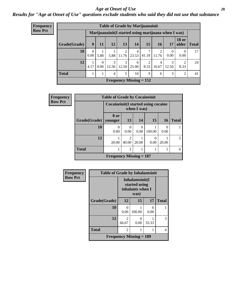#### *Age at Onset of Use* **28**

*Results for "Age at Onset of Use" questions exclude students who said they did not use that substance*

| <b>Frequency</b> | <b>Table of Grade by Marijuanainit</b> |                                                     |                  |                |                                  |                                |            |            |                  |                       |              |
|------------------|----------------------------------------|-----------------------------------------------------|------------------|----------------|----------------------------------|--------------------------------|------------|------------|------------------|-----------------------|--------------|
| <b>Row Pct</b>   |                                        | Marijuanainit(I started using marijuana when I was) |                  |                |                                  |                                |            |            |                  |                       |              |
|                  | Grade(Grade)                           | 9                                                   | 11               | 12             | 13 <sup>1</sup>                  | 14                             | 15         | 16         | 17               | <b>18 or</b><br>older | <b>Total</b> |
|                  | <b>10</b>                              | $\theta$<br>$0.00^{\circ}$                          | 5.88             | 5.88           | 2<br>11.76                       | $\overline{4}$<br>23.53        | 7<br>41.18 | 2<br>11.76 | $\Omega$<br>0.00 | $\Omega$<br>0.00      | 17           |
|                  | 12                                     | 4.17                                                | $\Omega$<br>0.00 | 3              | 3<br>$12.50$   $12.50$   $25.00$ | 6                              | 2<br>8.33  | 4<br>16.67 | 3<br>12.50       | 2<br>8.33             | 24           |
|                  | <b>Total</b>                           |                                                     |                  | $\overline{4}$ | 5                                | 10                             | 9          | 6          | 3                | $\overline{2}$        | 41           |
|                  |                                        |                                                     |                  |                |                                  | <b>Frequency Missing = 152</b> |            |            |                  |                       |              |

| Frequency      |              | <b>Table of Grade by Cocaineinit</b> |                                                       |           |        |           |              |  |  |  |  |
|----------------|--------------|--------------------------------------|-------------------------------------------------------|-----------|--------|-----------|--------------|--|--|--|--|
| <b>Row Pct</b> |              |                                      | Cocaine in it (I started using cocaine<br>when I was) |           |        |           |              |  |  |  |  |
|                | Grade(Grade) | 8 or<br>vounger                      | 13                                                    | 14        | 15     | <b>16</b> | <b>Total</b> |  |  |  |  |
|                | 10           | $\Omega$<br>0.00                     | 0.00                                                  | 0<br>0.00 | 100.00 | 0<br>0.00 |              |  |  |  |  |
|                | 12           | 20.00                                | $\mathcal{D}_{\mathcal{L}}$<br>40.00                  | 20.00     | 0.00   | 20.00     | 5            |  |  |  |  |
|                | <b>Total</b> |                                      | $\overline{2}$                                        |           |        |           | 6            |  |  |  |  |
|                |              | Frequency Missing $= 187$            |                                                       |           |        |           |              |  |  |  |  |

| Frequency      | <b>Table of Grade by Inhalantsinit</b> |                                                              |                           |                           |              |
|----------------|----------------------------------------|--------------------------------------------------------------|---------------------------|---------------------------|--------------|
| <b>Row Pct</b> |                                        | Inhalantsinit(I<br>started using<br>inhalants when I<br>was) |                           |                           |              |
|                | Grade(Grade)                           | 12                                                           | 15                        | 17                        | <b>Total</b> |
|                | 10                                     | $\Omega$<br>0.00                                             | 100.00                    | $\mathbf{\Omega}$<br>0.00 |              |
|                | 12                                     | $\mathfrak{D}$<br>66.67                                      | 0<br>0.00                 | 33.33                     | 3            |
|                | <b>Total</b>                           | 2                                                            |                           |                           | 4            |
|                |                                        |                                                              | Frequency Missing $= 189$ |                           |              |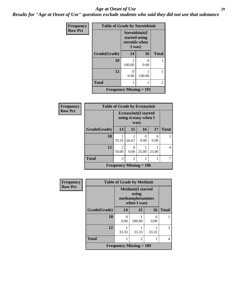#### *Age at Onset of Use* **29**

*Results for "Age at Onset of Use" questions exclude students who said they did not use that substance*

| <b>Frequency</b> | <b>Table of Grade by Steroidsinit</b> |                                                            |           |                |  |
|------------------|---------------------------------------|------------------------------------------------------------|-----------|----------------|--|
| <b>Row Pct</b>   |                                       | Steroidsinit(I<br>started using<br>steroids when<br>I was) |           |                |  |
|                  | Grade(Grade)                          | 14                                                         | 16        | <b>Total</b>   |  |
|                  | 10                                    | 100.00                                                     | 0<br>0.00 |                |  |
|                  | 12                                    | 0<br>0.00                                                  | 100.00    | 1              |  |
|                  | <b>Total</b>                          | 1                                                          |           | $\overline{2}$ |  |
|                  | <b>Frequency Missing = 191</b>        |                                                            |           |                |  |

| <b>Frequency</b> | <b>Table of Grade by Ecstasyinit</b> |                                                               |                         |                           |           |                          |
|------------------|--------------------------------------|---------------------------------------------------------------|-------------------------|---------------------------|-----------|--------------------------|
| <b>Row Pct</b>   |                                      | <b>Ecstasyinit</b> (I started<br>using ecstasy when I<br>was) |                         |                           |           |                          |
|                  | Grade(Grade)                         | 13                                                            | 15                      | <b>16</b>                 | 17        | <b>Total</b>             |
|                  | 10                                   | 33.33                                                         | $\overline{2}$<br>66.67 | $\theta$<br>0.00          | 0<br>0.00 | 3                        |
|                  | 12                                   | $\mathfrak{D}$<br>50.00                                       | 0<br>0.00               | 25.00                     | 25.00     | $\overline{\mathcal{A}}$ |
|                  | <b>Total</b>                         | 3                                                             | $\mathfrak{D}$          |                           |           | 7                        |
|                  |                                      |                                                               |                         | Frequency Missing $= 186$ |           |                          |

| Frequency      |              | <b>Table of Grade by Methinit</b>                                      |        |       |              |  |  |
|----------------|--------------|------------------------------------------------------------------------|--------|-------|--------------|--|--|
| <b>Row Pct</b> |              | <b>Methinit</b> (I started<br>using<br>methamphetamines<br>when I was) |        |       |              |  |  |
|                | Grade(Grade) | 14                                                                     | 15     | 16    | <b>Total</b> |  |  |
|                | 10           | 0.00                                                                   | 100.00 | 0.00  |              |  |  |
|                | 12           | 33.33                                                                  | 33.33  | 33.33 | 3            |  |  |
|                | <b>Total</b> |                                                                        | 2      |       | 4            |  |  |
|                |              | <b>Frequency Missing = 189</b>                                         |        |       |              |  |  |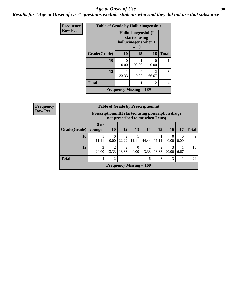#### Age at Onset of Use **30**

*Results for "Age at Onset of Use" questions exclude students who said they did not use that substance*

| Frequency      | <b>Table of Grade by Hallucinogensinit</b> |                                                                      |           |            |              |  |
|----------------|--------------------------------------------|----------------------------------------------------------------------|-----------|------------|--------------|--|
| <b>Row Pct</b> |                                            | Hallucinogensinit(I<br>started using<br>hallucinogens when I<br>was) |           |            |              |  |
|                | Grade(Grade)                               | 10                                                                   | 15        | 16         | <b>Total</b> |  |
|                | 10                                         | 0<br>0.00                                                            | 100.00    | 0<br>0.00  |              |  |
|                | 12                                         | 33.33                                                                | 0<br>0.00 | 2<br>66.67 | 3            |  |
|                | <b>Total</b>                               |                                                                      |           | 2          | 4            |  |
|                | <b>Frequency Missing = 189</b>             |                                                                      |           |            |              |  |

| <b>Frequency</b> | <b>Table of Grade by Prescriptioninit</b> |                        |                                                                                         |                           |                  |                         |                         |                  |                  |              |
|------------------|-------------------------------------------|------------------------|-----------------------------------------------------------------------------------------|---------------------------|------------------|-------------------------|-------------------------|------------------|------------------|--------------|
| <b>Row Pct</b>   |                                           |                        | Prescriptioninit(I started using prescription drugs<br>not prescribed to me when I was) |                           |                  |                         |                         |                  |                  |              |
|                  | Grade(Grade)                              | 8 or<br>younger        | <b>10</b>                                                                               | <b>12</b>                 | <b>13</b>        | <b>14</b>               | 15                      | <b>16</b>        | 17               | <b>Total</b> |
|                  | <b>10</b>                                 | 11.11                  | $\Omega$<br>0.00                                                                        | 2<br>22.22                | 11.11            | 4<br>44.44              | 11.11                   | $\theta$<br>0.00 | $\Omega$<br>0.00 | 9            |
|                  | 12                                        | $\mathcal{R}$<br>20.00 | $\mathcal{D}_{\mathcal{L}}$<br>13.33                                                    | ↑<br>13.33                | $\Omega$<br>0.00 | $\mathfrak{D}$<br>13.33 | $\overline{c}$<br>13.33 | 3<br>20.00       | 6.67             | 15           |
|                  | <b>Total</b>                              | 4                      | 2                                                                                       | $\overline{4}$            |                  | 6                       | 3                       | 3                |                  | 24           |
|                  |                                           |                        |                                                                                         | Frequency Missing $= 169$ |                  |                         |                         |                  |                  |              |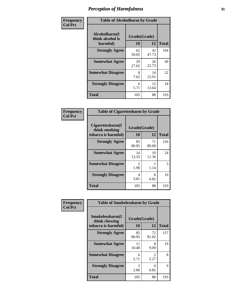| Frequency      | <b>Table of Alcoholharm by Grade</b>          |                    |             |              |  |  |
|----------------|-----------------------------------------------|--------------------|-------------|--------------|--|--|
| <b>Col Pct</b> | Alcoholharm(I<br>think alcohol is<br>harmful) | Grade(Grade)<br>10 | 12          | <b>Total</b> |  |  |
|                | <b>Strongly Agree</b>                         | 62<br>59.05        | 42<br>47.73 | 104          |  |  |
|                | <b>Somewhat Agree</b>                         | 29<br>27.62        | 20<br>22.73 | 49           |  |  |
|                | <b>Somewhat Disagree</b>                      | 8<br>7.62          | 14<br>15.91 | 22           |  |  |
|                | <b>Strongly Disagree</b>                      | 6<br>5.71          | 12<br>13.64 | 18           |  |  |
|                | <b>Total</b>                                  | 105                | 88          | 193          |  |  |

| <b>Table of Cigarettesharm by Grade</b>                  |                        |             |              |  |  |  |  |
|----------------------------------------------------------|------------------------|-------------|--------------|--|--|--|--|
| Cigarettesharm(I<br>think smoking<br>tobacco is harmful) | Grade(Grade)<br>10     | 12          | <b>Total</b> |  |  |  |  |
| <b>Strongly Agree</b>                                    | 85<br>80.95            | 71<br>80.68 | 156          |  |  |  |  |
| <b>Somewhat Agree</b>                                    | 14<br>13.33            | 10<br>11.36 | 24           |  |  |  |  |
| <b>Somewhat Disagree</b>                                 | $\mathfrak{D}$<br>1.90 | 1.14        | 3            |  |  |  |  |
| <b>Strongly Disagree</b>                                 | 4<br>3.81              | 6<br>6.82   | 10           |  |  |  |  |
| <b>Total</b>                                             | 105                    | 88          | 193          |  |  |  |  |

| Frequency      | <b>Table of Smokelessharm by Grade</b>                  |                    |                        |              |  |
|----------------|---------------------------------------------------------|--------------------|------------------------|--------------|--|
| <b>Col Pct</b> | Smokelessharm(I<br>think chewing<br>tobacco is harmful) | Grade(Grade)<br>10 | 12                     | <b>Total</b> |  |
|                | <b>Strongly Agree</b>                                   | 85<br>80.95        | 72<br>81.82            | 157          |  |
|                | <b>Somewhat Agree</b>                                   | 11<br>10.48        | 8<br>9.09              | 19           |  |
|                | <b>Somewhat Disagree</b>                                | 6<br>5.71          | $\mathfrak{D}$<br>2.27 | 8            |  |
|                | <b>Strongly Disagree</b>                                | 3<br>2.86          | 6<br>6.82              | 9            |  |
|                | <b>Total</b>                                            | 105                | 88                     | 193          |  |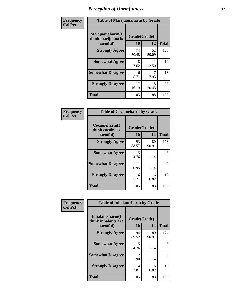| Frequency      |                                                   | <b>Table of Marijuanaharm by Grade</b> |             |              |  |  |
|----------------|---------------------------------------------------|----------------------------------------|-------------|--------------|--|--|
| <b>Col Pct</b> | Marijuanaharm(I<br>think marijuana is<br>harmful) | Grade(Grade)<br>10                     | 12          | <b>Total</b> |  |  |
|                | <b>Strongly Agree</b>                             | 74<br>70.48                            | 52<br>59.09 | 126          |  |  |
|                | <b>Somewhat Agree</b>                             | 8<br>7.62                              | 11<br>12.50 | 19           |  |  |
|                | <b>Somewhat Disagree</b>                          | 6<br>5.71                              | 7.95        | 13           |  |  |
|                | <b>Strongly Disagree</b>                          | 17<br>16.19                            | 18<br>20.45 | 35           |  |  |
|                | <b>Total</b>                                      | 105                                    | 88          | 193          |  |  |

| <b>Table of Cocaineharm by Grade</b>          |                    |             |              |  |  |  |
|-----------------------------------------------|--------------------|-------------|--------------|--|--|--|
| Cocaineharm(I<br>think cocaine is<br>harmful) | Grade(Grade)<br>10 | 12          | <b>Total</b> |  |  |  |
| <b>Strongly Agree</b>                         | 93<br>88.57        | 80<br>90.91 | 173          |  |  |  |
| <b>Somewhat Agree</b>                         | 5<br>4.76          | 1.14        | 6            |  |  |  |
| <b>Somewhat Disagree</b>                      | 0.95               | 1.14        | 2            |  |  |  |
| <b>Strongly Disagree</b>                      | 6<br>5.71          | 6<br>6.82   | 12           |  |  |  |
| <b>Total</b>                                  | 105                | 88          | 193          |  |  |  |

| Frequency      | <b>Table of Inhalantsharm by Grade</b>             |                    |             |              |  |
|----------------|----------------------------------------------------|--------------------|-------------|--------------|--|
| <b>Col Pct</b> | Inhalantsharm(I<br>think inhalants are<br>harmful) | Grade(Grade)<br>10 | 12          | <b>Total</b> |  |
|                | <b>Strongly Agree</b>                              | 94<br>89.52        | 80<br>90.91 | 174          |  |
|                | <b>Somewhat Agree</b>                              | 5<br>4.76          | 1.14        | 6            |  |
|                | <b>Somewhat Disagree</b>                           | 2<br>1.90          | 1.14        | 3            |  |
|                | <b>Strongly Disagree</b>                           | 4<br>3.81          | 6<br>6.82   | 10           |  |
|                | <b>Total</b>                                       | 105                | 88          | 193          |  |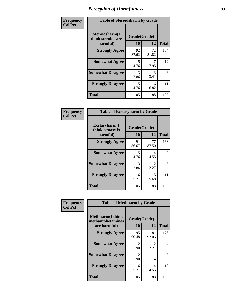| Frequency      | <b>Table of Steroidsharm by Grade</b>            |                    |             |              |
|----------------|--------------------------------------------------|--------------------|-------------|--------------|
| <b>Col Pct</b> | Steroidsharm(I<br>think steroids are<br>harmful) | Grade(Grade)<br>10 | 12          | <b>Total</b> |
|                | <b>Strongly Agree</b>                            | 92<br>87.62        | 72<br>81.82 | 164          |
|                | <b>Somewhat Agree</b>                            | 5<br>4.76          | 7.95        | 12           |
|                | <b>Somewhat Disagree</b>                         | 3<br>2.86          | 3<br>3.41   | 6            |
|                | <b>Strongly Disagree</b>                         | 5<br>4.76          | 6<br>6.82   | 11           |
|                | <b>Total</b>                                     | 105                | 88          | 193          |

| <b>Table of Ecstasyharm by Grade</b>          |                    |                        |     |  |  |
|-----------------------------------------------|--------------------|------------------------|-----|--|--|
| Ecstasyharm(I<br>think ecstasy is<br>harmful) | Grade(Grade)<br>10 | <b>Total</b>           |     |  |  |
| <b>Strongly Agree</b>                         | 91<br>86.67        | 77<br>87.50            | 168 |  |  |
| <b>Somewhat Agree</b>                         | 5<br>4.76          | 4<br>4.55              | 9   |  |  |
| <b>Somewhat Disagree</b>                      | 3<br>2.86          | $\mathfrak{D}$<br>2.27 | 5   |  |  |
| <b>Strongly Disagree</b>                      | 6<br>5.71          | 5<br>5.68              | 11  |  |  |
| <b>Total</b>                                  | 105                | 88                     | 193 |  |  |

| Frequency      | <b>Table of Methharm by Grade</b>                            |                        |                       |              |
|----------------|--------------------------------------------------------------|------------------------|-----------------------|--------------|
| <b>Col Pct</b> | <b>Methharm</b> (I think<br>methamphetamines<br>are harmful) | Grade(Grade)<br>10     | 12                    | <b>Total</b> |
|                | <b>Strongly Agree</b>                                        | 95<br>90.48            | 81<br>92.05           | 176          |
|                | <b>Somewhat Agree</b>                                        | 2<br>1.90              | $\mathcal{L}$<br>2.27 | 4            |
|                | <b>Somewhat Disagree</b>                                     | $\mathfrak{D}$<br>1.90 | 1.14                  | 3            |
|                | <b>Strongly Disagree</b>                                     | 6<br>5.71              | 4<br>4.55             | 10           |
|                | <b>Total</b>                                                 | 105                    | 88                    | 193          |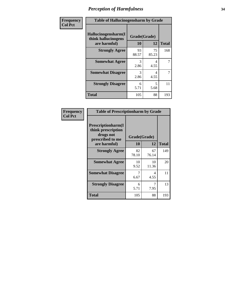| Frequency      | <b>Table of Hallucinogensharm by Grade</b>                 |                    |                                  |              |
|----------------|------------------------------------------------------------|--------------------|----------------------------------|--------------|
| <b>Col Pct</b> | Hallucinogensharm(I<br>think hallucinogens<br>are harmful) | Grade(Grade)<br>10 | 12                               | <b>Total</b> |
|                | <b>Strongly Agree</b>                                      | 93<br>88.57        | 75<br>85.23                      | 168          |
|                | <b>Somewhat Agree</b>                                      | 3<br>2.86          | 4<br>4.55                        | 7            |
|                | <b>Somewhat Disagree</b>                                   | 3<br>2.86          | 4<br>4.55                        | 7            |
|                | <b>Strongly Disagree</b>                                   | 6<br>5.71          | $\overline{\phantom{0}}$<br>5.68 | 11           |
|                | <b>Total</b>                                               | 105                | 88                               | 193          |

| <b>Table of Prescriptionharm by Grade</b>                                         |              |             |              |  |
|-----------------------------------------------------------------------------------|--------------|-------------|--------------|--|
| <b>Prescriptionharm</b> (I<br>think prescription<br>drugs not<br>prescribed to me | Grade(Grade) |             |              |  |
| are harmful)                                                                      | 10           | 12          | <b>Total</b> |  |
| <b>Strongly Agree</b>                                                             | 82<br>78.10  | 67<br>76.14 | 149          |  |
| <b>Somewhat Agree</b>                                                             | 10<br>9.52   | 10<br>11.36 | 20           |  |
| <b>Somewhat Disagree</b>                                                          | 7<br>6.67    | 4<br>4.55   | 11           |  |
| <b>Strongly Disagree</b>                                                          | 6<br>5.71    | 7<br>7.95   | 13           |  |
| <b>Total</b>                                                                      | 105          | 88          | 193          |  |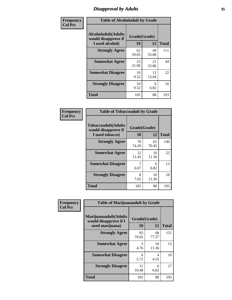# *Disapproval by Adults* **35**

| Frequency      | <b>Table of Alcoholadult by Grade</b>                                 |                    |             |              |
|----------------|-----------------------------------------------------------------------|--------------------|-------------|--------------|
| <b>Col Pct</b> | <b>Alcoholadult</b> (Adults<br>would disapprove if<br>I used alcohol) | Grade(Grade)<br>10 | 12          | <b>Total</b> |
|                | <b>Strongly Agree</b>                                                 | 62<br>59.05        | 49<br>55.68 | 111          |
|                | <b>Somewhat Agree</b>                                                 | 23<br>21.90        | 21<br>23.86 | 44           |
|                | <b>Somewhat Disagree</b>                                              | 10<br>9.52         | 12<br>13.64 | 22           |
|                | <b>Strongly Disagree</b>                                              | 10<br>9.52         | 6<br>6.82   | 16           |
|                | <b>Total</b>                                                          | 105                | 88          | 193          |

| <b>Table of Tobaccoadult by Grade</b>                                |                    |             |              |  |  |
|----------------------------------------------------------------------|--------------------|-------------|--------------|--|--|
| <b>Tobaccoadult(Adults</b><br>would disapprove if<br>I used tobacco) | Grade(Grade)<br>10 | 12          | <b>Total</b> |  |  |
| <b>Strongly Agree</b>                                                | 78<br>74.29        | 62<br>70.45 | 140          |  |  |
| <b>Somewhat Agree</b>                                                | 12<br>11.43        | 10<br>11.36 | 22           |  |  |
| <b>Somewhat Disagree</b>                                             | 7<br>6.67          | 6<br>6.82   | 13           |  |  |
| <b>Strongly Disagree</b>                                             | 8<br>7.62          | 10<br>11.36 | 18           |  |  |
| <b>Total</b>                                                         | 105                | 88          | 193          |  |  |

| Frequency      | <b>Table of Marijuanaadult by Grade</b>                           |                    |             |              |
|----------------|-------------------------------------------------------------------|--------------------|-------------|--------------|
| <b>Col Pct</b> | Marijuanaadult(Adults<br>would disapprove if I<br>used marijuana) | Grade(Grade)<br>10 | 12          | <b>Total</b> |
|                | <b>Strongly Agree</b>                                             | 83<br>79.05        | 68<br>77.27 | 151          |
|                | <b>Somewhat Agree</b>                                             | 5<br>4.76          | 10<br>11.36 | 15           |
|                | <b>Somewhat Disagree</b>                                          | 6<br>5.71          | 4<br>4.55   | 10           |
|                | <b>Strongly Disagree</b>                                          | 11<br>10.48        | 6<br>6.82   | 17           |
|                | <b>Total</b>                                                      | 105                | 88          | 193          |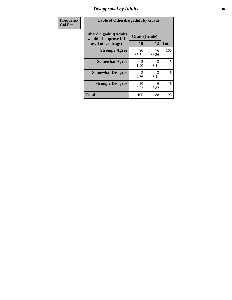# *Disapproval by Adults* **36**

| Frequency      | <b>Table of Otherdrugadult by Grade</b>                                     |                                     |                       |              |
|----------------|-----------------------------------------------------------------------------|-------------------------------------|-----------------------|--------------|
| <b>Col Pct</b> | <b>Otherdrugadult</b> (Adults<br>would disapprove if I<br>used other drugs) | Grade(Grade)<br>10                  | 12                    | <b>Total</b> |
|                | <b>Strongly Agree</b>                                                       | 90<br>85.71                         | 76<br>86.36           | 166          |
|                | <b>Somewhat Agree</b>                                                       | $\mathcal{D}_{\mathcal{L}}$<br>1.90 | $\mathcal{R}$<br>3.41 | 5            |
|                | <b>Somewhat Disagree</b>                                                    | 3<br>2.86                           | 3<br>3.41             | 6            |
|                | <b>Strongly Disagree</b>                                                    | 10<br>9.52                          | 6<br>6.82             | 16           |
|                | <b>Total</b>                                                                | 105                                 | 88                    | 193          |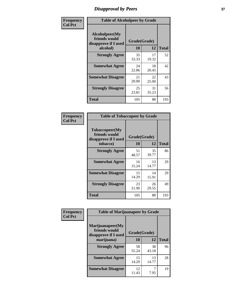# *Disapproval by Peers* **37**

| Frequency      | <b>Table of Alcoholpeer by Grade</b>                    |              |             |              |
|----------------|---------------------------------------------------------|--------------|-------------|--------------|
| <b>Col Pct</b> | Alcoholpeer(My<br>friends would<br>disapprove if I used | Grade(Grade) |             |              |
|                | alcohol)                                                | 10           | 12          | <b>Total</b> |
|                | <b>Strongly Agree</b>                                   | 35<br>33.33  | 17<br>19.32 | 52           |
|                | <b>Somewhat Agree</b>                                   | 24<br>22.86  | 18<br>20.45 | 42           |
|                | <b>Somewhat Disagree</b>                                | 21<br>20.00  | 22<br>25.00 | 43           |
|                | <b>Strongly Disagree</b>                                | 25<br>23.81  | 31<br>35.23 | 56           |
|                | Total                                                   | 105          | 88          | 193          |

| Frequency      | <b>Table of Tobaccopeer by Grade</b>                                |                    |             |              |
|----------------|---------------------------------------------------------------------|--------------------|-------------|--------------|
| <b>Col Pct</b> | Tobaccopeer(My<br>friends would<br>disapprove if I used<br>tobacco) | Grade(Grade)<br>10 | 12          | <b>Total</b> |
|                | <b>Strongly Agree</b>                                               | 51<br>48.57        | 35<br>39.77 | 86           |
|                | <b>Somewhat Agree</b>                                               | 16<br>15.24        | 13<br>14.77 | 29           |
|                | <b>Somewhat Disagree</b>                                            | 15<br>14.29        | 14<br>15.91 | 29           |
|                | <b>Strongly Disagree</b>                                            | 23<br>21.90        | 26<br>29.55 | 49           |
|                | Total                                                               | 105                | 88          | 193          |

| Frequency<br><b>Col Pct</b> | <b>Table of Marijuanapeer by Grade</b> |              |             |              |
|-----------------------------|----------------------------------------|--------------|-------------|--------------|
|                             | Marijuanapeer(My<br>friends would      | Grade(Grade) |             |              |
|                             | disapprove if I used<br>marijuana)     | 10           | 12          | <b>Total</b> |
|                             | <b>Strongly Agree</b>                  | 58<br>55.24  | 38<br>43.18 | 96           |
|                             | <b>Somewhat Agree</b>                  | 15<br>14.29  | 13<br>14.77 | 28           |
|                             | <b>Somewhat Disagree</b>               | 12<br>11.43  | 7.95        | 19           |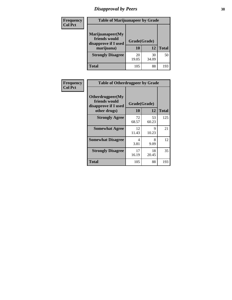# *Disapproval by Peers* **38**

| Frequency<br><b>Col Pct</b> | <b>Table of Marijuanapeer by Grade</b>                                  |                    |             |              |
|-----------------------------|-------------------------------------------------------------------------|--------------------|-------------|--------------|
|                             | Marijuanapeer(My<br>friends would<br>disapprove if I used<br>marijuana) | Grade(Grade)<br>10 | 12          | <b>Total</b> |
|                             | <b>Strongly Disagree</b>                                                | 20<br>19.05        | 30<br>34.09 | 50           |
|                             | Total                                                                   | 105                | 88          | 193          |

| Frequency      | <b>Table of Otherdrugpeer by Grade</b>                                    |             |                    |              |
|----------------|---------------------------------------------------------------------------|-------------|--------------------|--------------|
| <b>Col Pct</b> | Otherdrugpeer(My<br>friends would<br>disapprove if I used<br>other drugs) | 10          | Grade(Grade)<br>12 | <b>Total</b> |
|                | <b>Strongly Agree</b>                                                     | 72<br>68.57 | 53<br>60.23        | 125          |
|                | <b>Somewhat Agree</b>                                                     | 12<br>11.43 | 9<br>10.23         | 21           |
|                | <b>Somewhat Disagree</b>                                                  | 4<br>3.81   | 8<br>9.09          | 12           |
|                | <b>Strongly Disagree</b>                                                  | 17<br>16.19 | 18<br>20.45        | 35           |
|                | Total                                                                     | 105         | 88                 | 193          |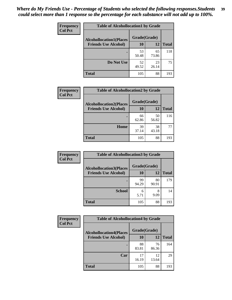| Frequency<br><b>Col Pct</b> | <b>Table of Alcohollocation1 by Grade</b> |              |             |              |
|-----------------------------|-------------------------------------------|--------------|-------------|--------------|
|                             | <b>Alcohollocation1(Places</b>            | Grade(Grade) |             |              |
|                             | <b>Friends Use Alcohol)</b>               | 10           | 12          | <b>Total</b> |
|                             |                                           | 53<br>50.48  | 65<br>73.86 | 118          |
|                             | Do Not Use                                | 52<br>49.52  | 23<br>26.14 | 75           |
|                             | <b>Total</b>                              | 105          | 88          | 193          |

| Frequency      | <b>Table of Alcohollocation2 by Grade</b>                     |                    |             |              |
|----------------|---------------------------------------------------------------|--------------------|-------------|--------------|
| <b>Col Pct</b> | <b>Alcohollocation2(Places</b><br><b>Friends Use Alcohol)</b> | Grade(Grade)<br>10 | 12          | <b>Total</b> |
|                |                                                               |                    |             |              |
|                |                                                               | 66<br>62.86        | 50<br>56.82 | 116          |
|                | Home                                                          | 39<br>37.14        | 38<br>43.18 | 77           |
|                | <b>Total</b>                                                  | 105                | 88          | 193          |

| Frequency<br><b>Col Pct</b> | <b>Table of Alcohollocation 3 by Grade</b>                    |                    |             |              |
|-----------------------------|---------------------------------------------------------------|--------------------|-------------|--------------|
|                             | <b>Alcohollocation3(Places</b><br><b>Friends Use Alcohol)</b> | Grade(Grade)<br>10 | 12          | <b>Total</b> |
|                             |                                                               | 99<br>94.29        | 80<br>90.91 | 179          |
|                             | <b>School</b>                                                 | 6<br>5.71          | 8<br>9.09   | 14           |
|                             | <b>Total</b>                                                  | 105                | 88          | 193          |

| Frequency      | <b>Table of Alcohollocation4 by Grade</b> |              |             |              |  |
|----------------|-------------------------------------------|--------------|-------------|--------------|--|
| <b>Col Pct</b> | <b>Alcohollocation4(Places</b>            | Grade(Grade) |             |              |  |
|                | <b>Friends Use Alcohol)</b>               | 10           | 12          | <b>Total</b> |  |
|                |                                           | 88<br>83.81  | 76<br>86.36 | 164          |  |
|                | Car                                       | 17<br>16.19  | 12<br>13.64 | 29           |  |
|                | <b>Total</b>                              | 105          | 88          | 193          |  |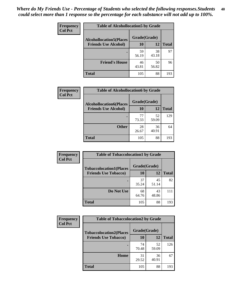| Frequency<br><b>Col Pct</b> | <b>Table of Alcohollocation5 by Grade</b> |              |             |              |  |
|-----------------------------|-------------------------------------------|--------------|-------------|--------------|--|
|                             | <b>Alcohollocation5(Places</b>            | Grade(Grade) |             |              |  |
|                             | <b>Friends Use Alcohol)</b>               | 10           | 12          | <b>Total</b> |  |
|                             |                                           | 59<br>56.19  | 38<br>43.18 | 97           |  |
|                             | <b>Friend's House</b>                     | 46<br>43.81  | 50<br>56.82 | 96           |  |
|                             | Total                                     | 105          | 88          | 193          |  |

| <b>Frequency</b> | <b>Table of Alcohollocation6 by Grade</b>                     |                           |             |              |
|------------------|---------------------------------------------------------------|---------------------------|-------------|--------------|
| <b>Col Pct</b>   | <b>Alcohollocation6(Places</b><br><b>Friends Use Alcohol)</b> | Grade(Grade)<br><b>10</b> | 12          | <b>Total</b> |
|                  |                                                               | 77<br>73.33               | 52<br>59.09 | 129          |
|                  | <b>Other</b>                                                  | 28<br>26.67               | 36<br>40.91 | 64           |
|                  | <b>Total</b>                                                  | 105                       | 88          | 193          |

| Frequency      | <b>Table of Tobaccolocation1 by Grade</b> |              |             |              |
|----------------|-------------------------------------------|--------------|-------------|--------------|
| <b>Col Pct</b> | <b>Tobaccolocation1(Places</b>            | Grade(Grade) |             |              |
|                | <b>Friends Use Tobacco)</b>               | 10           | <b>12</b>   | <b>Total</b> |
|                |                                           | 37<br>35.24  | 45<br>51.14 | 82           |
|                | Do Not Use                                | 68<br>64.76  | 43<br>48.86 | 111          |
|                | <b>Total</b>                              | 105          | 88          | 193          |

| Frequency      | <b>Table of Tobaccolocation2 by Grade</b> |              |             |              |  |
|----------------|-------------------------------------------|--------------|-------------|--------------|--|
| <b>Col Pct</b> | <b>Tobaccolocation2(Places</b>            | Grade(Grade) |             |              |  |
|                | <b>Friends Use Tobacco)</b>               | 10           | 12          | <b>Total</b> |  |
|                |                                           | 74<br>70.48  | 52<br>59.09 | 126          |  |
|                | Home                                      | 31<br>29.52  | 36<br>40.91 | 67           |  |
|                | <b>Total</b>                              | 105          | 88          | 193          |  |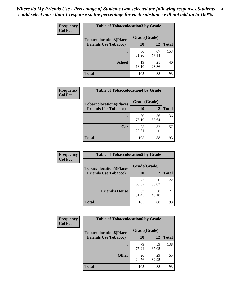| Frequency      | <b>Table of Tobaccolocation 3 by Grade</b> |              |             |              |  |
|----------------|--------------------------------------------|--------------|-------------|--------------|--|
| <b>Col Pct</b> | <b>Tobaccolocation3(Places</b>             | Grade(Grade) |             |              |  |
|                | <b>Friends Use Tobacco)</b>                | 10           | <b>12</b>   | <b>Total</b> |  |
|                | ٠                                          | 86<br>81.90  | 67<br>76.14 | 153          |  |
|                | <b>School</b>                              | 19<br>18.10  | 21<br>23.86 | 40           |  |
|                | <b>Total</b>                               | 105          | 88          | 193          |  |

| Frequency<br><b>Col Pct</b> | <b>Table of Tobaccolocation4 by Grade</b> |              |             |              |  |
|-----------------------------|-------------------------------------------|--------------|-------------|--------------|--|
|                             | <b>Tobaccolocation4(Places</b>            | Grade(Grade) |             |              |  |
|                             | <b>Friends Use Tobacco)</b>               | 10           | 12          | <b>Total</b> |  |
|                             |                                           | 80<br>76.19  | 56<br>63.64 | 136          |  |
|                             | Car                                       | 25<br>23.81  | 32<br>36.36 | 57           |  |
|                             | <b>Total</b>                              | 105          | 88          | 193          |  |

| Frequency      | <b>Table of Tobaccolocation5 by Grade</b> |              |             |              |  |
|----------------|-------------------------------------------|--------------|-------------|--------------|--|
| <b>Col Pct</b> | <b>Tobaccolocation5(Places</b>            | Grade(Grade) |             |              |  |
|                | <b>Friends Use Tobacco)</b>               | 10           | <b>12</b>   | <b>Total</b> |  |
|                |                                           | 72<br>68.57  | 50<br>56.82 | 122          |  |
|                | <b>Friend's House</b>                     | 33<br>31.43  | 38<br>43.18 | 71           |  |
|                | <b>Total</b>                              | 105          | 88          | 193          |  |

| Frequency      | <b>Table of Tobaccolocation6 by Grade</b> |              |             |              |  |  |
|----------------|-------------------------------------------|--------------|-------------|--------------|--|--|
| <b>Col Pct</b> | <b>Tobaccolocation6(Places</b>            | Grade(Grade) |             |              |  |  |
|                | <b>Friends Use Tobacco)</b>               | 10           | 12          | <b>Total</b> |  |  |
|                |                                           | 79<br>75.24  | 59<br>67.05 | 138          |  |  |
|                | <b>Other</b>                              | 26<br>24.76  | 29<br>32.95 | 55           |  |  |
|                | <b>Total</b>                              | 105          | 88          | 193          |  |  |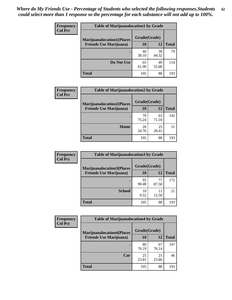| <b>Frequency</b> | <b>Table of Marijuanalocation1 by Grade</b> |              |             |              |
|------------------|---------------------------------------------|--------------|-------------|--------------|
| <b>Col Pct</b>   | <b>Marijuanalocation1(Places</b>            | Grade(Grade) |             |              |
|                  | <b>Friends Use Marijuana</b> )              | 10           | 12          | <b>Total</b> |
|                  |                                             | 40<br>38.10  | 39<br>44.32 | 79           |
|                  | Do Not Use                                  | 65<br>61.90  | 49<br>55.68 | 114          |
|                  | <b>Total</b>                                | 105          | 88          | 193          |

| Frequency      | <b>Table of Marijuanalocation2 by Grade</b>                        |                    |             |              |
|----------------|--------------------------------------------------------------------|--------------------|-------------|--------------|
| <b>Col Pct</b> | <b>Marijuanalocation2(Places</b><br><b>Friends Use Marijuana</b> ) | Grade(Grade)<br>10 | 12          | <b>Total</b> |
|                |                                                                    |                    |             |              |
|                |                                                                    | 79<br>75.24        | 63<br>71.59 | 142          |
|                | Home                                                               | 26<br>24.76        | 25<br>28.41 | 51           |
|                | <b>Total</b>                                                       | 105                | 88          | 193          |

| Frequency      | <b>Table of Marijuanalocation3 by Grade</b> |              |             |              |
|----------------|---------------------------------------------|--------------|-------------|--------------|
| <b>Col Pct</b> | <b>Marijuanalocation3</b> (Places           | Grade(Grade) |             |              |
|                | <b>Friends Use Marijuana</b> )              | 10           | 12          | <b>Total</b> |
|                |                                             | 95           | 77          | 172          |
|                |                                             | 90.48        | 87.50       |              |
|                | <b>School</b>                               | 10<br>9.52   | 11<br>12.50 | 21           |
|                | <b>Total</b>                                | 105          | 88          | 193          |

| <b>Frequency</b> | <b>Table of Marijuanalocation4 by Grade</b> |              |             |              |  |
|------------------|---------------------------------------------|--------------|-------------|--------------|--|
| <b>Col Pct</b>   | <b>Marijuanalocation4(Places</b>            | Grade(Grade) |             |              |  |
|                  | <b>Friends Use Marijuana</b> )              | <b>10</b>    | 12          | <b>Total</b> |  |
|                  |                                             | 80<br>76.19  | 67<br>76.14 | 147          |  |
|                  | Car                                         | 25<br>23.81  | 21<br>23.86 | 46           |  |
|                  | <b>Total</b>                                | 105          | 88          | 193          |  |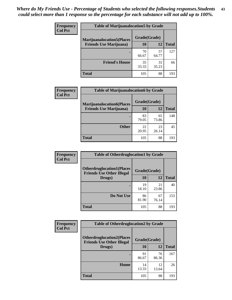| <b>Frequency</b> | <b>Table of Marijuanalocation5 by Grade</b> |              |             |              |  |
|------------------|---------------------------------------------|--------------|-------------|--------------|--|
| <b>Col Pct</b>   | <b>Marijuanalocation5</b> (Places           | Grade(Grade) |             |              |  |
|                  | <b>Friends Use Marijuana</b> )              | 10           | 12          | <b>Total</b> |  |
|                  |                                             | 70<br>66.67  | 57<br>64.77 | 127          |  |
|                  | <b>Friend's House</b>                       | 35<br>33.33  | 31<br>35.23 | 66           |  |
|                  | <b>Total</b>                                | 105          | 88          | 193          |  |

| <b>Frequency</b> | <b>Table of Marijuanalocation6 by Grade</b>                        |                    |             |              |
|------------------|--------------------------------------------------------------------|--------------------|-------------|--------------|
| <b>Col Pct</b>   | <b>Marijuanalocation6(Places</b><br><b>Friends Use Marijuana</b> ) | Grade(Grade)<br>10 | 12          | <b>Total</b> |
|                  |                                                                    | 83<br>79.05        | 65<br>73.86 | 148          |
|                  | <b>Other</b>                                                       | 22<br>20.95        | 23<br>26.14 | 45           |
|                  | <b>Total</b>                                                       | 105                | 88          | 193          |

| <b>Frequency</b> | <b>Table of Otherdruglocation1 by Grade</b>                          |              |             |              |
|------------------|----------------------------------------------------------------------|--------------|-------------|--------------|
| <b>Col Pct</b>   | <b>Otherdruglocation1(Places</b><br><b>Friends Use Other Illegal</b> | Grade(Grade) |             |              |
|                  | Drugs)                                                               | 10           | 12          | <b>Total</b> |
|                  |                                                                      | 19<br>18.10  | 21<br>23.86 | 40           |
|                  | Do Not Use                                                           | 86<br>81.90  | 67<br>76.14 | 153          |
|                  | <b>Total</b>                                                         | 105          | 88          | 193          |

| <b>Frequency</b> | <b>Table of Otherdruglocation2 by Grade</b>                           |              |             |              |
|------------------|-----------------------------------------------------------------------|--------------|-------------|--------------|
| <b>Col Pct</b>   | <b>Otherdruglocation2(Places)</b><br><b>Friends Use Other Illegal</b> | Grade(Grade) |             |              |
|                  | Drugs)                                                                | 10           | 12          | <b>Total</b> |
|                  |                                                                       | 91<br>86.67  | 76<br>86.36 | 167          |
|                  | Home                                                                  | 14<br>13.33  | 12<br>13.64 | 26           |
|                  | <b>Total</b>                                                          | 105          | 88          | 193          |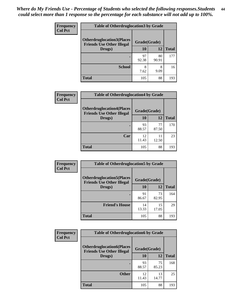| <b>Frequency</b> | <b>Table of Otherdruglocation 3 by Grade</b> |              |             |              |
|------------------|----------------------------------------------|--------------|-------------|--------------|
| <b>Col Pct</b>   | <b>Otherdruglocation3(Places</b>             | Grade(Grade) |             |              |
|                  | <b>Friends Use Other Illegal</b><br>Drugs)   | 10           | 12          | <b>Total</b> |
|                  |                                              | 97<br>92.38  | 80<br>90.91 | 177          |
|                  | <b>School</b>                                | 8<br>7.62    | 8<br>9.09   | 16           |
|                  | <b>Total</b>                                 | 105          | 88          | 193          |

| <b>Frequency</b> | <b>Table of Otherdruglocation4 by Grade</b>                          |              |             |              |
|------------------|----------------------------------------------------------------------|--------------|-------------|--------------|
| <b>Col Pct</b>   | <b>Otherdruglocation4(Places</b><br><b>Friends Use Other Illegal</b> | Grade(Grade) |             |              |
|                  | Drugs)                                                               | <b>10</b>    | 12          | <b>Total</b> |
|                  |                                                                      | 93<br>88.57  | 77<br>87.50 | 170          |
|                  | Car                                                                  | 12<br>11.43  | 11<br>12.50 | 23           |
|                  | <b>Total</b>                                                         | 105          | 88          | 193          |

| Frequency      | <b>Table of Otherdruglocation5 by Grade</b>                          |              |             |              |
|----------------|----------------------------------------------------------------------|--------------|-------------|--------------|
| <b>Col Pct</b> | <b>Otherdruglocation5(Places</b><br><b>Friends Use Other Illegal</b> | Grade(Grade) |             |              |
|                | Drugs)                                                               | 10           | 12          | <b>Total</b> |
|                |                                                                      | 91<br>86.67  | 73<br>82.95 | 164          |
|                | <b>Friend's House</b>                                                | 14<br>13.33  | 15<br>17.05 | 29           |
|                | <b>Total</b>                                                         | 105          | 88          | 193          |

| <b>Frequency</b> | <b>Table of Otherdruglocation6 by Grade</b>                          |              |             |              |
|------------------|----------------------------------------------------------------------|--------------|-------------|--------------|
| <b>Col Pct</b>   | <b>Otherdruglocation6(Places</b><br><b>Friends Use Other Illegal</b> | Grade(Grade) |             |              |
|                  | Drugs)                                                               | 10           | 12          | <b>Total</b> |
|                  |                                                                      | 93<br>88.57  | 75<br>85.23 | 168          |
|                  | <b>Other</b>                                                         | 12<br>11.43  | 13<br>14.77 | 25           |
|                  | <b>Total</b>                                                         | 105          | 88          | 193          |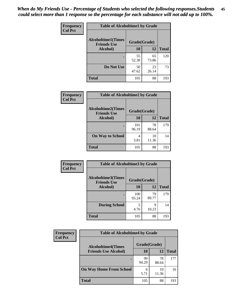| Frequency      | <b>Table of Alcoholtime1 by Grade</b>           |              |             |              |
|----------------|-------------------------------------------------|--------------|-------------|--------------|
| <b>Col Pct</b> | <b>Alcoholtime1(Times</b><br><b>Friends Use</b> | Grade(Grade) |             |              |
|                | Alcohol)                                        | 10           | 12          | <b>Total</b> |
|                |                                                 | 55<br>52.38  | 65<br>73.86 | 120          |
|                | Do Not Use                                      | 50<br>47.62  | 23<br>26.14 | 73           |
|                | <b>Total</b>                                    | 105          | 88          | 193          |

| Frequency      | <b>Table of Alcoholtime2 by Grade</b>           |              |             |              |
|----------------|-------------------------------------------------|--------------|-------------|--------------|
| <b>Col Pct</b> | <b>Alcoholtime2(Times</b><br><b>Friends Use</b> | Grade(Grade) |             |              |
|                | Alcohol)                                        | 10           | 12          | <b>Total</b> |
|                |                                                 | 101<br>96.19 | 78<br>88.64 | 179          |
|                | <b>On Way to School</b>                         | 4<br>3.81    | 10<br>11.36 | 14           |
|                | <b>Total</b>                                    | 105          | 88          | 193          |

| Frequency<br><b>Col Pct</b> | <b>Table of Alcoholtime3 by Grade</b>    |              |             |              |
|-----------------------------|------------------------------------------|--------------|-------------|--------------|
|                             | Alcoholtime3(Times<br><b>Friends Use</b> | Grade(Grade) |             |              |
|                             | Alcohol)                                 | 10           | 12          | <b>Total</b> |
|                             |                                          | 100<br>95.24 | 79<br>89.77 | 179          |
|                             | <b>During School</b>                     | 5<br>4.76    | 9<br>10.23  | 14           |
|                             | <b>Total</b>                             | 105          | 88          | 193          |

| Frequency<br><b>Col Pct</b> | <b>Table of Alcoholtime4 by Grade</b> |              |             |              |  |
|-----------------------------|---------------------------------------|--------------|-------------|--------------|--|
|                             | <b>Alcoholtime4(Times</b>             | Grade(Grade) |             |              |  |
|                             | <b>Friends Use Alcohol)</b>           | <b>10</b>    | 12          | <b>Total</b> |  |
|                             |                                       | 99<br>94.29  | 78<br>88.64 | 177          |  |
|                             | <b>On Way Home From School</b>        | 6<br>5.71    | 10<br>11.36 | 16           |  |
|                             | <b>Total</b>                          | 105          | 88          | 193          |  |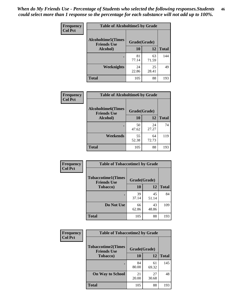*When do My Friends Use - Percentage of Students who selected the following responses.Students could select more than 1 response so the percentage for each substance will not add up to 100%.* **46**

| Frequency      | <b>Table of Alcoholtime5 by Grade</b>           |              |             |              |
|----------------|-------------------------------------------------|--------------|-------------|--------------|
| <b>Col Pct</b> | <b>Alcoholtime5(Times</b><br><b>Friends Use</b> | Grade(Grade) |             |              |
|                | Alcohol)                                        | 10           | 12          | <b>Total</b> |
|                |                                                 | 81<br>77.14  | 63<br>71.59 | 144          |
|                | Weeknights                                      | 24<br>22.86  | 25<br>28.41 | 49           |
|                | <b>Total</b>                                    | 105          | 88          | 193          |

| <b>Frequency</b> | <b>Table of Alcoholtime6 by Grade</b>           |              |             |              |
|------------------|-------------------------------------------------|--------------|-------------|--------------|
| <b>Col Pct</b>   | <b>Alcoholtime6(Times</b><br><b>Friends Use</b> | Grade(Grade) |             |              |
|                  | Alcohol)                                        | 10           | 12          | <b>Total</b> |
|                  |                                                 | 50<br>47.62  | 24<br>27.27 | 74           |
|                  | Weekends                                        | 55<br>52.38  | 64<br>72.73 | 119          |
|                  | <b>Total</b>                                    | 105          | 88          | 193          |

| Frequency      | <b>Table of Tobaccotime1 by Grade</b>           |              |             |              |
|----------------|-------------------------------------------------|--------------|-------------|--------------|
| <b>Col Pct</b> | <b>Tobaccotime1(Times</b><br><b>Friends Use</b> | Grade(Grade) |             |              |
|                | <b>Tobacco</b> )                                | 10           | 12          | <b>Total</b> |
|                | $\bullet$                                       | 39<br>37.14  | 45<br>51.14 | 84           |
|                | Do Not Use                                      | 66<br>62.86  | 43<br>48.86 | 109          |
|                | <b>Total</b>                                    | 105          | 88          | 193          |

| <b>Frequency</b> | <b>Table of Tobaccotime2 by Grade</b>           |              |             |              |
|------------------|-------------------------------------------------|--------------|-------------|--------------|
| <b>Col Pct</b>   | <b>Tobaccotime2(Times</b><br><b>Friends Use</b> | Grade(Grade) |             |              |
|                  | <b>Tobacco</b> )                                | <b>10</b>    | 12          | <b>Total</b> |
|                  |                                                 | 84<br>80.00  | 61<br>69.32 | 145          |
|                  | <b>On Way to School</b>                         | 21<br>20.00  | 27<br>30.68 | 48           |
|                  | <b>Total</b>                                    | 105          | 88          | 193          |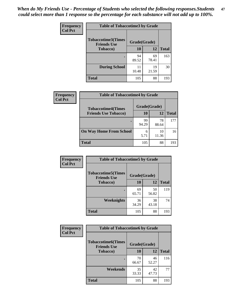| Frequency      | <b>Table of Tobaccotime3 by Grade</b>           |              |             |              |
|----------------|-------------------------------------------------|--------------|-------------|--------------|
| <b>Col Pct</b> | <b>Tobaccotime3(Times</b><br><b>Friends Use</b> | Grade(Grade) |             |              |
|                | <b>Tobacco</b> )                                | 10           | 12          | <b>Total</b> |
|                | ٠                                               | 94<br>89.52  | 69<br>78.41 | 163          |
|                | <b>During School</b>                            | 11<br>10.48  | 19<br>21.59 | 30           |
|                | <b>Total</b>                                    | 105          | 88          | 193          |

| Frequency<br><b>Col Pct</b> | <b>Table of Tobaccotime4 by Grade</b> |              |             |              |
|-----------------------------|---------------------------------------|--------------|-------------|--------------|
|                             | <b>Tobaccotime4(Times</b>             | Grade(Grade) |             |              |
|                             | <b>Friends Use Tobacco)</b>           | 10           | 12          | <b>Total</b> |
|                             |                                       | 99<br>94.29  | 78<br>88.64 | 177          |
|                             | <b>On Way Home From School</b>        | 6<br>5.71    | 10<br>11.36 | 16           |
|                             | <b>Total</b>                          | 105          | 88          | 193          |

| Frequency      | <b>Table of Tobaccotime5 by Grade</b>           |              |             |              |
|----------------|-------------------------------------------------|--------------|-------------|--------------|
| <b>Col Pct</b> | <b>Tobaccotime5(Times</b><br><b>Friends Use</b> | Grade(Grade) |             |              |
|                | <b>Tobacco</b> )                                | 10           | 12          | <b>Total</b> |
|                |                                                 | 69<br>65.71  | 50<br>56.82 | 119          |
|                | Weeknights                                      | 36<br>34.29  | 38<br>43.18 | 74           |
|                | <b>Total</b>                                    | 105          | 88          | 193          |

| Frequency      | <b>Table of Tobaccotime6 by Grade</b>                           |             |             |              |  |
|----------------|-----------------------------------------------------------------|-------------|-------------|--------------|--|
| <b>Col Pct</b> | <b>Tobaccotime6(Times</b><br>Grade(Grade)<br><b>Friends Use</b> |             |             |              |  |
|                | <b>Tobacco</b> )                                                | 10          | 12          | <b>Total</b> |  |
|                | ٠                                                               | 70<br>66.67 | 46<br>52.27 | 116          |  |
|                | Weekends                                                        | 35<br>33.33 | 42<br>47.73 | 77           |  |
|                | <b>Total</b>                                                    | 105         | 88          | 193          |  |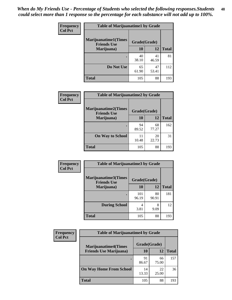| Frequency      | <b>Table of Marijuanatime1 by Grade</b>           |              |             |              |
|----------------|---------------------------------------------------|--------------|-------------|--------------|
| <b>Col Pct</b> | <b>Marijuanatime1(Times</b><br><b>Friends Use</b> | Grade(Grade) |             |              |
|                | Marijuana)                                        | 10           | 12          | <b>Total</b> |
|                |                                                   | 40<br>38.10  | 41<br>46.59 | 81           |
|                | Do Not Use                                        | 65<br>61.90  | 47<br>53.41 | 112          |
|                | <b>Total</b>                                      | 105          | 88          | 193          |

| <b>Frequency</b> |                                                   | <b>Table of Marijuanatime2 by Grade</b> |             |              |  |
|------------------|---------------------------------------------------|-----------------------------------------|-------------|--------------|--|
| <b>Col Pct</b>   | <b>Marijuanatime2(Times</b><br><b>Friends Use</b> | Grade(Grade)                            |             |              |  |
|                  | Marijuana)                                        | 10                                      | 12          | <b>Total</b> |  |
|                  |                                                   | 94<br>89.52                             | 68<br>77.27 | 162          |  |
|                  | <b>On Way to School</b>                           | 11<br>10.48                             | 20<br>22.73 | 31           |  |
|                  | <b>Total</b>                                      | 105                                     | 88          | 193          |  |

| Frequency<br><b>Col Pct</b> | <b>Table of Marijuanatime3 by Grade</b>                    |              |             |              |  |
|-----------------------------|------------------------------------------------------------|--------------|-------------|--------------|--|
|                             | Marijuanatime3(Times<br>Grade(Grade)<br><b>Friends Use</b> |              |             |              |  |
|                             | Marijuana)                                                 | 10           | 12          | <b>Total</b> |  |
|                             |                                                            | 101<br>96.19 | 80<br>90.91 | 181          |  |
|                             | <b>During School</b>                                       | 4<br>3.81    | 8<br>9.09   | 12           |  |
|                             | <b>Total</b>                                               | 105          | 88          | 193          |  |

| <b>Frequency</b><br><b>Col Pct</b> | <b>Table of Marijuanatime4 by Grade</b> |              |             |              |
|------------------------------------|-----------------------------------------|--------------|-------------|--------------|
|                                    | <b>Marijuanatime4</b> (Times            | Grade(Grade) |             |              |
|                                    | <b>Friends Use Marijuana</b> )          | 10           | 12          | <b>Total</b> |
|                                    |                                         | 91<br>86.67  | 66<br>75.00 | 157          |
|                                    | <b>On Way Home From School</b>          | 14<br>13.33  | 22<br>25.00 | 36           |
|                                    | <b>Total</b>                            | 105          | 88          | 193          |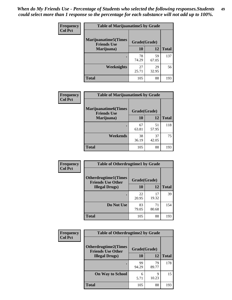| Frequency      | <b>Table of Marijuanatime5 by Grade</b>            |              |             |              |
|----------------|----------------------------------------------------|--------------|-------------|--------------|
| <b>Col Pct</b> | <b>Marijuanatime5</b> (Times<br><b>Friends Use</b> | Grade(Grade) |             |              |
|                | Marijuana)                                         | 10           | 12          | <b>Total</b> |
|                |                                                    | 78<br>74.29  | 59<br>67.05 | 137          |
|                | Weeknights                                         | 27<br>25.71  | 29<br>32.95 | 56           |
|                | <b>Total</b>                                       | 105          | 88          | 193          |

| <b>Frequency</b> | <b>Table of Marijuanatime6 by Grade</b>            |              |             |              |
|------------------|----------------------------------------------------|--------------|-------------|--------------|
| <b>Col Pct</b>   | <b>Marijuanatime6</b> (Times<br><b>Friends Use</b> | Grade(Grade) |             |              |
|                  | Marijuana)                                         | 10           | 12          | <b>Total</b> |
|                  |                                                    | 67<br>63.81  | 51<br>57.95 | 118          |
|                  | Weekends                                           | 38<br>36.19  | 37<br>42.05 | 75           |
|                  | <b>Total</b>                                       | 105          | 88          | 193          |

| <b>Frequency</b> | <b>Table of Otherdrugtime1 by Grade</b>                 |              |             |              |
|------------------|---------------------------------------------------------|--------------|-------------|--------------|
| <b>Col Pct</b>   | <b>Otherdrugtime1(Times</b><br><b>Friends Use Other</b> | Grade(Grade) |             |              |
|                  | <b>Illegal Drugs</b> )                                  | 10           | 12          | <b>Total</b> |
|                  |                                                         | 22<br>20.95  | 17<br>19.32 | 39           |
|                  | Do Not Use                                              | 83<br>79.05  | 71<br>80.68 | 154          |
|                  | <b>Total</b>                                            | 105          | 88          | 193          |

| <b>Frequency</b> | <b>Table of Otherdrugtime2 by Grade</b>                 |              |             |              |  |  |  |
|------------------|---------------------------------------------------------|--------------|-------------|--------------|--|--|--|
| <b>Col Pct</b>   | <b>Otherdrugtime2(Times</b><br><b>Friends Use Other</b> | Grade(Grade) |             |              |  |  |  |
|                  | <b>Illegal Drugs</b> )                                  |              | 12          | <b>Total</b> |  |  |  |
|                  |                                                         | 99<br>94.29  | 79<br>89.77 | 178          |  |  |  |
|                  | <b>On Way to School</b>                                 | 6<br>5.71    | Q<br>10.23  | 15           |  |  |  |
|                  | Total                                                   | 105          | 88          | 193          |  |  |  |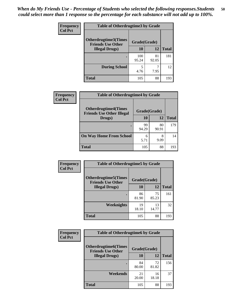| <b>Frequency</b> | <b>Table of Otherdrugtime3 by Grade</b>                 |              |             |              |  |  |  |
|------------------|---------------------------------------------------------|--------------|-------------|--------------|--|--|--|
| <b>Col Pct</b>   | <b>Otherdrugtime3(Times</b><br><b>Friends Use Other</b> | Grade(Grade) |             |              |  |  |  |
|                  | <b>Illegal Drugs</b> )                                  | 10           | 12          | <b>Total</b> |  |  |  |
|                  |                                                         | 100<br>95.24 | 81<br>92.05 | 181          |  |  |  |
|                  | <b>During School</b>                                    | 5<br>4.76    | 7.95        | 12           |  |  |  |
|                  | <b>Total</b>                                            | 105          | 88          | 193          |  |  |  |

| Frequency<br><b>Col Pct</b> | <b>Table of Otherdrugtime4 by Grade</b>                         |              |             |              |  |  |  |
|-----------------------------|-----------------------------------------------------------------|--------------|-------------|--------------|--|--|--|
|                             | <b>Otherdrugtime4(Times</b><br><b>Friends Use Other Illegal</b> | Grade(Grade) |             |              |  |  |  |
|                             | Drugs)                                                          | 10           | 12          | <b>Total</b> |  |  |  |
|                             |                                                                 | 99<br>94.29  | 80<br>90.91 | 179          |  |  |  |
|                             | <b>On Way Home From School</b>                                  | 6<br>5.71    | 8<br>9.09   | 14           |  |  |  |
|                             | <b>Total</b>                                                    | 105          | 88          | 193          |  |  |  |

| <b>Frequency</b> | <b>Table of Otherdrugtime5 by Grade</b>                  |              |             |              |  |  |
|------------------|----------------------------------------------------------|--------------|-------------|--------------|--|--|
| <b>Col Pct</b>   | <b>Otherdrugtime5</b> (Times<br><b>Friends Use Other</b> | Grade(Grade) |             |              |  |  |
|                  | <b>Illegal Drugs)</b>                                    | 10           | 12          | <b>Total</b> |  |  |
|                  |                                                          | 86<br>81.90  | 75<br>85.23 | 161          |  |  |
|                  | Weeknights                                               | 19<br>18.10  | 13<br>14.77 | 32           |  |  |
|                  | <b>Total</b>                                             | 105          | 88          | 193          |  |  |

| <b>Frequency</b> | <b>Table of Otherdrugtime6 by Grade</b>                 |              |             |              |  |  |
|------------------|---------------------------------------------------------|--------------|-------------|--------------|--|--|
| <b>Col Pct</b>   | <b>Otherdrugtime6(Times</b><br><b>Friends Use Other</b> | Grade(Grade) |             |              |  |  |
|                  | <b>Illegal Drugs</b> )                                  | 10           | 12          | <b>Total</b> |  |  |
|                  |                                                         | 84<br>80.00  | 72<br>81.82 | 156          |  |  |
|                  | Weekends                                                | 21<br>20.00  | 16<br>18.18 | 37           |  |  |
|                  | Total                                                   | 105          | 88          | 193          |  |  |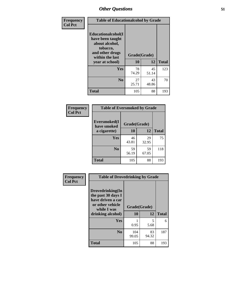| Frequency      | <b>Table of Educationalcohol by Grade</b>                                                                  |              |             |              |  |  |
|----------------|------------------------------------------------------------------------------------------------------------|--------------|-------------|--------------|--|--|
| <b>Col Pct</b> | Educationalcohol(I<br>have been taught<br>about alcohol,<br>tobacco,<br>and other drugs<br>within the last | Grade(Grade) |             |              |  |  |
|                | year at school)                                                                                            | 10           | 12          | <b>Total</b> |  |  |
|                | Yes                                                                                                        | 78<br>74.29  | 45<br>51.14 | 123          |  |  |
|                | N <sub>0</sub>                                                                                             | 27<br>25.71  | 43<br>48.86 | 70           |  |  |
|                | <b>Total</b>                                                                                               | 105          | 88          | 193          |  |  |

| Frequency      | <b>Table of Eversmoked by Grade</b> |              |             |              |  |  |  |
|----------------|-------------------------------------|--------------|-------------|--------------|--|--|--|
| <b>Col Pct</b> | Eversmoked(I<br>have smoked         | Grade(Grade) |             |              |  |  |  |
|                | a cigarette)                        | 10           | 12          | <b>Total</b> |  |  |  |
|                | <b>Yes</b>                          | 46<br>43.81  | 29<br>32.95 | 75           |  |  |  |
|                | N <sub>0</sub>                      | 59<br>56.19  | 59<br>67.05 | 118          |  |  |  |
|                | <b>Total</b>                        | 105          | 88          | 193          |  |  |  |

| Frequency      | <b>Table of Drovedrinking by Grade</b>                                                                              |                    |              |     |  |  |
|----------------|---------------------------------------------------------------------------------------------------------------------|--------------------|--------------|-----|--|--|
| <b>Col Pct</b> | Drovedrinking(In<br>the past 30 days I<br>have driven a car<br>or other vehicle<br>while I was<br>drinking alcohol) | Grade(Grade)<br>10 | <b>Total</b> |     |  |  |
|                | <b>Yes</b>                                                                                                          | 0.95               | 5<br>5.68    | 6   |  |  |
|                | N <sub>0</sub>                                                                                                      | 104<br>99.05       | 83<br>94.32  | 187 |  |  |
|                | <b>Total</b>                                                                                                        | 105                | 88           | 193 |  |  |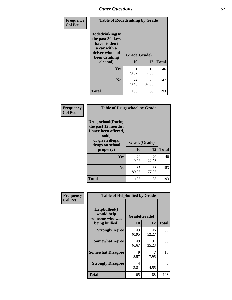| Frequency      | <b>Table of Rodedrinking by Grade</b>                                                                      |              |             |              |  |  |  |
|----------------|------------------------------------------------------------------------------------------------------------|--------------|-------------|--------------|--|--|--|
| <b>Col Pct</b> | Rodedrinking(In<br>the past 30 days<br>I have ridden in<br>a car with a<br>driver who had<br>been drinking | Grade(Grade) |             |              |  |  |  |
|                | alcohol)                                                                                                   | 10           | 12          | <b>Total</b> |  |  |  |
|                | <b>Yes</b>                                                                                                 | 31<br>29.52  | 15<br>17.05 | 46           |  |  |  |
|                | N <sub>0</sub>                                                                                             | 74<br>70.48  | 73<br>82.95 | 147          |  |  |  |
|                | <b>Total</b>                                                                                               | 105          | 88          | 193          |  |  |  |

#### **Frequency Col Pct**

| <b>Table of Drugsschool by Grade</b>                                                                                      |              |             |              |  |  |  |  |
|---------------------------------------------------------------------------------------------------------------------------|--------------|-------------|--------------|--|--|--|--|
| <b>Drugsschool</b> (During<br>the past 12 months,<br>I have been offered,<br>sold,<br>or given illegal<br>drugs on school | Grade(Grade) |             |              |  |  |  |  |
| property)                                                                                                                 | 10           | 12          | <b>Total</b> |  |  |  |  |
| Yes                                                                                                                       | 20<br>19.05  | 20<br>22.73 | 40           |  |  |  |  |
| N <sub>0</sub>                                                                                                            | 85<br>80.95  | 68<br>77.27 | 153          |  |  |  |  |
| <b>Total</b>                                                                                                              | 105          | 88          | 193          |  |  |  |  |

| Frequency      | <b>Table of Helpbullied by Grade</b>                 |                    |             |              |  |  |  |
|----------------|------------------------------------------------------|--------------------|-------------|--------------|--|--|--|
| <b>Col Pct</b> | $Helpb$ ullied $(I$<br>would help<br>someone who was | Grade(Grade)<br>10 |             |              |  |  |  |
|                | being bullied)                                       |                    | 12          | <b>Total</b> |  |  |  |
|                | <b>Strongly Agree</b>                                | 43<br>40.95        | 46<br>52.27 | 89           |  |  |  |
|                | <b>Somewhat Agree</b>                                | 49<br>46.67        | 31<br>35.23 | 80           |  |  |  |
|                | <b>Somewhat Disagree</b>                             | 9<br>8.57          | 7<br>7.95   | 16           |  |  |  |
|                | <b>Strongly Disagree</b>                             | 4<br>3.81          | 4<br>4.55   | 8            |  |  |  |
|                | Total                                                | 105                | 88          | 193          |  |  |  |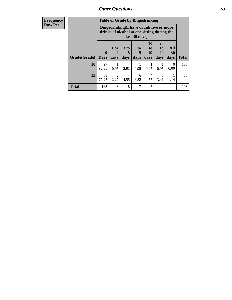| Frequency      | <b>Table of Grade by Bingedrinking</b> |                                                                                                         |              |                              |                   |                               |                               |                          |              |
|----------------|----------------------------------------|---------------------------------------------------------------------------------------------------------|--------------|------------------------------|-------------------|-------------------------------|-------------------------------|--------------------------|--------------|
| <b>Row Pct</b> |                                        | Bingedrinking(I have drunk five or more<br>drinks of alcohol at one sitting during the<br>last 30 days) |              |                              |                   |                               |                               |                          |              |
|                | Grade(Grade)                           | $\boldsymbol{0}$<br><b>Days</b>                                                                         | 1 or<br>days | 3 <sub>to</sub><br>5<br>days | 6 to<br>q<br>days | <b>10</b><br>to<br>19<br>days | <b>20</b><br>to<br>29<br>days | <b>All</b><br>30<br>days | <b>Total</b> |
|                | 10                                     | 97<br>92.38                                                                                             | 0.95         | 4<br>3.81                    | 0.95              | 0.95                          | 0.95                          | $\Omega$<br>0.00         | 105          |
|                | 12                                     | 68<br>77.27                                                                                             | 2<br>2.27    | 4<br>4.55                    | 6<br>6.82         | 4<br>4.55                     | 3<br>3.41                     | 1.14                     | 88           |
|                | <b>Total</b>                           | 165                                                                                                     | 3            | 8                            | 7                 | 5                             | $\overline{4}$                |                          | 193          |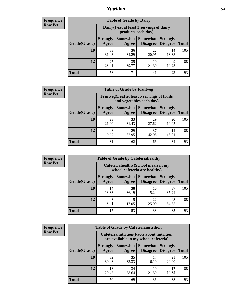## *Nutrition* **54**

| <b>Frequency</b> |
|------------------|
| <b>Row Pct</b>   |

| <b>Table of Grade by Dairy</b> |                          |                                                                 |                                    |                                    |              |  |
|--------------------------------|--------------------------|-----------------------------------------------------------------|------------------------------------|------------------------------------|--------------|--|
|                                |                          | Dairy (I eat at least 3 servings of dairy<br>products each day) |                                    |                                    |              |  |
| Grade(Grade)                   | <b>Strongly</b><br>Agree | Somewhat<br>Agree                                               | <b>Somewhat</b><br><b>Disagree</b> | <b>Strongly</b><br><b>Disagree</b> | <b>Total</b> |  |
| 10                             | 33<br>31.43              | 36<br>34.29                                                     | 22<br>20.95                        | 14<br>13.33                        | 105          |  |
| 12                             | 25<br>28.41              | 35<br>39.77                                                     | 19<br>21.59                        | 9<br>10.23                         | 88           |  |
| <b>Total</b>                   | 58                       | 71                                                              | 41                                 | 23                                 | 193          |  |

| <b>Frequency</b> |  |
|------------------|--|
| <b>Row Pct</b>   |  |

| <b>Table of Grade by Fruitveg</b> |                          |                                                                          |                                    |                                    |              |
|-----------------------------------|--------------------------|--------------------------------------------------------------------------|------------------------------------|------------------------------------|--------------|
|                                   |                          | Fruitveg(I eat at least 5 servings of fruits<br>and vegetables each day) |                                    |                                    |              |
| Grade(Grade)                      | <b>Strongly</b><br>Agree | Somewhat  <br>Agree                                                      | <b>Somewhat</b><br><b>Disagree</b> | <b>Strongly</b><br><b>Disagree</b> | <b>Total</b> |
| 10                                | 23<br>21.90              | 33<br>31.43                                                              | 29<br>27.62                        | 20<br>19.05                        | 105          |
| 12                                | 8<br>9.09                | 29<br>32.95                                                              | 37<br>42.05                        | 14<br>15.91                        | 88           |
| <b>Total</b>                      | 31                       | 62                                                                       | 66                                 | 34                                 | 193          |

| <b>Frequency</b> | <b>Table of Grade by Cafeteriahealthy</b> |                                                                       |                     |                             |                                    |              |
|------------------|-------------------------------------------|-----------------------------------------------------------------------|---------------------|-----------------------------|------------------------------------|--------------|
| <b>Row Pct</b>   |                                           | Cafeteriahealthy (School meals in my<br>school cafeteria are healthy) |                     |                             |                                    |              |
|                  | Grade(Grade)                              | <b>Strongly</b><br>Agree                                              | Somewhat  <br>Agree | Somewhat<br><b>Disagree</b> | <b>Strongly</b><br><b>Disagree</b> | <b>Total</b> |
|                  | 10                                        | 14<br>13.33                                                           | 38<br>36.19         | 16<br>15.24                 | 37<br>35.24                        | 105          |
|                  | 12                                        | 3<br>3.41                                                             | 15<br>17.05         | 22<br>25.00                 | 48<br>54.55                        | 88           |
|                  | Total                                     | 17                                                                    | 53                  | 38                          | 85                                 | 193          |

| <b>Frequency</b> |
|------------------|
| <b>Row Pct</b>   |

| <b>Table of Grade by Cafeterianutrition</b>                                               |                          |                     |                                    |                                    |              |
|-------------------------------------------------------------------------------------------|--------------------------|---------------------|------------------------------------|------------------------------------|--------------|
| <b>Cafeterianutrition</b> (Facts about nutrition<br>are available in my school cafeteria) |                          |                     |                                    |                                    |              |
| Grade(Grade)                                                                              | <b>Strongly</b><br>Agree | Somewhat  <br>Agree | <b>Somewhat</b><br><b>Disagree</b> | <b>Strongly</b><br><b>Disagree</b> | <b>Total</b> |
| 10                                                                                        | 32<br>30.48              | 35<br>33.33         | 17<br>16.19                        | 21<br>20.00                        | 105          |
| 12                                                                                        | 18<br>20.45              | 34<br>38.64         | 19<br>21.59                        | 17<br>19.32                        | 88           |
| <b>Total</b>                                                                              | 50                       | 69                  | 36                                 | 38                                 | 193          |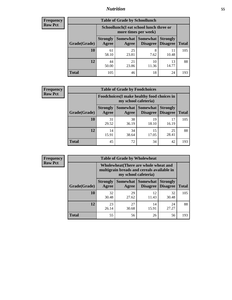## *Nutrition* **55**

| Frequency |
|-----------|
| Row Pct   |

| <b>Table of Grade by Schoollunch</b> |                                                                                                                               |                                                                 |             |             |     |  |
|--------------------------------------|-------------------------------------------------------------------------------------------------------------------------------|-----------------------------------------------------------------|-------------|-------------|-----|--|
|                                      |                                                                                                                               | Schoollunch(I eat school lunch three or<br>more times per week) |             |             |     |  |
| Grade(Grade)                         | Somewhat  <br><b>Somewhat</b><br><b>Strongly</b><br><b>Strongly</b><br><b>Disagree</b><br>Disagree<br>Agree<br>Total<br>Agree |                                                                 |             |             |     |  |
| 10                                   | 61<br>58.10                                                                                                                   | 25<br>23.81                                                     | 8<br>7.62   | 10.48       | 105 |  |
| 12                                   | 44<br>50.00                                                                                                                   | 21<br>23.86                                                     | 10<br>11.36 | 13<br>14.77 | 88  |  |
| <b>Total</b>                         | 105                                                                                                                           | 46                                                              | 18          | 24          | 193 |  |

| <b>Frequency</b> |  |
|------------------|--|
| <b>Row Pct</b>   |  |

| <b>Table of Grade by Foodchoices</b> |                          |                                                                     |                                               |                                    |              |
|--------------------------------------|--------------------------|---------------------------------------------------------------------|-----------------------------------------------|------------------------------------|--------------|
|                                      |                          | Foodchoices (I make healthy food choices in<br>my school cafeteria) |                                               |                                    |              |
| Grade(Grade)                         | <b>Strongly</b><br>Agree | Agree                                                               | <b>Somewhat   Somewhat</b><br><b>Disagree</b> | <b>Strongly</b><br><b>Disagree</b> | <b>Total</b> |
| 10                                   | 31<br>29.52              | 38<br>36.19                                                         | 19<br>18.10                                   | 17<br>16.19                        | 105          |
| 12                                   | 14<br>15.91              | 34<br>38.64                                                         | 15<br>17.05                                   | 25<br>28.41                        | 88           |
| <b>Total</b>                         | 45                       | 72                                                                  | 34                                            | 42                                 | 193          |

| <b>Frequency</b><br>Row Pct |
|-----------------------------|
|                             |

| <b>Table of Grade by Wholewheat</b> |                                                                                                             |             |                                               |                                    |              |  |
|-------------------------------------|-------------------------------------------------------------------------------------------------------------|-------------|-----------------------------------------------|------------------------------------|--------------|--|
|                                     | Wholewheat (There are whole wheat and<br>multigrain breads and cereals available in<br>my school cafeteria) |             |                                               |                                    |              |  |
| Grade(Grade)                        | <b>Strongly</b><br>Agree                                                                                    | Agree       | <b>Somewhat   Somewhat</b><br><b>Disagree</b> | <b>Strongly</b><br><b>Disagree</b> | <b>Total</b> |  |
| 10                                  | 32<br>30.48                                                                                                 | 29<br>27.62 | 12<br>11.43                                   | 32<br>30.48                        | 105          |  |
| 12                                  | 23<br>26.14                                                                                                 | 27<br>30.68 | 14<br>15.91                                   | 24<br>27.27                        | 88           |  |
| Total                               | 55                                                                                                          | 56          | 26                                            | 56                                 | 193          |  |

٦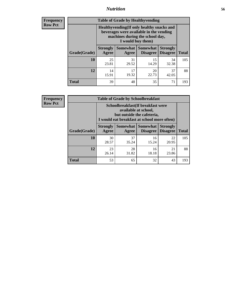## *Nutrition* **56**

**Frequency Row Pct**

| <b>Table of Grade by Healthyvending</b> |                                                                                                                                               |             |                                        |                                    |              |  |
|-----------------------------------------|-----------------------------------------------------------------------------------------------------------------------------------------------|-------------|----------------------------------------|------------------------------------|--------------|--|
|                                         | Healthyvending (If only healthy snacks and<br>beverages were available in the vending<br>machines during the school day,<br>I would buy them) |             |                                        |                                    |              |  |
| Grade(Grade)                            | <b>Strongly</b><br>Agree                                                                                                                      | Agree       | Somewhat   Somewhat<br><b>Disagree</b> | <b>Strongly</b><br><b>Disagree</b> | <b>Total</b> |  |
| 10                                      | 25<br>23.81                                                                                                                                   | 31<br>29.52 | 15<br>14.29                            | 34<br>32.38                        | 105          |  |
| 12                                      | 14<br>15.91                                                                                                                                   | 17<br>19.32 | 20<br>22.73                            | 37<br>42.05                        | 88           |  |
| <b>Total</b>                            | 39                                                                                                                                            | 48          | 35                                     | 71                                 | 193          |  |

**Frequency Row Pct**

| <b>Table of Grade by Schoolbreakfast</b> |                                                                                                                                        |             |                                        |                                    |              |  |
|------------------------------------------|----------------------------------------------------------------------------------------------------------------------------------------|-------------|----------------------------------------|------------------------------------|--------------|--|
|                                          | Schoolbreakfast(If breakfast were<br>available at school,<br>but outside the cafeteria,<br>I would eat breakfast at school more often) |             |                                        |                                    |              |  |
| Grade(Grade)                             | <b>Strongly</b><br>Agree                                                                                                               | Agree       | Somewhat   Somewhat<br><b>Disagree</b> | <b>Strongly</b><br><b>Disagree</b> | <b>Total</b> |  |
| 10                                       | 30<br>28.57                                                                                                                            | 37<br>35.24 | 16<br>15.24                            | 22<br>20.95                        | 105          |  |
| 12                                       | 23<br>26.14                                                                                                                            | 28<br>31.82 | 16<br>18.18                            | 21<br>23.86                        | 88           |  |
| <b>Total</b>                             | 53                                                                                                                                     | 65          | 32                                     | 43                                 | 193          |  |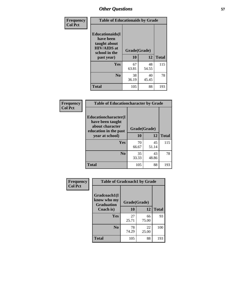| Frequency<br><b>Col Pct</b> | <b>Table of Educationaids by Grade</b>                                                                    |                    |             |              |
|-----------------------------|-----------------------------------------------------------------------------------------------------------|--------------------|-------------|--------------|
|                             | <b>Educationaids</b> (I<br>have been<br>taught about<br><b>HIV/AIDS</b> at<br>school in the<br>past year) | Grade(Grade)<br>10 | 12          | <b>Total</b> |
|                             | <b>Yes</b>                                                                                                | 67<br>63.81        | 48<br>54.55 | 115          |
|                             | N <sub>0</sub>                                                                                            | 38<br>36.19        | 40<br>45.45 | 78           |
|                             | <b>Total</b>                                                                                              | 105                | 88          | 193          |

| <b>Frequency</b> | <b>Table of Educationcharacter by Grade</b>                                                             |              |             |              |
|------------------|---------------------------------------------------------------------------------------------------------|--------------|-------------|--------------|
| <b>Col Pct</b>   | Educationcharacter(I<br>have been taught<br>about character<br>education in the past<br>year at school) | Grade(Grade) |             |              |
|                  |                                                                                                         | 10           | 12          | <b>Total</b> |
|                  | <b>Yes</b>                                                                                              | 70<br>66.67  | 45<br>51.14 | 115          |
|                  | N <sub>0</sub>                                                                                          | 35<br>33.33  | 43<br>48.86 | 78           |
|                  | <b>Total</b>                                                                                            | 105          | 88          | 193          |

| <b>Frequency</b> | <b>Table of Gradcoach1 by Grade</b>              |              |             |              |
|------------------|--------------------------------------------------|--------------|-------------|--------------|
| <b>Col Pct</b>   | Gradcoach1(I<br>know who my<br><b>Graduation</b> | Grade(Grade) |             |              |
|                  | Coach is)                                        | 10           | 12          | <b>Total</b> |
|                  | Yes                                              | 27<br>25.71  | 66<br>75.00 | 93           |
|                  | N <sub>0</sub>                                   | 78<br>74.29  | 22<br>25.00 | 100          |
|                  | <b>Total</b>                                     | 105          | 88          | 193          |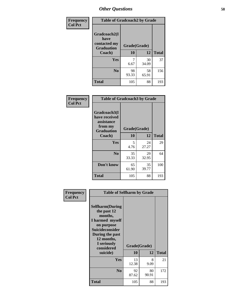| Frequency      | <b>Table of Gradcoach2 by Grade</b> |              |             |              |
|----------------|-------------------------------------|--------------|-------------|--------------|
| <b>Col Pct</b> |                                     |              |             |              |
|                | Gradcoach2(I<br>have                |              |             |              |
|                | contacted my<br><b>Graduation</b>   | Grade(Grade) |             |              |
|                | Coach)                              | 10           | 12          | <b>Total</b> |
|                | Yes                                 | 7<br>6.67    | 30<br>34.09 | 37           |
|                | N <sub>0</sub>                      | 98<br>93.33  | 58<br>65.91 | 156          |
|                | <b>Total</b>                        | 105          | 88          | 193          |

| <b>Frequency</b><br><b>Col Pct</b> | <b>Table of Gradcoach3 by Grade</b>                                         |              |             |              |  |
|------------------------------------|-----------------------------------------------------------------------------|--------------|-------------|--------------|--|
|                                    | Gradcoach3(I<br>have received<br>assistance<br>from my<br><b>Graduation</b> | Grade(Grade) |             |              |  |
|                                    | Coach)                                                                      | 10           | 12          | <b>Total</b> |  |
|                                    | Yes                                                                         | 5<br>4.76    | 24<br>27.27 | 29           |  |
|                                    | N <sub>0</sub>                                                              | 35<br>33.33  | 29<br>32.95 | 64           |  |
|                                    | Don't know                                                                  | 65<br>61.90  | 35<br>39.77 | 100          |  |
|                                    | <b>Total</b>                                                                | 105          | 88          | 193          |  |

| Frequency<br><b>Col Pct</b> | <b>Table of Selfharm by Grade</b>                                                                                                                                                      |                    |             |              |
|-----------------------------|----------------------------------------------------------------------------------------------------------------------------------------------------------------------------------------|--------------------|-------------|--------------|
|                             | <b>Selfharm</b> (During<br>the past 12<br>months,<br>I harmed myself<br>on purpose<br><b>Suicideconsider</b><br>During the past<br>12 months,<br>I seriously<br>considered<br>suicide) | Grade(Grade)<br>10 | 12          | <b>Total</b> |
|                             | Yes                                                                                                                                                                                    | 13<br>12.38        | 8<br>9.09   | 21           |
|                             | N <sub>0</sub>                                                                                                                                                                         | 92<br>87.62        | 80<br>90.91 | 172          |
|                             | Total                                                                                                                                                                                  | 105                | 88          | 193          |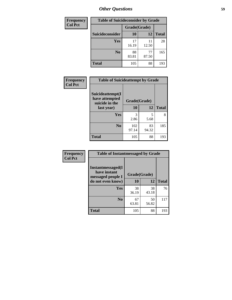| <b>Frequency</b> | <b>Table of Suicideconsider by Grade</b> |              |             |              |  |
|------------------|------------------------------------------|--------------|-------------|--------------|--|
| <b>Col Pct</b>   |                                          | Grade(Grade) |             |              |  |
|                  | Suicideconsider                          | <b>10</b>    | 12          | <b>Total</b> |  |
|                  | Yes                                      | 17<br>16.19  | 11<br>12.50 | 28           |  |
|                  | N <sub>0</sub>                           | 88<br>83.81  | 77<br>87.50 | 165          |  |
|                  | <b>Total</b>                             | 105          | 88          | 193          |  |

| Frequency      | <b>Table of Suicideattempt by Grade</b>              |              |             |              |
|----------------|------------------------------------------------------|--------------|-------------|--------------|
| <b>Col Pct</b> | Suicideattempt(I<br>have attempted<br>suicide in the | Grade(Grade) |             |              |
|                | last year)                                           | <b>10</b>    | 12          | <b>Total</b> |
|                | Yes                                                  | 3<br>2.86    | 5<br>5.68   | 8            |
|                | $\bf No$                                             | 102<br>97.14 | 83<br>94.32 | 185          |
|                | <b>Total</b>                                         | 105          | 88          | 193          |

| Frequency      | <b>Table of Instantmessaged by Grade</b>               |              |             |              |
|----------------|--------------------------------------------------------|--------------|-------------|--------------|
| <b>Col Pct</b> | Instantmessaged(I<br>have instant<br>messaged people I | Grade(Grade) |             |              |
|                | do not even know)                                      | 10           | 12          | <b>Total</b> |
|                | <b>Yes</b>                                             | 38<br>36.19  | 38<br>43.18 | 76           |
|                | N <sub>0</sub>                                         | 67<br>63.81  | 50<br>56.82 | 117          |
|                | <b>Total</b>                                           | 105          | 88          | 193          |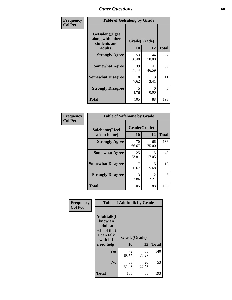| Frequency      | <b>Table of Getsalong by Grade</b>                                          |             |             |              |  |  |  |
|----------------|-----------------------------------------------------------------------------|-------------|-------------|--------------|--|--|--|
| <b>Col Pct</b> | <b>Getsalong</b> (I get<br>along with other<br>Grade(Grade)<br>students and |             |             |              |  |  |  |
|                | adults)                                                                     | 10          | 12          | <b>Total</b> |  |  |  |
|                | <b>Strongly Agree</b>                                                       | 53<br>50.48 | 44<br>50.00 | 97           |  |  |  |
|                | <b>Somewhat Agree</b>                                                       | 39<br>37.14 | 41<br>46.59 | 80           |  |  |  |
|                | <b>Somewhat Disagree</b>                                                    | 8<br>7.62   | 3<br>3.41   | 11           |  |  |  |
|                | <b>Strongly Disagree</b>                                                    | 5<br>4.76   | 0<br>0.00   | 5            |  |  |  |
|                | Total                                                                       | 105         | 88          | 193          |  |  |  |

| Frequency      | <b>Table of Safehome by Grade</b> |                           |                                     |              |  |  |  |
|----------------|-----------------------------------|---------------------------|-------------------------------------|--------------|--|--|--|
| <b>Col Pct</b> | Safehome(I feel<br>safe at home)  | Grade(Grade)<br><b>10</b> | 12                                  | <b>Total</b> |  |  |  |
|                | <b>Strongly Agree</b>             | 70<br>66.67               | 66<br>75.00                         | 136          |  |  |  |
|                | <b>Somewhat Agree</b>             | 25<br>23.81               | 15<br>17.05                         | 40           |  |  |  |
|                | <b>Somewhat Disagree</b>          | 6.67                      | 5<br>5.68                           | 12           |  |  |  |
|                | <b>Strongly Disagree</b>          | 3<br>2.86                 | $\mathcal{D}_{\mathcal{L}}$<br>2.27 | 5            |  |  |  |
|                | <b>Total</b>                      | 105                       | 88                                  | 193          |  |  |  |

| Frequency      |                                                                                     | <b>Table of Adulttalk by Grade</b> |             |              |
|----------------|-------------------------------------------------------------------------------------|------------------------------------|-------------|--------------|
| <b>Col Pct</b> | <b>Adulttalk(I</b><br>know an<br>adult at<br>school that<br>I can talk<br>with if I | Grade(Grade)                       |             |              |
|                | need help)                                                                          | 10                                 | 12          | <b>Total</b> |
|                | <b>Yes</b>                                                                          | 72<br>68.57                        | 68<br>77.27 | 140          |
|                | N <sub>0</sub>                                                                      | 33<br>31.43                        | 20<br>22.73 | 53           |
|                | <b>Total</b>                                                                        | 105                                | 88          | 193          |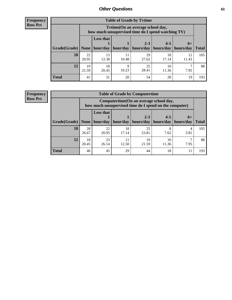**Frequency Row Pct**

| <b>Table of Grade by Tytime</b> |             |                                                                                        |                     |             |             |             |              |  |  |  |
|---------------------------------|-------------|----------------------------------------------------------------------------------------|---------------------|-------------|-------------|-------------|--------------|--|--|--|
|                                 |             | Tvtime(On an average school day,<br>how much unsupervised time do I spend watching TV) |                     |             |             |             |              |  |  |  |
|                                 |             | <b>Less that</b>                                                                       |                     | $2 - 3$     | $4 - 5$     | $6+$        |              |  |  |  |
| Grade(Grade)   None             |             |                                                                                        | hour/day   hour/day | hours/day   | hours/day   | hours/day   | <b>Total</b> |  |  |  |
| 10                              | 22<br>20.95 | 13<br>12.38                                                                            | 11<br>10.48         | 29<br>27.62 | 18<br>17.14 | 12<br>11.43 | 105          |  |  |  |
| 12                              | 19<br>21.59 | 18<br>20.45                                                                            | Q<br>10.23          | 25<br>28.41 | 10<br>11.36 | 7.95        | 88           |  |  |  |
| <b>Total</b>                    | 41          | 31                                                                                     | 20                  | 54          | 28          | 19          | 193          |  |  |  |

**Frequency Row Pct**

| <b>Table of Grade by Computertime</b> |             |                                                                                                                              |             |             |      |           |     |  |  |
|---------------------------------------|-------------|------------------------------------------------------------------------------------------------------------------------------|-------------|-------------|------|-----------|-----|--|--|
|                                       |             | Computertime (On an average school day,<br>how much unsupervised time do I spend on the computer)                            |             |             |      |           |     |  |  |
| Grade(Grade)                          | None        | <b>Less that</b><br>$2 - 3$<br>$4 - 5$<br>$6+$<br>hour/day   hour/day<br>hours/day<br>hours/day<br>hours/day<br><b>Total</b> |             |             |      |           |     |  |  |
| 10                                    | 28<br>26.67 | 22<br>20.95                                                                                                                  | 18<br>17.14 | 25<br>23.81 | 7.62 | 4<br>3.81 | 105 |  |  |
| 12                                    | 18<br>20.45 | 23<br>19<br>11<br>10<br>7.95<br>26.14<br>21.59<br>11.36<br>12.50                                                             |             |             |      |           |     |  |  |
| <b>Total</b>                          | 46          | 45                                                                                                                           | 29          | 44          | 18   | 11        | 193 |  |  |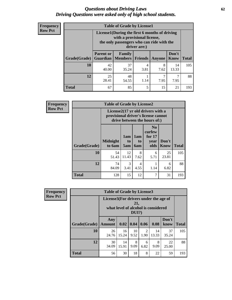#### *Questions about Driving Laws* **62** *Driving Questions were asked only of high school students.*

| <b>Frequency</b> |
|------------------|
| <b>Row Pct</b>   |

| <b>Table of Grade by License1</b> |                                                    |                                                                                                                                           |                |           |               |              |  |  |  |
|-----------------------------------|----------------------------------------------------|-------------------------------------------------------------------------------------------------------------------------------------------|----------------|-----------|---------------|--------------|--|--|--|
|                                   |                                                    | License1(During the first 6 months of driving<br>with a provisional license,<br>the only passengers who can ride with the<br>driver are:) |                |           |               |              |  |  |  |
| Grade(Grade)                      | <b>Parent or</b><br><b>Guardian</b>                | Family<br><b>Members</b>                                                                                                                  | <b>Friends</b> | Anyone    | Don't<br>Know | <b>Total</b> |  |  |  |
| 10                                | 42<br>40.00                                        | 37<br>35.24                                                                                                                               | 4<br>3.81      | 8<br>7.62 | 14<br>13.33   | 105          |  |  |  |
| 12                                | 25<br>48<br>28.41<br>1.14<br>7.95<br>7.95<br>54.55 |                                                                                                                                           |                |           |               |              |  |  |  |
| Total                             | 67                                                 | 85                                                                                                                                        | 5              | 15        | 21            | 193          |  |  |  |

| Frequency      |              | <b>Table of Grade by License2</b>                                                                        |                  |                  |                                                      |                      |              |  |  |
|----------------|--------------|----------------------------------------------------------------------------------------------------------|------------------|------------------|------------------------------------------------------|----------------------|--------------|--|--|
| <b>Row Pct</b> |              | License2(17 yr old drivers with a<br>provisional driver's license cannot<br>drive between the hours of:) |                  |                  |                                                      |                      |              |  |  |
|                | Grade(Grade) | <b>Midnight</b><br>to 6am                                                                                | 1am<br>to<br>5am | 1am<br>to<br>6am | N <sub>0</sub><br>curfew<br>for $17$<br>year<br>olds | Don't<br><b>Know</b> | <b>Total</b> |  |  |
|                | 10           | 54<br>51.43                                                                                              | 12<br>11.43      | 8<br>7.62        | 6<br>5.71                                            | 25<br>23.81          | 105          |  |  |
|                | 12           | 74<br>84.09                                                                                              | 3<br>3.41        | 4<br>4.55        | 1.14                                                 | 6<br>6.82            | 88           |  |  |
|                | <b>Total</b> | 128                                                                                                      | 15               | 12               | 7                                                    | 31                   | 193          |  |  |

| Frequency      |              | <b>Table of Grade by License3</b>                                                               |             |            |           |             |               |              |  |  |
|----------------|--------------|-------------------------------------------------------------------------------------------------|-------------|------------|-----------|-------------|---------------|--------------|--|--|
| <b>Row Pct</b> |              | License3(For drivers under the age of<br>21,<br>what level of alcohol is considered<br>$DUI$ ?) |             |            |           |             |               |              |  |  |
|                | Grade(Grade) | Any<br><b>Amount</b>                                                                            | 0.02        | 0.04       | 0.06      | 0.08        | Don't<br>know | <b>Total</b> |  |  |
|                | 10           | 26<br>24.76                                                                                     | 16<br>15.24 | 10<br>9.52 | 2<br>1.90 | 14<br>13.33 | 37<br>35.24   | 105          |  |  |
|                | 12           | 30<br>34.09                                                                                     | 14<br>15.91 | 8<br>9.09  | 6<br>6.82 | 8<br>9.09   | 22<br>25.00   | 88           |  |  |
|                | <b>Total</b> | 56                                                                                              | 30          | 18         | 8         | 22          | 59            | 193          |  |  |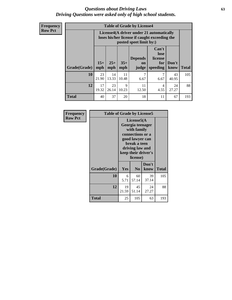#### *Questions about Driving Laws* **63** *Driving Questions were asked only of high school students.*

**Frequency Row Pct**

| <b>Table of Grade by License4</b> |             |                                                                                                                                                                                                                                                                                       |             |           |           |             |     |  |
|-----------------------------------|-------------|---------------------------------------------------------------------------------------------------------------------------------------------------------------------------------------------------------------------------------------------------------------------------------------|-------------|-----------|-----------|-------------|-----|--|
|                                   |             | License4(A driver under 21 automatically<br>loses his/her license if caught exceeding the<br>posted speet limit by:)<br>Can't<br>lose<br><b>Depends</b><br>license<br>$15+$<br>$25+$<br>$35+$<br>Don't<br>for<br><b>on</b><br>speeding<br><b>Total</b><br>mph<br>know<br>mph<br>judge |             |           |           |             |     |  |
| Grade(Grade)                      | mph         |                                                                                                                                                                                                                                                                                       |             |           |           |             |     |  |
| 10                                | 23<br>21.90 | 14<br>13.33                                                                                                                                                                                                                                                                           | 11<br>10.48 | 7<br>6.67 | 7<br>6.67 | 43<br>40.95 | 105 |  |
| 12                                | 17<br>19.32 | 23<br>9<br>11<br>24<br>4<br>26.14<br>10.23<br>4.55<br>12.50<br>27.27                                                                                                                                                                                                                  |             |           |           |             |     |  |
| <b>Total</b>                      | 40          | 37                                                                                                                                                                                                                                                                                    | 20          | 18        | 11        | 67          | 193 |  |

| Frequency      | <b>Table of Grade by License5</b> |             |                                                                                                                                      |                     |              |
|----------------|-----------------------------------|-------------|--------------------------------------------------------------------------------------------------------------------------------------|---------------------|--------------|
| <b>Row Pct</b> |                                   |             | License5(A)<br>Georgia teenager<br>with family<br>connections or a<br>good lawyer can<br>break a teen<br>driving law and<br>license) | keep their driver's |              |
|                | Grade(Grade)                      | Yes         | N <sub>0</sub>                                                                                                                       | Don't<br>know       | <b>Total</b> |
|                | 10                                | 6<br>5.71   | 60<br>57.14                                                                                                                          | 39<br>37.14         | 105          |
|                | 12                                | 19<br>21.59 | 45<br>51.14                                                                                                                          | 24<br>27.27         | 88           |
|                | Total                             | 25          | 105                                                                                                                                  | 63                  | 193          |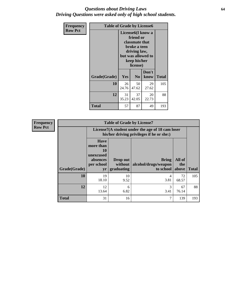#### *Questions about Driving Laws* **64** *Driving Questions were asked only of high school students.*

| <b>Frequency</b> | <b>Table of Grade by License6</b> |                                                                                                                                                 |                |               |              |
|------------------|-----------------------------------|-------------------------------------------------------------------------------------------------------------------------------------------------|----------------|---------------|--------------|
| <b>Row Pct</b>   |                                   | License <sub>6</sub> (I know a<br>friend or<br>classmate that<br>broke a teen<br>driving law,<br>but was allowed to<br>keep his/her<br>license) |                |               |              |
|                  | Grade(Grade)                      | <b>Yes</b>                                                                                                                                      | N <sub>0</sub> | Don't<br>know | <b>Total</b> |
|                  | 10                                | 26<br>24.76                                                                                                                                     | 50<br>47.62    | 29<br>27.62   | 105          |
|                  | 12                                | 31<br>37<br>20<br>22.73<br>35.23<br>42.05                                                                                                       |                |               | 88           |
|                  | <b>Total</b>                      | 57                                                                                                                                              | 87             | 49            | 193          |

| <b>Frequency</b> | <b>Table of Grade by License7</b> |                                                                             |                                                                                               |                                                   |                        |              |  |
|------------------|-----------------------------------|-----------------------------------------------------------------------------|-----------------------------------------------------------------------------------------------|---------------------------------------------------|------------------------|--------------|--|
| <b>Row Pct</b>   |                                   |                                                                             | License7(A student under the age of 18 cam loser<br>his/her driving privileges if he or she:) |                                                   |                        |              |  |
|                  | Grade(Grade)                      | <b>Have</b><br>more than<br>10<br>unexcused<br>absences<br>per school<br>yr | Drop out<br>without  <br>graduating                                                           | <b>Bring</b><br>alcohol/drugs/weapon<br>to school | All of<br>the<br>above | <b>Total</b> |  |
|                  | <b>10</b>                         | 19<br>18.10                                                                 | 10<br>9.52                                                                                    | 4<br>3.81                                         | 72<br>68.57            | 105          |  |
|                  | 12                                | 12<br>13.64                                                                 | 6<br>6.82                                                                                     | 3<br>3.41                                         | 67<br>76.14            | 88           |  |
|                  | <b>Total</b>                      | 31                                                                          | 16                                                                                            | 7                                                 | 139                    | 193          |  |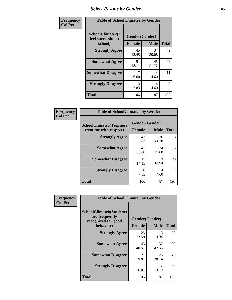# *Select Results by Gender* **65**

| Frequency      | <b>Table of SchoolClimate2 by Gender</b>          |                                 |             |                |
|----------------|---------------------------------------------------|---------------------------------|-------------|----------------|
| <b>Col Pct</b> | SchoolClimate2(I<br>feel successful at<br>school) | Gender(Gender)<br><b>Female</b> | <b>Male</b> | <b>Total</b>   |
|                | <b>Strongly Agree</b>                             | 45<br>42.45                     | 34<br>39.08 | 79             |
|                | <b>Somewhat Agree</b>                             | 51<br>48.11                     | 45<br>51.72 | 96             |
|                | <b>Somewhat Disagree</b>                          | 6.60                            | 4<br>4.60   | 11             |
|                | <b>Strongly Disagree</b>                          | 3<br>2.83                       | 4<br>4.60   | $\overline{7}$ |
|                | <b>Total</b>                                      | 106                             | 87          | 193            |

| <b>Frequency</b> | <b>Table of SchoolClimate6 by Gender</b>                 |                                 |              |     |  |
|------------------|----------------------------------------------------------|---------------------------------|--------------|-----|--|
| <b>Col Pct</b>   | <b>SchoolClimate6(Teachers</b><br>treat me with respect) | Gender(Gender)<br><b>Female</b> | <b>Total</b> |     |  |
|                  | <b>Strongly Agree</b>                                    | 42<br>39.62                     | 36<br>41.38  | 78  |  |
|                  | <b>Somewhat Agree</b>                                    | 41<br>38.68                     | 34<br>39.08  | 75  |  |
|                  | <b>Somewhat Disagree</b>                                 | 15<br>14.15                     | 13<br>14.94  | 28  |  |
|                  | <b>Strongly Disagree</b>                                 | 8<br>7.55                       | 4<br>4.60    | 12  |  |
|                  | <b>Total</b>                                             | 106                             | 87           | 193 |  |

| <b>Frequency</b> | <b>Table of SchoolClimate8 by Gender</b>                                             |                                 |              |     |
|------------------|--------------------------------------------------------------------------------------|---------------------------------|--------------|-----|
| <b>Col Pct</b>   | <b>SchoolClimate8(Students</b><br>are frequently<br>recognized for good<br>behavior) | Gender(Gender)<br><b>Female</b> | <b>Total</b> |     |
|                  |                                                                                      |                                 | <b>Male</b>  |     |
|                  | <b>Strongly Agree</b>                                                                | 25<br>23.58                     | 13<br>14.94  | 38  |
|                  | <b>Somewhat Agree</b>                                                                | 43<br>40.57                     | 37<br>42.53  | 80  |
|                  | <b>Somewhat Disagree</b>                                                             | 21<br>19.81                     | 25<br>28.74  | 46  |
|                  | <b>Strongly Disagree</b>                                                             | 17<br>16.04                     | 12<br>13.79  | 29  |
|                  | Total                                                                                | 106                             | 87           | 193 |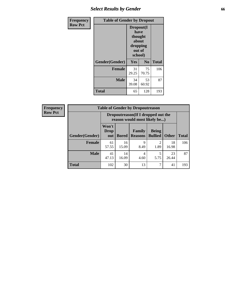# *Select Results by Gender* **66**

| <b>Frequency</b> | <b>Table of Gender by Dropout</b> |                                                                        |                |              |
|------------------|-----------------------------------|------------------------------------------------------------------------|----------------|--------------|
| <b>Row Pct</b>   |                                   | Dropout(I<br>have<br>thought<br>about<br>dropping<br>out of<br>school) |                |              |
|                  | Gender(Gender)                    | Yes                                                                    | N <sub>0</sub> | <b>Total</b> |
|                  | <b>Female</b>                     | 31<br>29.25                                                            | 75<br>70.75    | 106          |
|                  | <b>Male</b>                       | 34<br>39.08                                                            | 53<br>60.92    | 87           |
|                  | <b>Total</b>                      | 65                                                                     | 128            | 193          |

| <b>Frequency</b> | <b>Table of Gender by Dropoutreason</b> |                                                                     |              |                          |                                |              |              |
|------------------|-----------------------------------------|---------------------------------------------------------------------|--------------|--------------------------|--------------------------------|--------------|--------------|
| <b>Row Pct</b>   |                                         | Dropoutreason (If I dropped out the<br>reason would most likely be) |              |                          |                                |              |              |
|                  | <b>Gender(Gender)</b>                   | Won't<br><b>Drop</b><br>out                                         | <b>Bored</b> | Family<br><b>Reasons</b> | <b>Being</b><br><b>Bullied</b> | <b>Other</b> | <b>Total</b> |
|                  | <b>Female</b>                           | 61<br>57.55                                                         | 16<br>15.09  | $\mathbf Q$<br>8.49      | っ<br>1.89                      | 18<br>16.98  | 106          |
|                  | <b>Male</b>                             | 41<br>47.13                                                         | 14<br>16.09  | 4<br>4.60                | 5.75                           | 23<br>26.44  | 87           |
|                  | <b>Total</b>                            | 102                                                                 | 30           | 13                       | 7                              | 41           | 193          |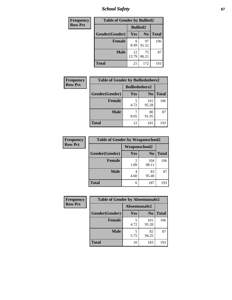*School Safety* **67**

| Frequency      | <b>Table of Gender by Bullied2</b> |                 |                |              |  |
|----------------|------------------------------------|-----------------|----------------|--------------|--|
| <b>Row Pct</b> |                                    | <b>Bullied2</b> |                |              |  |
|                | Gender(Gender)                     | Yes             | N <sub>0</sub> | <b>Total</b> |  |
|                | <b>Female</b>                      | Q<br>8.49       | 97<br>91.51    | 106          |  |
|                | <b>Male</b>                        | 12<br>13.79     | 75<br>86.21    | 87           |  |
|                | <b>Total</b>                       | 21              | 172            | 193          |  |

| Frequency      | <b>Table of Gender by Bulliedothers2</b> |                       |                |              |
|----------------|------------------------------------------|-----------------------|----------------|--------------|
| <b>Row Pct</b> |                                          | <b>Bulliedothers2</b> |                |              |
|                | Gender(Gender)                           | Yes                   | N <sub>0</sub> | <b>Total</b> |
|                | <b>Female</b>                            | 5<br>4.72             | 101<br>95.28   | 106          |
|                | <b>Male</b>                              | 8.05                  | 80<br>91.95    | 87           |
|                | Total                                    | 12                    | 181            | 193          |

| Frequency      | <b>Table of Gender by Weaponschool2</b> |                      |                |              |
|----------------|-----------------------------------------|----------------------|----------------|--------------|
| <b>Row Pct</b> |                                         | <b>Weaponschool2</b> |                |              |
|                | Gender(Gender)                          | Yes                  | N <sub>0</sub> | <b>Total</b> |
|                | <b>Female</b>                           | 1.89                 | 104<br>98.11   | 106          |
|                | <b>Male</b>                             | 4.60                 | 83<br>95.40    | 87           |
|                | <b>Total</b>                            | 6                    | 187            | 193          |

| Frequency      | <b>Table of Gender by Absentunsafe2</b> |               |                |              |
|----------------|-----------------------------------------|---------------|----------------|--------------|
| <b>Row Pct</b> |                                         | Absentunsafe2 |                |              |
|                | Gender(Gender)                          | Yes           | N <sub>0</sub> | <b>Total</b> |
|                | <b>Female</b>                           | 4.72          | 101<br>95.28   | 106          |
|                | <b>Male</b>                             | 5.75          | 82<br>94.25    | 87           |
|                | <b>Total</b>                            | 10            | 183            | 193          |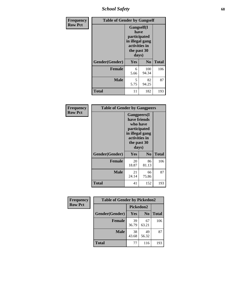*School Safety* **68**

| Frequency      | <b>Table of Gender by Gangself</b> |                                                                                                |                |              |
|----------------|------------------------------------|------------------------------------------------------------------------------------------------|----------------|--------------|
| <b>Row Pct</b> |                                    | Gangself(I<br>have<br>participated<br>in illegal gang<br>activities in<br>the past 30<br>days) |                |              |
|                | Gender(Gender)                     | Yes                                                                                            | N <sub>0</sub> | <b>Total</b> |
|                | <b>Female</b>                      | 6<br>5.66                                                                                      | 100<br>94.34   | 106          |
|                | <b>Male</b>                        | 5<br>5.75                                                                                      | 82<br>94.25    | 87           |
|                | <b>Total</b>                       | 11                                                                                             | 182            | 193          |

| Frequency      | <b>Table of Gender by Gangpeers</b> |                                                                                                                             |                |              |
|----------------|-------------------------------------|-----------------------------------------------------------------------------------------------------------------------------|----------------|--------------|
| <b>Row Pct</b> |                                     | <b>Gangpeers</b> (I<br>have friends<br>who have<br>participated<br>in illegal gang<br>activities in<br>the past 30<br>days) |                |              |
|                | Gender(Gender)                      | Yes                                                                                                                         | N <sub>0</sub> | <b>Total</b> |
|                | <b>Female</b>                       | 20<br>18.87                                                                                                                 | 86<br>81.13    | 106          |
|                | <b>Male</b>                         | 21<br>24.14                                                                                                                 | 66<br>75.86    | 87           |
|                | <b>Total</b>                        | 41                                                                                                                          | 152            | 193          |

| Frequency      | <b>Table of Gender by Pickedon2</b> |             |                |              |
|----------------|-------------------------------------|-------------|----------------|--------------|
| <b>Row Pct</b> |                                     | Pickedon2   |                |              |
|                | Gender(Gender)                      | Yes         | N <sub>0</sub> | <b>Total</b> |
|                | <b>Female</b>                       | 39<br>36.79 | 67<br>63.21    | 106          |
|                | <b>Male</b>                         | 38<br>43.68 | 49<br>56.32    | 87           |
|                | <b>Total</b>                        | 77          | 116            | 193          |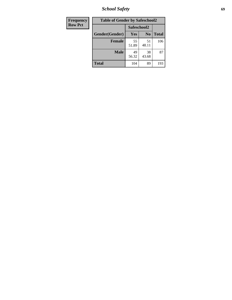*School Safety* **69**

| <b>Frequency</b> | <b>Table of Gender by Safeschool2</b> |             |                |              |
|------------------|---------------------------------------|-------------|----------------|--------------|
| <b>Row Pct</b>   |                                       | Safeschool2 |                |              |
|                  | Gender(Gender)                        | <b>Yes</b>  | N <sub>0</sub> | <b>Total</b> |
|                  | <b>Female</b>                         | 55<br>51.89 | 51<br>48.11    | 106          |
|                  | <b>Male</b>                           | 49<br>56.32 | 38<br>43.68    | 87           |
|                  | <b>Total</b>                          | 104         | 89             | 193          |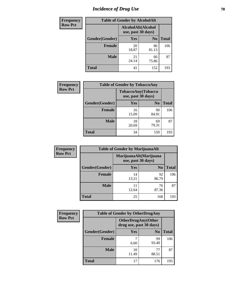# *Incidence of Drug Use* **70**

| <b>Frequency</b> | <b>Table of Gender by AlcoholAlt</b> |                                          |                |              |
|------------------|--------------------------------------|------------------------------------------|----------------|--------------|
| <b>Row Pct</b>   |                                      | AlcoholAlt(Alcohol<br>use, past 30 days) |                |              |
|                  | Gender(Gender)                       | Yes                                      | N <sub>0</sub> | <b>Total</b> |
|                  | <b>Female</b>                        | 20<br>18.87                              | 86<br>81.13    | 106          |
|                  | <b>Male</b>                          | 21<br>24.14                              | 66<br>75.86    | 87           |
|                  | <b>Total</b>                         | 41                                       | 152            | 193          |

| <b>Frequency</b> | <b>Table of Gender by TobaccoAny</b> |                                          |                |              |
|------------------|--------------------------------------|------------------------------------------|----------------|--------------|
| <b>Row Pct</b>   |                                      | TobaccoAny(Tobacco<br>use, past 30 days) |                |              |
|                  | Gender(Gender)                       | Yes                                      | N <sub>0</sub> | <b>Total</b> |
|                  | <b>Female</b>                        | 16<br>15.09                              | 90<br>84.91    | 106          |
|                  | <b>Male</b>                          | 18<br>20.69                              | 69<br>79.31    | 87           |
|                  | <b>Total</b>                         | 34                                       | 159            | 193          |

| <b>Frequency</b> | <b>Table of Gender by MarijuanaAlt</b>       |             |                |              |
|------------------|----------------------------------------------|-------------|----------------|--------------|
| <b>Row Pct</b>   | MarijuanaAlt(Marijuana<br>use, past 30 days) |             |                |              |
|                  | Gender(Gender)                               | <b>Yes</b>  | N <sub>0</sub> | <b>Total</b> |
|                  | <b>Female</b>                                | 14<br>13.21 | 92<br>86.79    | 106          |
|                  | <b>Male</b>                                  | 11<br>12.64 | 76<br>87.36    | 87           |
|                  | <b>Total</b>                                 | 25          | 168            | 193          |

| <b>Frequency</b> | <b>Table of Gender by OtherDrugAny</b> |                                                      |                |              |
|------------------|----------------------------------------|------------------------------------------------------|----------------|--------------|
| <b>Row Pct</b>   |                                        | <b>OtherDrugAny(Other</b><br>drug use, past 30 days) |                |              |
|                  | Gender(Gender)                         | <b>Yes</b>                                           | N <sub>0</sub> | <b>Total</b> |
|                  | <b>Female</b>                          | 6.60                                                 | 99<br>93.40    | 106          |
|                  | <b>Male</b>                            | 10<br>11.49                                          | 77<br>88.51    | 87           |
|                  | <b>Total</b>                           | 17                                                   | 176            | 193          |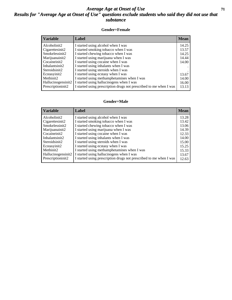### *Average Age at Onset of Use* **71** *Results for "Average Age at Onset of Use" questions exclude students who said they did not use that substance*

#### **Gender=Female**

| <b>Variable</b>    | <b>Label</b>                                                       | <b>Mean</b> |
|--------------------|--------------------------------------------------------------------|-------------|
| Alcoholinit2       | I started using alcohol when I was                                 | 14.25       |
| Cigarettesinit2    | I started smoking tobacco when I was                               | 13.57       |
| Smokelessinit2     | I started chewing tobacco when I was                               | 14.25       |
| Marijuanainit2     | I started using marijuana when I was                               | 14.44       |
| Cocaineinit2       | I started using cocaine when I was                                 | 14.00       |
| Inhalantsinit2     | I started using inhalants when I was                               |             |
| Steroidsinit2      | I started using steroids when I was                                |             |
| Ecstasyinit2       | I started using ecstasy when I was                                 | 13.67       |
| Methinit2          | I started using methamphetamines when I was                        | 14.00       |
| Hallucinogensinit2 | I started using hallucinogens when I was                           | 16.00       |
| Prescription in t2 | I started using prescription drugs not prescribed to me when I was | 13.13       |

#### **Gender=Male**

| <b>Variable</b>    | Label                                                              | <b>Mean</b> |
|--------------------|--------------------------------------------------------------------|-------------|
| Alcoholinit2       | I started using alcohol when I was                                 | 13.28       |
| Cigarettesinit2    | I started smoking tobacco when I was                               | 13.42       |
| Smokelessinit2     | I started chewing tobacco when I was                               | 13.06       |
| Marijuanainit2     | I started using marijuana when I was                               | 14.39       |
| Cocaineinit2       | I started using cocaine when I was                                 | 12.33       |
| Inhalantsinit2     | I started using inhalants when I was                               | 14.00       |
| Steroidsinit2      | I started using steroids when I was                                | 15.00       |
| Ecstasyinit2       | I started using ecstasy when I was                                 | 15.25       |
| Methinit2          | I started using methamphetamines when I was                        | 15.33       |
| Hallucinogensinit2 | I started using hallucinogens when I was                           | 13.67       |
| Prescriptioninit2  | I started using prescription drugs not prescribed to me when I was | 12.63       |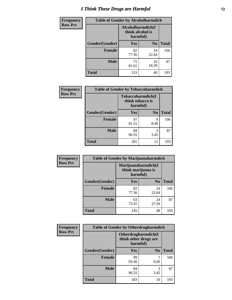# *I Think These Drugs are Harmful* **72**

| <b>Frequency</b> | <b>Table of Gender by Alcoholharmdich</b> |                  |                               |              |
|------------------|-------------------------------------------|------------------|-------------------------------|--------------|
| <b>Row Pct</b>   |                                           | think alcohol is | Alcoholharmdich(I<br>harmful) |              |
|                  | Gender(Gender)                            | <b>Yes</b>       | N <sub>0</sub>                | <b>Total</b> |
|                  | <b>Female</b>                             | 82<br>77.36      | 24<br>22.64                   | 106          |
|                  | <b>Male</b>                               | 71<br>81.61      | 16<br>18.39                   | 87           |
|                  | <b>Total</b>                              | 153              | 40                            | 193          |

| Frequency      | <b>Table of Gender by Tobaccoharmdich</b> |                  |                               |              |
|----------------|-------------------------------------------|------------------|-------------------------------|--------------|
| <b>Row Pct</b> |                                           | think tobacco is | Tobaccoharmdich(I<br>harmful) |              |
|                | Gender(Gender)                            | <b>Yes</b>       | N <sub>0</sub>                | <b>Total</b> |
|                | <b>Female</b>                             | 97<br>91.51      | 9<br>8.49                     | 106          |
|                | <b>Male</b>                               | 84<br>96.55      | 3<br>3.45                     | 87           |
|                | <b>Total</b>                              | 181              | 12                            | 193          |

| Frequency      | <b>Table of Gender by Marijuanaharmdich</b> |                                                       |                |              |  |
|----------------|---------------------------------------------|-------------------------------------------------------|----------------|--------------|--|
| <b>Row Pct</b> |                                             | Marijuanaharmdich(I<br>think marijuana is<br>harmful) |                |              |  |
|                | Gender(Gender)                              | <b>Yes</b>                                            | N <sub>0</sub> | <b>Total</b> |  |
|                | <b>Female</b>                               | 82<br>77.36                                           | 24<br>22.64    | 106          |  |
|                | <b>Male</b>                                 | 63<br>72.41                                           | 24<br>27.59    | 87           |  |
|                | <b>Total</b>                                | 145                                                   | 48             | 193          |  |

| Frequency      | <b>Table of Gender by Otherdrugharmdich</b> |                                                          |                |              |  |
|----------------|---------------------------------------------|----------------------------------------------------------|----------------|--------------|--|
| <b>Row Pct</b> |                                             | Otherdrugharmdich(I<br>think other drugs are<br>harmful) |                |              |  |
|                | Gender(Gender)                              | <b>Yes</b>                                               | N <sub>0</sub> | <b>Total</b> |  |
|                | <b>Female</b>                               | 99<br>93.40                                              | 7<br>6.60      | 106          |  |
|                | <b>Male</b>                                 | 84<br>96.55                                              | 3<br>3.45      | 87           |  |
|                | <b>Total</b>                                | 183                                                      | 10             | 193          |  |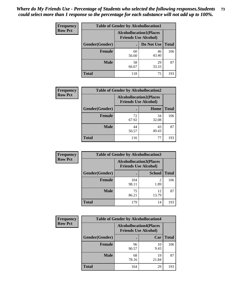| <b>Frequency</b> | <b>Table of Gender by Alcohollocation1</b> |                                                               |             |              |
|------------------|--------------------------------------------|---------------------------------------------------------------|-------------|--------------|
| <b>Row Pct</b>   |                                            | <b>Alcohollocation1(Places</b><br><b>Friends Use Alcohol)</b> |             |              |
|                  | Gender(Gender)                             |                                                               | Do Not Use  | <b>Total</b> |
|                  | <b>Female</b>                              | 60<br>56.60                                                   | 46<br>43.40 | 106          |
|                  | <b>Male</b>                                | 58<br>66.67                                                   | 29<br>33.33 | 87           |
|                  | <b>Total</b>                               | 118                                                           | 75          | 193          |

| <b>Frequency</b> | <b>Table of Gender by Alcohollocation2</b> |                                                               |             |              |
|------------------|--------------------------------------------|---------------------------------------------------------------|-------------|--------------|
| <b>Row Pct</b>   |                                            | <b>Alcohollocation2(Places</b><br><b>Friends Use Alcohol)</b> |             |              |
|                  | Gender(Gender)                             |                                                               | Home        | <b>Total</b> |
|                  | <b>Female</b>                              | 72<br>67.92                                                   | 34<br>32.08 | 106          |
|                  | <b>Male</b>                                | 44<br>50.57                                                   | 43<br>49.43 | 87           |
|                  | <b>Total</b>                               | 116                                                           | 77          | 193          |

| Frequency      | <b>Table of Gender by Alcohollocation3</b> |                                                               |               |              |
|----------------|--------------------------------------------|---------------------------------------------------------------|---------------|--------------|
| <b>Row Pct</b> |                                            | <b>Alcohollocation3(Places</b><br><b>Friends Use Alcohol)</b> |               |              |
|                | Gender(Gender)                             |                                                               | <b>School</b> | <b>Total</b> |
|                | <b>Female</b>                              | 104<br>98.11                                                  | 2<br>1.89     | 106          |
|                | <b>Male</b>                                | 75<br>86.21                                                   | 12<br>13.79   | 87           |
|                | <b>Total</b>                               | 179                                                           | 14            | 193          |

| <b>Frequency</b> | <b>Table of Gender by Alcohollocation4</b> |                                                               |             |              |
|------------------|--------------------------------------------|---------------------------------------------------------------|-------------|--------------|
| <b>Row Pct</b>   |                                            | <b>Alcohollocation4(Places</b><br><b>Friends Use Alcohol)</b> |             |              |
|                  | Gender(Gender)                             |                                                               | Car         | <b>Total</b> |
|                  | <b>Female</b>                              | 96<br>90.57                                                   | 10<br>9.43  | 106          |
|                  | <b>Male</b>                                | 68<br>78.16                                                   | 19<br>21.84 | 87           |
|                  | <b>Total</b>                               | 164                                                           | 29          | 193          |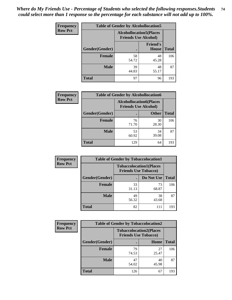| <b>Frequency</b> | <b>Table of Gender by Alcohollocation5</b> |                                                                |                                 |              |
|------------------|--------------------------------------------|----------------------------------------------------------------|---------------------------------|--------------|
| <b>Row Pct</b>   |                                            | <b>Alcohollocation5</b> (Places<br><b>Friends Use Alcohol)</b> |                                 |              |
|                  | Gender(Gender)                             |                                                                | <b>Friend's</b><br><b>House</b> | <b>Total</b> |
|                  | <b>Female</b>                              | 58<br>54.72                                                    | 48<br>45.28                     | 106          |
|                  | <b>Male</b>                                | 39<br>44.83                                                    | 48<br>55.17                     | 87           |
|                  | <b>Total</b>                               | 97                                                             | 96                              | 193          |

| Frequency      | <b>Table of Gender by Alcohollocation6</b> |                                                               |              |              |
|----------------|--------------------------------------------|---------------------------------------------------------------|--------------|--------------|
| <b>Row Pct</b> |                                            | <b>Alcohollocation6(Places</b><br><b>Friends Use Alcohol)</b> |              |              |
|                | Gender(Gender)                             |                                                               | <b>Other</b> | <b>Total</b> |
|                | <b>Female</b>                              | 76<br>71.70                                                   | 30<br>28.30  | 106          |
|                | <b>Male</b>                                | 53<br>60.92                                                   | 34<br>39.08  | 87           |
|                | <b>Total</b>                               | 129                                                           | 64           | 193          |

| Frequency      | <b>Table of Gender by Tobaccolocation1</b> |                                                               |             |              |  |
|----------------|--------------------------------------------|---------------------------------------------------------------|-------------|--------------|--|
| <b>Row Pct</b> |                                            | <b>Tobaccolocation1(Places</b><br><b>Friends Use Tobacco)</b> |             |              |  |
|                | <b>Gender</b> (Gender)                     |                                                               | Do Not Use  | <b>Total</b> |  |
|                | Female                                     | 33<br>31.13                                                   | 73<br>68.87 | 106          |  |
|                | <b>Male</b>                                | 49<br>56.32                                                   | 38<br>43.68 | 87           |  |
|                | <b>Total</b>                               | 82                                                            | 111         | 193          |  |

| <b>Frequency</b> | <b>Table of Gender by Tobaccolocation2</b> |                                                               |             |              |
|------------------|--------------------------------------------|---------------------------------------------------------------|-------------|--------------|
| <b>Row Pct</b>   |                                            | <b>Tobaccolocation2(Places</b><br><b>Friends Use Tobacco)</b> |             |              |
|                  | Gender(Gender)                             |                                                               | Home        | <b>Total</b> |
|                  | Female                                     | 79<br>74.53                                                   | 27<br>25.47 | 106          |
|                  | <b>Male</b>                                | 47<br>54.02                                                   | 40<br>45.98 | 87           |
|                  | <b>Total</b>                               | 126                                                           | 67          | 193          |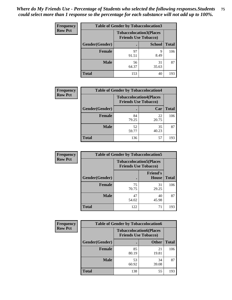| <b>Frequency</b> | <b>Table of Gender by Tobaccolocation3</b> |                                                               |               |              |
|------------------|--------------------------------------------|---------------------------------------------------------------|---------------|--------------|
| <b>Row Pct</b>   |                                            | <b>Tobaccolocation3(Places</b><br><b>Friends Use Tobacco)</b> |               |              |
|                  | Gender(Gender)                             |                                                               | <b>School</b> | <b>Total</b> |
|                  | <b>Female</b>                              | 97<br>91.51                                                   | Q<br>8.49     | 106          |
|                  | <b>Male</b>                                | 56<br>64.37                                                   | 31<br>35.63   | 87           |
|                  | Total                                      | 153                                                           | 40            | 193          |

| <b>Frequency</b> | <b>Table of Gender by Tobaccolocation4</b> |                             |                                |              |
|------------------|--------------------------------------------|-----------------------------|--------------------------------|--------------|
| <b>Row Pct</b>   |                                            | <b>Friends Use Tobacco)</b> | <b>Tobaccolocation4(Places</b> |              |
|                  | Gender(Gender)                             |                             | Car                            | <b>Total</b> |
|                  | <b>Female</b>                              | 84<br>79.25                 | 22<br>20.75                    | 106          |
|                  | <b>Male</b>                                | 52<br>59.77                 | 35<br>40.23                    | 87           |
|                  | <b>Total</b>                               | 136                         | 57                             | 193          |

| <b>Frequency</b> | <b>Table of Gender by Tobaccolocation5</b> |                                                               |                          |              |
|------------------|--------------------------------------------|---------------------------------------------------------------|--------------------------|--------------|
| <b>Row Pct</b>   |                                            | <b>Tobaccolocation5(Places</b><br><b>Friends Use Tobacco)</b> |                          |              |
|                  | Gender(Gender)                             |                                                               | <b>Friend's</b><br>House | <b>Total</b> |
|                  | <b>Female</b>                              | 75<br>70.75                                                   | 31<br>29.25              | 106          |
|                  | <b>Male</b>                                | 47<br>54.02                                                   | 40<br>45.98              | 87           |
|                  | <b>Total</b>                               | 122                                                           | 71                       | 193          |

| Frequency      | <b>Table of Gender by Tobaccolocation6</b> |                                                               |              |              |
|----------------|--------------------------------------------|---------------------------------------------------------------|--------------|--------------|
| <b>Row Pct</b> |                                            | <b>Tobaccolocation6(Places</b><br><b>Friends Use Tobacco)</b> |              |              |
|                | Gender(Gender)                             |                                                               | <b>Other</b> | <b>Total</b> |
|                | Female                                     | 85<br>80.19                                                   | 21<br>19.81  | 106          |
|                | <b>Male</b>                                | 53<br>60.92                                                   | 34<br>39.08  | 87           |
|                | <b>Total</b>                               | 138                                                           | 55           | 193          |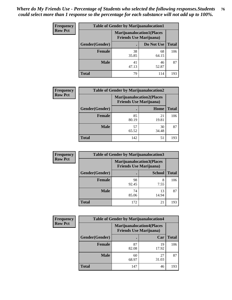| <b>Frequency</b> | <b>Table of Gender by Marijuanalocation1</b> |                                |                                  |              |
|------------------|----------------------------------------------|--------------------------------|----------------------------------|--------------|
| <b>Row Pct</b>   |                                              | <b>Friends Use Marijuana</b> ) | <b>Marijuanalocation1(Places</b> |              |
|                  | Gender(Gender)                               |                                | Do Not Use                       | <b>Total</b> |
|                  | <b>Female</b>                                | 38<br>35.85                    | 68<br>64.15                      | 106          |
|                  | <b>Male</b>                                  | 41<br>47.13                    | 46<br>52.87                      | 87           |
|                  | <b>Total</b>                                 | 79                             | 114                              | 193          |

| <b>Frequency</b> | <b>Table of Gender by Marijuanalocation2</b> |                                                                    |             |              |
|------------------|----------------------------------------------|--------------------------------------------------------------------|-------------|--------------|
| <b>Row Pct</b>   |                                              | <b>Marijuanalocation2(Places</b><br><b>Friends Use Marijuana</b> ) |             |              |
|                  | <b>Gender</b> (Gender)                       |                                                                    | Home        | <b>Total</b> |
|                  | <b>Female</b>                                | 85<br>80.19                                                        | 21<br>19.81 | 106          |
|                  | Male                                         | 57<br>65.52                                                        | 30<br>34.48 | 87           |
|                  | <b>Total</b>                                 | 142                                                                | 51          | 193          |

| <b>Frequency</b> | <b>Table of Gender by Marijuanalocation3</b> |             |                                                                    |              |  |
|------------------|----------------------------------------------|-------------|--------------------------------------------------------------------|--------------|--|
| <b>Row Pct</b>   |                                              |             | <b>Marijuanalocation3(Places</b><br><b>Friends Use Marijuana</b> ) |              |  |
|                  | Gender(Gender)                               |             | <b>School</b>                                                      | <b>Total</b> |  |
|                  | Female                                       | 98<br>92.45 | 8<br>7.55                                                          | 106          |  |
|                  | <b>Male</b>                                  | 74<br>85.06 | 13<br>14.94                                                        | 87           |  |
|                  | <b>Total</b>                                 | 172         | 21                                                                 | 193          |  |

| <b>Frequency</b> | <b>Table of Gender by Marijuanalocation4</b> |                                |                                  |              |  |
|------------------|----------------------------------------------|--------------------------------|----------------------------------|--------------|--|
| <b>Row Pct</b>   |                                              | <b>Friends Use Marijuana</b> ) | <b>Marijuanalocation4(Places</b> |              |  |
|                  | Gender(Gender)                               |                                | Car                              | <b>Total</b> |  |
|                  | Female                                       | 87<br>82.08                    | 19<br>17.92                      | 106          |  |
|                  | <b>Male</b>                                  | 60<br>68.97                    | 27<br>31.03                      | 87           |  |
|                  | <b>Total</b>                                 | 147                            | 46                               | 193          |  |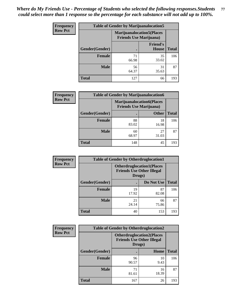| Frequency      | <b>Table of Gender by Marijuanalocation5</b> |                                                                    |                                 |              |
|----------------|----------------------------------------------|--------------------------------------------------------------------|---------------------------------|--------------|
| <b>Row Pct</b> |                                              | <b>Marijuanalocation5(Places</b><br><b>Friends Use Marijuana</b> ) |                                 |              |
|                | Gender(Gender)                               |                                                                    | <b>Friend's</b><br><b>House</b> | <b>Total</b> |
|                | Female                                       | 71<br>66.98                                                        | 35<br>33.02                     | 106          |
|                | <b>Male</b>                                  | 56<br>64.37                                                        | 31<br>35.63                     | 87           |
|                | <b>Total</b>                                 | 127                                                                | 66                              | 193          |

| <b>Frequency</b> | <b>Table of Gender by Marijuanalocation6</b> |                                |                                  |              |
|------------------|----------------------------------------------|--------------------------------|----------------------------------|--------------|
| <b>Row Pct</b>   |                                              | <b>Friends Use Marijuana</b> ) | <b>Marijuanalocation6(Places</b> |              |
|                  | <b>Gender</b> (Gender)                       |                                | <b>Other</b>                     | <b>Total</b> |
|                  | <b>Female</b>                                | 88<br>83.02                    | 18<br>16.98                      | 106          |
|                  | <b>Male</b>                                  | 60<br>68.97                    | 27<br>31.03                      | 87           |
|                  | <b>Total</b>                                 | 148                            | 45                               | 193          |

| <b>Frequency</b> | <b>Table of Gender by Otherdruglocation1</b> |                                                                                |             |              |
|------------------|----------------------------------------------|--------------------------------------------------------------------------------|-------------|--------------|
| <b>Row Pct</b>   |                                              | <b>Otherdruglocation1(Places</b><br><b>Friends Use Other Illegal</b><br>Drugs) |             |              |
|                  | Gender(Gender)                               |                                                                                | Do Not Use  | <b>Total</b> |
|                  | Female                                       | 19<br>17.92                                                                    | 87<br>82.08 | 106          |
|                  | <b>Male</b>                                  | 21<br>24.14                                                                    | 66<br>75.86 | 87           |
|                  | <b>Total</b>                                 | 40                                                                             | 153         | 193          |

| Frequency      | <b>Table of Gender by Otherdruglocation2</b> |                                                                                |             |              |
|----------------|----------------------------------------------|--------------------------------------------------------------------------------|-------------|--------------|
| <b>Row Pct</b> |                                              | <b>Otherdruglocation2(Places</b><br><b>Friends Use Other Illegal</b><br>Drugs) |             |              |
|                | Gender(Gender)                               |                                                                                | Home        | <b>Total</b> |
|                | <b>Female</b>                                | 96<br>90.57                                                                    | 10<br>9.43  | 106          |
|                | <b>Male</b>                                  | 71<br>81.61                                                                    | 16<br>18.39 | 87           |
|                | <b>Total</b>                                 | 167                                                                            | 26          | 193          |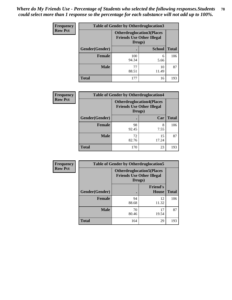| Frequency      | <b>Table of Gender by Otherdruglocation3</b> |                                                                                |               |              |
|----------------|----------------------------------------------|--------------------------------------------------------------------------------|---------------|--------------|
| <b>Row Pct</b> |                                              | <b>Otherdruglocation3(Places</b><br><b>Friends Use Other Illegal</b><br>Drugs) |               |              |
|                | Gender(Gender)                               |                                                                                | <b>School</b> | <b>Total</b> |
|                | <b>Female</b>                                | 100<br>94.34                                                                   | 6<br>5.66     | 106          |
|                | <b>Male</b>                                  | 77<br>88.51                                                                    | 10<br>11.49   | 87           |
|                | <b>Total</b>                                 | 177                                                                            | 16            | 193          |

| Frequency      | <b>Table of Gender by Otherdruglocation4</b> |                                                                                |             |              |
|----------------|----------------------------------------------|--------------------------------------------------------------------------------|-------------|--------------|
| <b>Row Pct</b> |                                              | <b>Otherdruglocation4(Places</b><br><b>Friends Use Other Illegal</b><br>Drugs) |             |              |
|                | Gender(Gender)                               |                                                                                | Car         | <b>Total</b> |
|                | Female                                       | 98<br>92.45                                                                    | 8<br>7.55   | 106          |
|                | <b>Male</b>                                  | 72<br>82.76                                                                    | 15<br>17.24 | 87           |
|                | <b>Total</b>                                 | 170                                                                            | 23          | 193          |

| Frequency      | <b>Table of Gender by Otherdruglocation5</b> |                                                                                |                                 |              |
|----------------|----------------------------------------------|--------------------------------------------------------------------------------|---------------------------------|--------------|
| <b>Row Pct</b> |                                              | <b>Otherdruglocation5(Places</b><br><b>Friends Use Other Illegal</b><br>Drugs) |                                 |              |
|                | Gender(Gender)                               |                                                                                | <b>Friend's</b><br><b>House</b> | <b>Total</b> |
|                | <b>Female</b>                                | 94<br>88.68                                                                    | 12<br>11.32                     | 106          |
|                | <b>Male</b>                                  | 70<br>80.46                                                                    | 17<br>19.54                     | 87           |
|                | <b>Total</b>                                 | 164                                                                            | 29                              | 193          |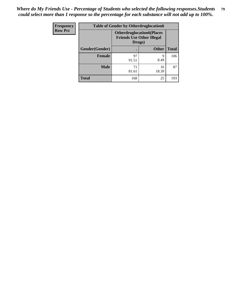| <b>Frequency</b> | <b>Table of Gender by Otherdruglocation6</b> |                                            |                                  |              |
|------------------|----------------------------------------------|--------------------------------------------|----------------------------------|--------------|
| <b>Row Pct</b>   |                                              | <b>Friends Use Other Illegal</b><br>Drugs) | <b>Otherdruglocation6(Places</b> |              |
|                  | Gender(Gender)                               |                                            | <b>Other</b>                     | <b>Total</b> |
|                  | Female                                       | 97<br>91.51                                | 9<br>8.49                        | 106          |
|                  | <b>Male</b>                                  | 71<br>81.61                                | 16<br>18.39                      | 87           |
|                  | <b>Total</b>                                 | 168                                        | 25                               | 193          |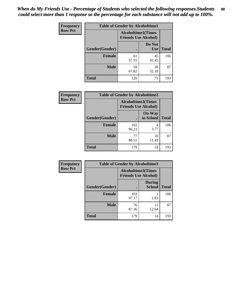| <b>Frequency</b> | <b>Table of Gender by Alcoholtime1</b> |                                                          |                      |              |
|------------------|----------------------------------------|----------------------------------------------------------|----------------------|--------------|
| <b>Row Pct</b>   |                                        | <b>Alcoholtime1(Times</b><br><b>Friends Use Alcohol)</b> |                      |              |
|                  | Gender(Gender)                         | $\bullet$                                                | Do Not<br><b>Use</b> | <b>Total</b> |
|                  | <b>Female</b>                          | 61<br>57.55                                              | 45<br>42.45          | 106          |
|                  | <b>Male</b>                            | 59<br>67.82                                              | 28<br>32.18          | 87           |
|                  | <b>Total</b>                           | 120                                                      | 73                   | 193          |

| Frequency      | <b>Table of Gender by Alcoholtime2</b> |                                                          |                            |              |
|----------------|----------------------------------------|----------------------------------------------------------|----------------------------|--------------|
| <b>Row Pct</b> |                                        | <b>Alcoholtime2(Times</b><br><b>Friends Use Alcohol)</b> |                            |              |
|                | Gender(Gender)                         |                                                          | <b>On Way</b><br>to School | <b>Total</b> |
|                | <b>Female</b>                          | 102<br>96.23                                             | 4<br>3.77                  | 106          |
|                | <b>Male</b>                            | 77<br>88.51                                              | 10<br>11.49                | 87           |
|                | <b>Total</b>                           | 179                                                      | 14                         | 193          |

| Frequency      | <b>Table of Gender by Alcoholtime3</b> |                                                          |                                |              |
|----------------|----------------------------------------|----------------------------------------------------------|--------------------------------|--------------|
| <b>Row Pct</b> |                                        | <b>Alcoholtime3(Times</b><br><b>Friends Use Alcohol)</b> |                                |              |
|                | Gender(Gender)                         |                                                          | <b>During</b><br><b>School</b> | <b>Total</b> |
|                | <b>Female</b>                          | 103<br>97.17                                             | 3<br>2.83                      | 106          |
|                | <b>Male</b>                            | 76<br>87.36                                              | 11<br>12.64                    | 87           |
|                | <b>Total</b>                           | 179                                                      | 14                             | 193          |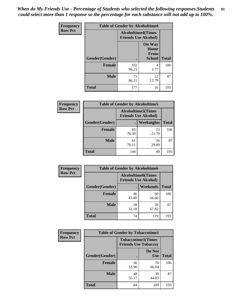*When do My Friends Use - Percentage of Students who selected the following responses.Students could select more than 1 response so the percentage for each substance will not add up to 100%.* **81**

| <b>Frequency</b> | <b>Table of Gender by Alcoholtime4</b> |                                                          |                                                |              |
|------------------|----------------------------------------|----------------------------------------------------------|------------------------------------------------|--------------|
| <b>Row Pct</b>   |                                        | <b>Alcoholtime4(Times</b><br><b>Friends Use Alcohol)</b> |                                                |              |
|                  | Gender(Gender)                         |                                                          | <b>On Way</b><br>Home<br>From<br><b>School</b> | <b>Total</b> |
|                  | <b>Female</b>                          | 102<br>96.23                                             | 4<br>3.77                                      | 106          |
|                  | <b>Male</b>                            | 75<br>86.21                                              | 12<br>13.79                                    | 87           |
|                  | <b>Total</b>                           | 177                                                      | 16                                             | 193          |

| <b>Frequency</b> | <b>Table of Gender by Alcoholtime5</b> |                                                           |             |              |
|------------------|----------------------------------------|-----------------------------------------------------------|-------------|--------------|
| <b>Row Pct</b>   |                                        | <b>Alcoholtime5</b> (Times<br><b>Friends Use Alcohol)</b> |             |              |
|                  | Gender(Gender)                         |                                                           | Weeknights  | <b>Total</b> |
|                  | <b>Female</b>                          | 83<br>78.30                                               | 23<br>21.70 | 106          |
|                  | <b>Male</b>                            | 61<br>70.11                                               | 26<br>29.89 | 87           |
|                  | <b>Total</b>                           | 144                                                       | 49          | 193          |

| <b>Frequency</b> | <b>Table of Gender by Alcoholtime6</b> |             |                                                           |              |
|------------------|----------------------------------------|-------------|-----------------------------------------------------------|--------------|
| <b>Row Pct</b>   |                                        |             | <b>Alcoholtime6</b> (Times<br><b>Friends Use Alcohol)</b> |              |
|                  | Gender(Gender)                         |             | <b>Weekends</b>                                           | <b>Total</b> |
|                  | <b>Female</b>                          | 46<br>43.40 | 60<br>56.60                                               | 106          |
|                  | <b>Male</b>                            | 28<br>32.18 | 59<br>67.82                                               | 87           |
|                  | <b>Total</b>                           | 74          | 119                                                       | 193          |

| <b>Frequency</b> | <b>Table of Gender by Tobaccotime1</b> |                                                          |                      |              |
|------------------|----------------------------------------|----------------------------------------------------------|----------------------|--------------|
| <b>Row Pct</b>   |                                        | <b>Tobaccotime1(Times</b><br><b>Friends Use Tobacco)</b> |                      |              |
|                  | Gender(Gender)                         |                                                          | Do Not<br><b>Use</b> | <b>Total</b> |
|                  | <b>Female</b>                          | 36<br>33.96                                              | 70<br>66.04          | 106          |
|                  | <b>Male</b>                            | 48<br>55.17                                              | 39<br>44.83          | 87           |
|                  | <b>Total</b>                           | 84                                                       | 109                  | 193          |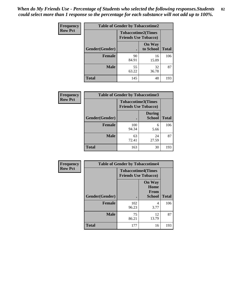| <b>Frequency</b> | <b>Table of Gender by Tobaccotime2</b> |                                                          |                            |              |
|------------------|----------------------------------------|----------------------------------------------------------|----------------------------|--------------|
| <b>Row Pct</b>   |                                        | <b>Tobaccotime2(Times</b><br><b>Friends Use Tobacco)</b> |                            |              |
|                  | Gender(Gender)                         |                                                          | <b>On Way</b><br>to School | <b>Total</b> |
|                  | <b>Female</b>                          | 90<br>84.91                                              | 16<br>15.09                | 106          |
|                  | <b>Male</b>                            | 55<br>63.22                                              | 32<br>36.78                | 87           |
|                  | <b>Total</b>                           | 145                                                      | 48                         | 193          |

| <b>Frequency</b> | <b>Table of Gender by Tobaccotime3</b> |                                                          |                                |              |
|------------------|----------------------------------------|----------------------------------------------------------|--------------------------------|--------------|
| <b>Row Pct</b>   |                                        | <b>Tobaccotime3(Times</b><br><b>Friends Use Tobacco)</b> |                                |              |
|                  | Gender(Gender)                         |                                                          | <b>During</b><br><b>School</b> | <b>Total</b> |
|                  | <b>Female</b>                          | 100<br>94.34                                             | 6<br>5.66                      | 106          |
|                  | <b>Male</b>                            | 63<br>72.41                                              | 24<br>27.59                    | 87           |
|                  | <b>Total</b>                           | 163                                                      | 30                             | 193          |

| <b>Frequency</b> | <b>Table of Gender by Tobaccotime4</b> |                                                          |                                                       |              |
|------------------|----------------------------------------|----------------------------------------------------------|-------------------------------------------------------|--------------|
| <b>Row Pct</b>   |                                        | <b>Tobaccotime4(Times</b><br><b>Friends Use Tobacco)</b> |                                                       |              |
|                  | Gender(Gender)                         |                                                          | <b>On Way</b><br>Home<br><b>From</b><br><b>School</b> | <b>Total</b> |
|                  | <b>Female</b>                          | 102<br>96.23                                             | 4<br>3.77                                             | 106          |
|                  | <b>Male</b>                            | 75<br>86.21                                              | 12<br>13.79                                           | 87           |
|                  | <b>Total</b>                           | 177                                                      | 16                                                    | 193          |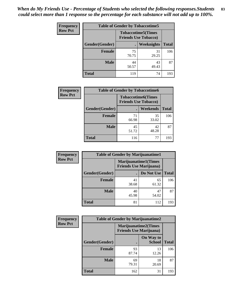| <b>Frequency</b> | <b>Table of Gender by Tobaccotime5</b> |             |                                                           |              |  |
|------------------|----------------------------------------|-------------|-----------------------------------------------------------|--------------|--|
| <b>Row Pct</b>   |                                        |             | <b>Tobaccotime5</b> (Times<br><b>Friends Use Tobacco)</b> |              |  |
|                  | <b>Gender</b> (Gender)                 |             | <b>Weeknights</b>                                         | <b>Total</b> |  |
|                  | <b>Female</b>                          | 75<br>70.75 | 31<br>29.25                                               | 106          |  |
|                  | <b>Male</b>                            | 44<br>50.57 | 43<br>49.43                                               | 87           |  |
|                  | Total                                  | 119         | 74                                                        | 193          |  |

| <b>Frequency</b> | <b>Table of Gender by Tobaccotime6</b> |                                                          |                 |              |
|------------------|----------------------------------------|----------------------------------------------------------|-----------------|--------------|
| <b>Row Pct</b>   |                                        | <b>Tobaccotime6(Times</b><br><b>Friends Use Tobacco)</b> |                 |              |
|                  | Gender(Gender)                         |                                                          | <b>Weekends</b> | <b>Total</b> |
|                  | Female                                 | 71<br>66.98                                              | 35<br>33.02     | 106          |
|                  | <b>Male</b>                            | 45<br>51.72                                              | 42<br>48.28     | 87           |
|                  | <b>Total</b>                           | 116                                                      | 77              | 193          |

| <b>Frequency</b> | <b>Table of Gender by Marijuanatime1</b> |                                                               |             |              |
|------------------|------------------------------------------|---------------------------------------------------------------|-------------|--------------|
| <b>Row Pct</b>   |                                          | <b>Marijuanatime1(Times</b><br><b>Friends Use Marijuana</b> ) |             |              |
|                  | Gender(Gender)                           |                                                               | Do Not Use  | <b>Total</b> |
|                  | <b>Female</b>                            | 41<br>38.68                                                   | 65<br>61.32 | 106          |
|                  | <b>Male</b>                              | 40<br>45.98                                                   | 47<br>54.02 | 87           |
|                  | <b>Total</b>                             | 81                                                            | 112         | 193          |

| <b>Frequency</b> | <b>Table of Gender by Marijuanatime2</b> |                                                               |                            |              |
|------------------|------------------------------------------|---------------------------------------------------------------|----------------------------|--------------|
| <b>Row Pct</b>   |                                          | <b>Marijuanatime2(Times</b><br><b>Friends Use Marijuana</b> ) |                            |              |
|                  | Gender(Gender)                           |                                                               | On Way to<br><b>School</b> | <b>Total</b> |
|                  | <b>Female</b>                            | 93<br>87.74                                                   | 13<br>12.26                | 106          |
|                  | <b>Male</b>                              | 69<br>79.31                                                   | 18<br>20.69                | 87           |
|                  | <b>Total</b>                             | 162                                                           | 31                         | 193          |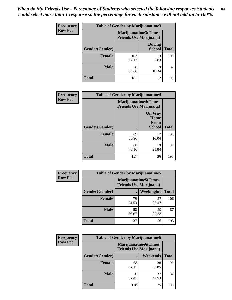| <b>Frequency</b> | <b>Table of Gender by Marijuanatime3</b> |                                |                                |              |
|------------------|------------------------------------------|--------------------------------|--------------------------------|--------------|
| <b>Row Pct</b>   |                                          | <b>Friends Use Marijuana</b> ) | Marijuanatime3(Times           |              |
|                  | <b>Gender</b> (Gender)                   |                                | <b>During</b><br><b>School</b> | <b>Total</b> |
|                  | Female                                   | 103<br>97.17                   | 2.83                           | 106          |
|                  | <b>Male</b>                              | 78<br>89.66                    | 9<br>10.34                     | 87           |
|                  | <b>Total</b>                             | 181                            | 12                             | 193          |

| Frequency      | <b>Table of Gender by Marijuanatime4</b> |                                                                |                                                       |              |
|----------------|------------------------------------------|----------------------------------------------------------------|-------------------------------------------------------|--------------|
| <b>Row Pct</b> |                                          | <b>Marijuanatime4</b> (Times<br><b>Friends Use Marijuana</b> ) |                                                       |              |
|                | Gender(Gender)                           |                                                                | <b>On Way</b><br>Home<br><b>From</b><br><b>School</b> | <b>Total</b> |
|                | <b>Female</b>                            | 89<br>83.96                                                    | 17<br>16.04                                           | 106          |
|                | <b>Male</b>                              | 68<br>78.16                                                    | 19<br>21.84                                           | 87           |
|                | <b>Total</b>                             | 157                                                            | 36                                                    | 193          |

| Frequency      | <b>Table of Gender by Marijuanatime5</b> |                                                                |                   |              |  |
|----------------|------------------------------------------|----------------------------------------------------------------|-------------------|--------------|--|
| <b>Row Pct</b> |                                          | <b>Marijuanatime5</b> (Times<br><b>Friends Use Marijuana</b> ) |                   |              |  |
|                | Gender(Gender)                           |                                                                | <b>Weeknights</b> | <b>Total</b> |  |
|                | <b>Female</b>                            | 79<br>74.53                                                    | 27<br>25.47       | 106          |  |
|                | <b>Male</b>                              | 58<br>66.67                                                    | 29<br>33.33       | 87           |  |
|                | <b>Total</b>                             | 137                                                            | 56                | 193          |  |

| Frequency      | <b>Table of Gender by Marijuanatime6</b> |                                                               |                 |              |  |
|----------------|------------------------------------------|---------------------------------------------------------------|-----------------|--------------|--|
| <b>Row Pct</b> |                                          | <b>Marijuanatime6(Times</b><br><b>Friends Use Marijuana</b> ) |                 |              |  |
|                | Gender(Gender)                           |                                                               | <b>Weekends</b> | <b>Total</b> |  |
|                | <b>Female</b>                            | 68<br>64.15                                                   | 38<br>35.85     | 106          |  |
|                | <b>Male</b>                              | 50<br>57.47                                                   | 37<br>42.53     | 87           |  |
|                | <b>Total</b>                             | 118                                                           | 75              | 193          |  |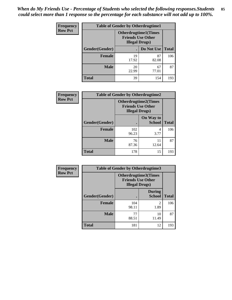*When do My Friends Use - Percentage of Students who selected the following responses.Students could select more than 1 response so the percentage for each substance will not add up to 100%.* **85**

| <b>Frequency</b> | <b>Table of Gender by Otherdrugtime1</b> |                                                                                    |                    |     |
|------------------|------------------------------------------|------------------------------------------------------------------------------------|--------------------|-----|
| <b>Row Pct</b>   |                                          | <b>Otherdrugtime1</b> (Times<br><b>Friends Use Other</b><br><b>Illegal Drugs</b> ) |                    |     |
|                  | Gender(Gender)                           |                                                                                    | Do Not Use   Total |     |
|                  | <b>Female</b>                            | 19<br>17.92                                                                        | 87<br>82.08        | 106 |
|                  | <b>Male</b>                              | 20<br>22.99                                                                        | 67<br>77.01        | 87  |
|                  | <b>Total</b>                             | 39                                                                                 | 154                | 193 |

| Frequency      | <b>Table of Gender by Otherdrugtime2</b> |                                                                                   |                            |              |
|----------------|------------------------------------------|-----------------------------------------------------------------------------------|----------------------------|--------------|
| <b>Row Pct</b> |                                          | <b>Otherdrugtime2(Times</b><br><b>Friends Use Other</b><br><b>Illegal Drugs</b> ) |                            |              |
|                | Gender(Gender)                           |                                                                                   | On Way to<br><b>School</b> | <b>Total</b> |
|                | <b>Female</b>                            | 102<br>96.23                                                                      | 4<br>3.77                  | 106          |
|                | <b>Male</b>                              | 76<br>87.36                                                                       | 11<br>12.64                | 87           |
|                | <b>Total</b>                             | 178                                                                               | 15                         | 193          |

| <b>Frequency</b> | <b>Table of Gender by Otherdrugtime3</b> |                                                                                   |                                |              |
|------------------|------------------------------------------|-----------------------------------------------------------------------------------|--------------------------------|--------------|
| <b>Row Pct</b>   |                                          | <b>Otherdrugtime3(Times</b><br><b>Friends Use Other</b><br><b>Illegal Drugs</b> ) |                                |              |
|                  | Gender(Gender)                           | $\bullet$                                                                         | <b>During</b><br><b>School</b> | <b>Total</b> |
|                  | <b>Female</b>                            | 104<br>98.11                                                                      | $\mathfrak{D}$<br>1.89         | 106          |
|                  | <b>Male</b>                              | 77<br>88.51                                                                       | 10<br>11.49                    | 87           |
|                  | <b>Total</b>                             | 181                                                                               | 12                             | 193          |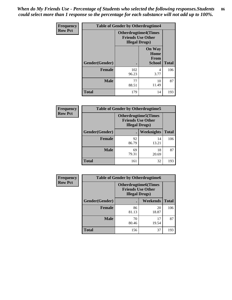*When do My Friends Use - Percentage of Students who selected the following responses.Students could select more than 1 response so the percentage for each substance will not add up to 100%.* **86**

| <b>Frequency</b> | <b>Table of Gender by Otherdrugtime4</b> |                                                    |                                                |              |
|------------------|------------------------------------------|----------------------------------------------------|------------------------------------------------|--------------|
| <b>Row Pct</b>   |                                          | <b>Friends Use Other</b><br><b>Illegal Drugs</b> ) | <b>Otherdrugtime4(Times</b>                    |              |
|                  | Gender(Gender)                           |                                                    | <b>On Way</b><br>Home<br><b>From</b><br>School | <b>Total</b> |
|                  | <b>Female</b>                            | 102<br>96.23                                       | 4<br>3.77                                      | 106          |
|                  | <b>Male</b>                              | 77<br>88.51                                        | 10<br>11.49                                    | 87           |
|                  | <b>Total</b>                             | 179                                                | 14                                             | 193          |

| Frequency      | <b>Table of Gender by Otherdrugtime5</b> |                                                                                    |             |              |
|----------------|------------------------------------------|------------------------------------------------------------------------------------|-------------|--------------|
| <b>Row Pct</b> |                                          | <b>Otherdrugtime5</b> (Times<br><b>Friends Use Other</b><br><b>Illegal Drugs</b> ) |             |              |
|                | Gender(Gender)                           |                                                                                    | Weeknights  | <b>Total</b> |
|                | <b>Female</b>                            | 92<br>86.79                                                                        | 14<br>13.21 | 106          |
|                | <b>Male</b>                              | 69<br>79.31                                                                        | 18<br>20.69 | 87           |
|                | <b>Total</b>                             | 161                                                                                | 32          | 193          |

| <b>Frequency</b> | <b>Table of Gender by Otherdrugtime6</b> |                                                                                   |             |              |  |
|------------------|------------------------------------------|-----------------------------------------------------------------------------------|-------------|--------------|--|
| <b>Row Pct</b>   |                                          | <b>Otherdrugtime6(Times</b><br><b>Friends Use Other</b><br><b>Illegal Drugs</b> ) |             |              |  |
|                  | Gender(Gender)                           |                                                                                   | Weekends    | <b>Total</b> |  |
|                  | <b>Female</b>                            | 86<br>81.13                                                                       | 20<br>18.87 | 106          |  |
|                  | <b>Male</b>                              | 70<br>80.46                                                                       | 17<br>19.54 | 87           |  |
|                  | <b>Total</b>                             | 156                                                                               | 37          | 193          |  |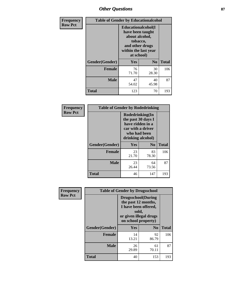# *Other Questions* **87**

| <b>Frequency</b> | <b>Table of Gender by Educationalcohol</b> |                                                                                                                                       |                |              |  |
|------------------|--------------------------------------------|---------------------------------------------------------------------------------------------------------------------------------------|----------------|--------------|--|
| <b>Row Pct</b>   |                                            | <b>Educationalcohol</b> (I<br>have been taught<br>about alcohol,<br>tobacco,<br>and other drugs<br>within the last year<br>at school) |                |              |  |
|                  | Gender(Gender)                             | <b>Yes</b>                                                                                                                            | N <sub>0</sub> | <b>Total</b> |  |
|                  | <b>Female</b>                              | 76<br>71.70                                                                                                                           | 30<br>28.30    | 106          |  |
|                  | <b>Male</b>                                | 47<br>54.02                                                                                                                           | 40<br>45.98    | 87           |  |
|                  | <b>Total</b>                               | 123                                                                                                                                   | 70             | 193          |  |

| Frequency      | <b>Table of Gender by Rodedrinking</b> |                                                                                                                     |                |              |  |
|----------------|----------------------------------------|---------------------------------------------------------------------------------------------------------------------|----------------|--------------|--|
| <b>Row Pct</b> |                                        | Rodedrinking(In<br>the past 30 days I<br>have ridden in a<br>car with a driver<br>who had been<br>drinking alcohol) |                |              |  |
|                | Gender(Gender)                         | Yes                                                                                                                 | N <sub>0</sub> | <b>Total</b> |  |
|                | <b>Female</b>                          | 23<br>21.70                                                                                                         | 83<br>78.30    | 106          |  |
|                | <b>Male</b>                            | 23<br>26.44                                                                                                         | 64<br>73.56    | 87           |  |
|                | <b>Total</b>                           | 46                                                                                                                  | 147            | 193          |  |

| Frequency      | <b>Table of Gender by Drugsschool</b> |                                                                                                                                     |                |              |  |
|----------------|---------------------------------------|-------------------------------------------------------------------------------------------------------------------------------------|----------------|--------------|--|
| <b>Row Pct</b> |                                       | <b>Drugsschool</b> (During<br>the past 12 months,<br>I have been offered,<br>sold,<br>or given illegal drugs<br>on school property) |                |              |  |
|                | Gender(Gender)                        | <b>Yes</b>                                                                                                                          | N <sub>0</sub> | <b>Total</b> |  |
|                | <b>Female</b>                         | 14<br>13.21                                                                                                                         | 92<br>86.79    | 106          |  |
|                | <b>Male</b>                           | 26<br>29.89                                                                                                                         | 61<br>70.11    | 87           |  |
|                | <b>Total</b>                          | 40                                                                                                                                  | 153            | 193          |  |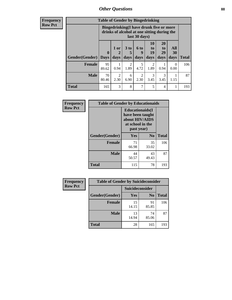# *Other Questions* **88**

**Frequency Row Pct**

| <b>Table of Gender by Bingedrinking</b> |                         |                                                                                                         |                   |                        |                        |                               |                   |              |
|-----------------------------------------|-------------------------|---------------------------------------------------------------------------------------------------------|-------------------|------------------------|------------------------|-------------------------------|-------------------|--------------|
|                                         |                         | Bingedrinking(I have drunk five or more<br>drinks of alcohol at one sitting during the<br>last 30 days) |                   |                        |                        |                               |                   |              |
| <b>Gender</b> (Gender)                  | $\bf{0}$<br><b>Days</b> | 1 or<br>days                                                                                            | 3 to<br>5<br>days | 6 to<br>9<br>days      | 10<br>to<br>19<br>days | <b>20</b><br>to<br>29<br>days | All<br>30<br>days | <b>Total</b> |
| <b>Female</b>                           | 95<br>89.62             | 0.94                                                                                                    | $\overline{2}$    | 5                      | $\overline{2}$         |                               | $\theta$          | 106          |
|                                         |                         |                                                                                                         | 1.89              | 4.72                   | 1.89                   | 0.94                          | 0.00              |              |
| <b>Male</b>                             | 70<br>80.46             | 2<br>2.30                                                                                               | 6<br>6.90         | $\mathfrak{D}$<br>2.30 | 3<br>3.45              | 3<br>3.45                     | 1.15              | 87           |

| Frequency      | <b>Table of Gender by Educationaids</b> |                                                                                                 |                |              |  |
|----------------|-----------------------------------------|-------------------------------------------------------------------------------------------------|----------------|--------------|--|
| <b>Row Pct</b> |                                         | <b>Educationaids</b> (I<br>have been taught<br>about HIV/AIDS<br>at school in the<br>past year) |                |              |  |
|                | Gender(Gender)                          | Yes                                                                                             | N <sub>0</sub> | <b>Total</b> |  |
|                | <b>Female</b>                           | 71<br>66.98                                                                                     | 35<br>33.02    | 106          |  |
|                | <b>Male</b>                             | 44<br>50.57                                                                                     | 43<br>49.43    | 87           |  |
|                | <b>Total</b>                            | 115                                                                                             | 78             | 193          |  |

| <b>Frequency</b> | <b>Table of Gender by Suicideconsider</b> |                 |                |              |  |
|------------------|-------------------------------------------|-----------------|----------------|--------------|--|
| <b>Row Pct</b>   |                                           | Suicideconsider |                |              |  |
|                  | Gender(Gender)                            | Yes             | N <sub>0</sub> | <b>Total</b> |  |
|                  | <b>Female</b>                             | 15<br>14.15     | 91<br>85.85    | 106          |  |
|                  | <b>Male</b>                               | 13<br>14.94     | 74<br>85.06    | 87           |  |
|                  | <b>Total</b>                              | 28              | 165            | 193          |  |